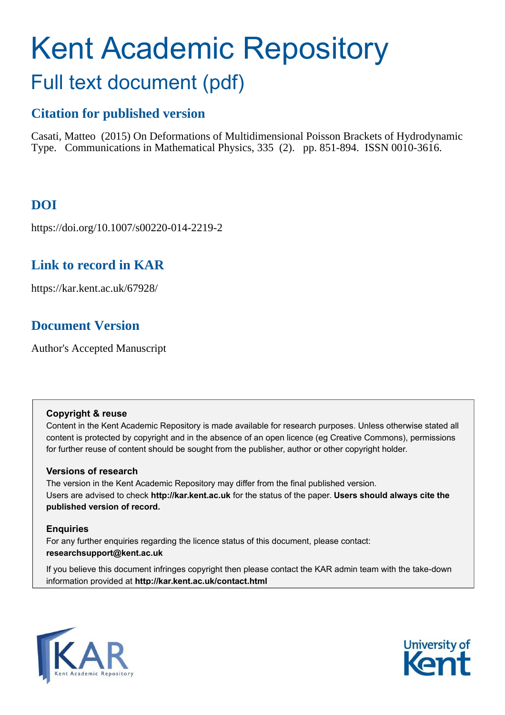# Kent Academic Repository Full text document (pdf)

# **Citation for published version**

Casati, Matteo (2015) On Deformations of Multidimensional Poisson Brackets of Hydrodynamic Type. Communications in Mathematical Physics, 335 (2). pp. 851-894. ISSN 0010-3616.

# **DOI**

https://doi.org/10.1007/s00220-014-2219-2

# **Link to record in KAR**

https://kar.kent.ac.uk/67928/

# **Document Version**

Author's Accepted Manuscript

## **Copyright & reuse**

Content in the Kent Academic Repository is made available for research purposes. Unless otherwise stated all content is protected by copyright and in the absence of an open licence (eg Creative Commons), permissions for further reuse of content should be sought from the publisher, author or other copyright holder.

## **Versions of research**

The version in the Kent Academic Repository may differ from the final published version. Users are advised to check **http://kar.kent.ac.uk** for the status of the paper. **Users should always cite the published version of record.**

## **Enquiries**

For any further enquiries regarding the licence status of this document, please contact: **researchsupport@kent.ac.uk**

If you believe this document infringes copyright then please contact the KAR admin team with the take-down information provided at **http://kar.kent.ac.uk/contact.html**



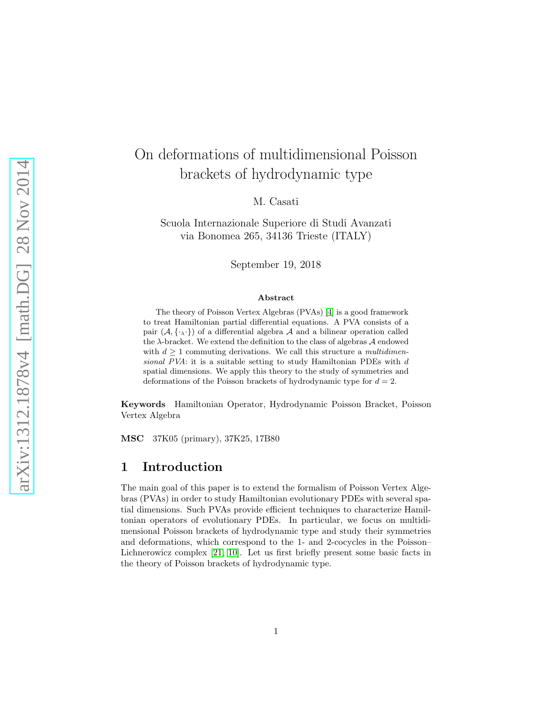# On deformations of multidimensional Poisson brackets of hydrodynamic type

M. Casati

Scuola Internazionale Superiore di Studi Avanzati via Bonomea 265, 34136 Trieste (ITALY)

September 19, 2018

#### Abstract

The theory of Poisson Vertex Algebras (PVAs) [\[4\]](#page-48-0) is a good framework to treat Hamiltonian partial differential equations. A PVA consists of a pair  $(\mathcal{A}, {\{\cdot_\lambda\cdot\}})$  of a differential algebra  $\mathcal A$  and a bilinear operation called the  $\lambda$ -bracket. We extend the definition to the class of algebras  $A$  endowed with  $d \geq 1$  commuting derivations. We call this structure a *multidimen*sional PVA: it is a suitable setting to study Hamiltonian PDEs with d spatial dimensions. We apply this theory to the study of symmetries and deformations of the Poisson brackets of hydrodynamic type for  $d = 2$ .

Keywords Hamiltonian Operator, Hydrodynamic Poisson Bracket, Poisson Vertex Algebra

MSC 37K05 (primary), 37K25, 17B80

### 1 Introduction

<span id="page-1-0"></span>The main goal of this paper is to extend the formalism of Poisson Vertex Algebras (PVAs) in order to study Hamiltonian evolutionary PDEs with several spatial dimensions. Such PVAs provide efficient techniques to characterize Hamiltonian operators of evolutionary PDEs. In particular, we focus on multidimensional Poisson brackets of hydrodynamic type and study their symmetries and deformations, which correspond to the 1- and 2-cocycles in the Poisson– Lichnerowicz complex [\[21,](#page-49-0) [10\]](#page-48-1). Let us first briefly present some basic facts in the theory of Poisson brackets of hydrodynamic type.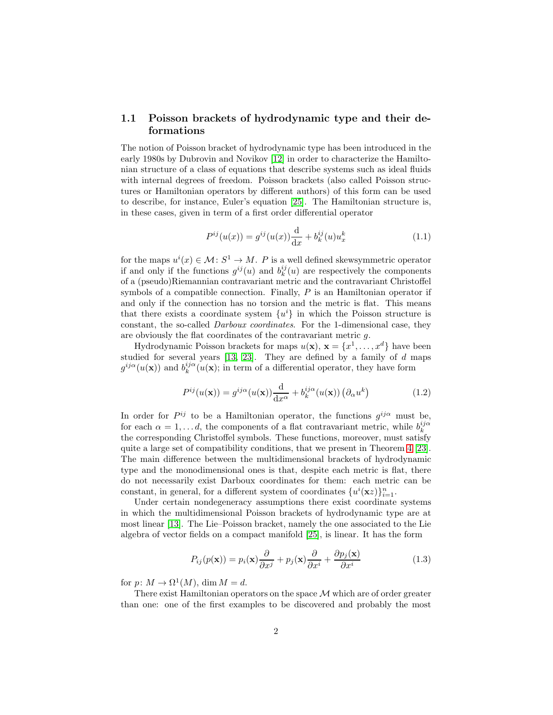#### 1.1 Poisson brackets of hydrodynamic type and their deformations

The notion of Poisson bracket of hydrodynamic type has been introduced in the early 1980s by Dubrovin and Novikov [\[12\]](#page-48-2) in order to characterize the Hamiltonian structure of a class of equations that describe systems such as ideal fluids with internal degrees of freedom. Poisson brackets (also called Poisson structures or Hamiltonian operators by different authors) of this form can be used to describe, for instance, Euler's equation [\[25\]](#page-49-1). The Hamiltonian structure is, in these cases, given in term of a first order differential operator

<span id="page-2-0"></span>
$$
P^{ij}(u(x)) = g^{ij}(u(x))\frac{d}{dx} + b_k^{ij}(u)u_x^k
$$
\n(1.1)

for the maps  $u^i(x) \in \mathcal{M} : S^1 \to M$ . P is a well defined skewsymmetric operator if and only if the functions  $g^{ij}(u)$  and  $b_k^{ij}(u)$  are respectively the components of a (pseudo)Riemannian contravariant metric and the contravariant Christoffel symbols of a compatible connection. Finally, P is an Hamiltonian operator if and only if the connection has no torsion and the metric is flat. This means that there exists a coordinate system  $\{u^i\}$  in which the Poisson structure is constant, the so-called Darboux coordinates. For the 1-dimensional case, they are obviously the flat coordinates of the contravariant metric g.

Hydrodynamic Poisson brackets for maps  $u(\mathbf{x}), \mathbf{x} = \{x^1, \dots, x^d\}$  have been studied for several years  $[13, 23]$  $[13, 23]$ . They are defined by a family of  $d$  maps  $g^{ij\alpha}(u(\mathbf{x}))$  and  $b_k^{ij\alpha}(u(\mathbf{x});$  in term of a differential operator, they have form

$$
P^{ij}(u(\mathbf{x})) = g^{ij\alpha}(u(\mathbf{x})) \frac{\mathrm{d}}{\mathrm{d}x^{\alpha}} + b_k^{ij\alpha}(u(\mathbf{x})) \left(\partial_{\alpha} u^k\right) \tag{1.2}
$$

In order for  $P^{ij}$  to be a Hamiltonian operator, the functions  $g^{ij\alpha}$  must be, for each  $\alpha = 1, \ldots d$ , the components of a flat contravariant metric, while  $b_k^{ij\alpha}$ the corresponding Christoffel symbols. These functions, moreover, must satisfy quite a large set of compatibility conditions, that we present in Theorem [4](#page-21-0) [\[23\]](#page-49-2). The main difference between the multidimensional brackets of hydrodynamic type and the monodimensional ones is that, despite each metric is flat, there do not necessarily exist Darboux coordinates for them: each metric can be constant, in general, for a different system of coordinates  $\{u^{i}(\mathbf{x}z)\}_{i=1}^{n}$ .

Under certain nondegeneracy assumptions there exist coordinate systems in which the multidimensional Poisson brackets of hydrodynamic type are at most linear [\[13\]](#page-48-3). The Lie–Poisson bracket, namely the one associated to the Lie algebra of vector fields on a compact manifold [\[25\]](#page-49-1), is linear. It has the form

$$
P_{ij}(p(\mathbf{x})) = p_i(\mathbf{x})\frac{\partial}{\partial x^j} + p_j(\mathbf{x})\frac{\partial}{\partial x^i} + \frac{\partial p_j(\mathbf{x})}{\partial x^i}
$$
(1.3)

for  $p: M \to \Omega^1(M)$ , dim  $M = d$ .

There exist Hamiltonian operators on the space  $\mathcal M$  which are of order greater than one: one of the first examples to be discovered and probably the most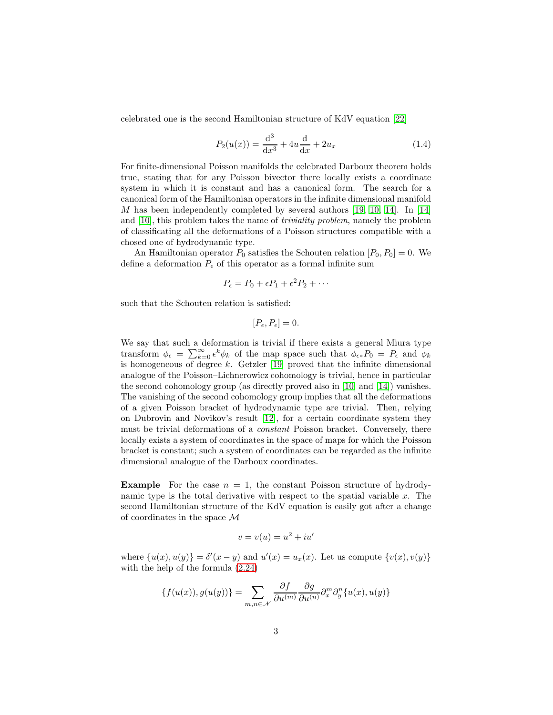celebrated one is the second Hamiltonian structure of KdV equation [\[22\]](#page-49-3)

$$
P_2(u(x)) = \frac{d^3}{dx^3} + 4u\frac{d}{dx} + 2u_x
$$
\n(1.4)

For finite-dimensional Poisson manifolds the celebrated Darboux theorem holds true, stating that for any Poisson bivector there locally exists a coordinate system in which it is constant and has a canonical form. The search for a canonical form of the Hamiltonian operators in the infinite dimensional manifold M has been independently completed by several authors  $[19, 10, 14]$  $[19, 10, 14]$  $[19, 10, 14]$ . In  $[14]$ and [\[10\]](#page-48-1), this problem takes the name of triviality problem, namely the problem of classificating all the deformations of a Poisson structures compatible with a chosed one of hydrodynamic type.

An Hamiltonian operator  $P_0$  satisfies the Schouten relation  $[P_0, P_0] = 0$ . We define a deformation  $P_{\epsilon}$  of this operator as a formal infinite sum

$$
P_{\epsilon} = P_0 + \epsilon P_1 + \epsilon^2 P_2 + \cdots
$$

such that the Schouten relation is satisfied:

$$
[P_{\epsilon}, P_{\epsilon}] = 0.
$$

We say that such a deformation is trivial if there exists a general Miura type transform  $\phi_{\epsilon} = \sum_{k=0}^{\infty} \epsilon^k \phi_k$  of the map space such that  $\phi_{\epsilon *} P_0 = P_{\epsilon}$  and  $\phi_k$ is homogeneous of degree  $k$ . Getzler [\[19\]](#page-49-4) proved that the infinite dimensional analogue of the Poisson–Lichnerowicz cohomology is trivial, hence in particular the second cohomology group (as directly proved also in [\[10\]](#page-48-1) and [\[14\]](#page-48-4)) vanishes. The vanishing of the second cohomology group implies that all the deformations of a given Poisson bracket of hydrodynamic type are trivial. Then, relying on Dubrovin and Novikov's result [\[12\]](#page-48-2), for a certain coordinate system they must be trivial deformations of a constant Poisson bracket. Conversely, there locally exists a system of coordinates in the space of maps for which the Poisson bracket is constant; such a system of coordinates can be regarded as the infinite dimensional analogue of the Darboux coordinates.

**Example** For the case  $n = 1$ , the constant Poisson structure of hydrodynamic type is the total derivative with respect to the spatial variable  $x$ . The second Hamiltonian structure of the KdV equation is easily got after a change of coordinates in the space M

$$
v = v(u) = u^2 + iu'
$$

where  $\{u(x), u(y)\} = \delta'(x - y)$  and  $u'(x) = u_x(x)$ . Let us compute  $\{v(x), v(y)\}$ with the help of the formula [\(2.24\)](#page-11-0)

$$
\{f(u(x)), g(u(y))\} = \sum_{m,n \in \mathcal{N}} \frac{\partial f}{\partial u^{(m)}} \frac{\partial g}{\partial u^{(n)}} \partial_x^m \partial_y^n \{u(x), u(y)\}
$$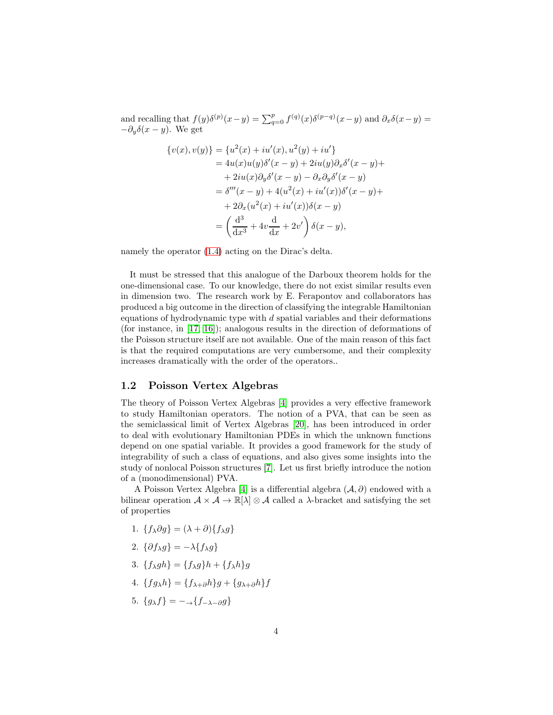and recalling that  $f(y)\delta^{(p)}(x-y) = \sum_{q=0}^p f^{(q)}(x)\delta^{(p-q)}(x-y)$  and  $\partial_x \delta(x-y) =$  $-\partial_y \delta(x-y)$ . We get

$$
\{v(x), v(y)\} = \{u^2(x) + iu'(x), u^2(y) + iu'\} = 4u(x)u(y)\delta'(x - y) + 2iu(y)\partial_x \delta'(x - y) + + 2iu(x)\partial_y \delta'(x - y) - \partial_x \partial_y \delta'(x - y) = \delta'''(x - y) + 4(u^2(x) + iu'(x))\delta'(x - y) + + 2\partial_x (u^2(x) + iu'(x))\delta(x - y) = \left(\frac{d^3}{dx^3} + 4v\frac{d}{dx} + 2v'\right)\delta(x - y),
$$

namely the operator [\(1.4\)](#page-2-0) acting on the Dirac's delta.

It must be stressed that this analogue of the Darboux theorem holds for the one-dimensional case. To our knowledge, there do not exist similar results even in dimension two. The research work by E. Ferapontov and collaborators has produced a big outcome in the direction of classifying the integrable Hamiltonian equations of hydrodynamic type with  $d$  spatial variables and their deformations (for instance, in [\[17,](#page-49-5) [16\]](#page-48-5)); analogous results in the direction of deformations of the Poisson structure itself are not available. One of the main reason of this fact is that the required computations are very cumbersome, and their complexity increases dramatically with the order of the operators..

#### 1.2 Poisson Vertex Algebras

The theory of Poisson Vertex Algebras [\[4\]](#page-48-0) provides a very effective framework to study Hamiltonian operators. The notion of a PVA, that can be seen as the semiclassical limit of Vertex Algebras [\[20\]](#page-49-6), has been introduced in order to deal with evolutionary Hamiltonian PDEs in which the unknown functions depend on one spatial variable. It provides a good framework for the study of integrability of such a class of equations, and also gives some insights into the study of nonlocal Poisson structures [\[7\]](#page-48-6). Let us first briefly introduce the notion of a (monodimensional) PVA.

A Poisson Vertex Algebra [\[4\]](#page-48-0) is a differential algebra  $(\mathcal{A}, \partial)$  endowed with a bilinear operation  $A \times A \to \mathbb{R}[\lambda] \otimes A$  called a  $\lambda$ -bracket and satisfying the set of properties

- 1.  ${f_{\lambda}\partial g} = (\lambda + \partial){f_{\lambda}g}$
- 2.  $\{\partial f_{\lambda}g\} = -\lambda \{f_{\lambda}g\}$
- 3.  ${f_{\lambda}gh}={f_{\lambda}g}h+{f_{\lambda}h}g$
- 4.  ${fg_{\lambda}h}={f_{\lambda+\partial}h}g+{g_{\lambda+\partial}h}f$
- 5.  ${g_{\lambda}f} = -\lambda {f_{-\lambda-\partial}g}$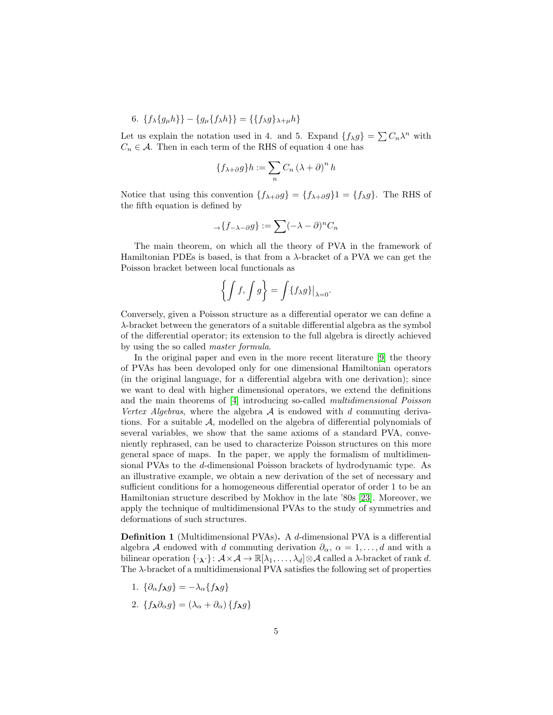6. 
$$
\{f_{\lambda}\{g_{\mu}h\}\}-\{g_{\mu}\{f_{\lambda}h\}\} = \{\{f_{\lambda}g\}_{\lambda+\mu}h\}
$$

Let us explain the notation used in 4. and 5. Expand  $\{f_{\lambda}g\} = \sum C_n\lambda^n$  with  $C_n \in \mathcal{A}$ . Then in each term of the RHS of equation 4 one has

$$
\{f_{\lambda+\partial}g\}h := \sum_{n} C_n (\lambda + \partial)^n h
$$

Notice that using this convention  $\{f_{\lambda+\partial}g\} = \{f_{\lambda+\partial}g\} = \{f_{\lambda}g\}$ . The RHS of the fifth equation is defined by

$$
\mathcal{A}\{f_{-\lambda-\partial}g\}:=\sum_{n}(-\lambda-\partial)^{n}C_{n}
$$

The main theorem, on which all the theory of PVA in the framework of Hamiltonian PDEs is based, is that from a  $\lambda$ -bracket of a PVA we can get the Poisson bracket between local functionals as

$$
\left\{ \int f, \int g \right\} = \int \{f_{\lambda}g\}\big|_{\lambda=0}.
$$

Conversely, given a Poisson structure as a differential operator we can define a λ-bracket between the generators of a suitable differential algebra as the symbol of the differential operator; its extension to the full algebra is directly achieved by using the so called master formula.

In the original paper and even in the more recent literature [\[9\]](#page-48-7) the theory of PVAs has been devoloped only for one dimensional Hamiltonian operators (in the original language, for a differential algebra with one derivation); since we want to deal with higher dimensional operators, we extend the definitions and the main theorems of [\[4\]](#page-48-0) introducing so-called multidimensional Poisson Vertex Algebras, where the algebra  $A$  is endowed with d commuting derivations. For a suitable A, modelled on the algebra of differential polynomials of several variables, we show that the same axioms of a standard PVA, conveniently rephrased, can be used to characterize Poisson structures on this more general space of maps. In the paper, we apply the formalism of multidimensional PVAs to the d-dimensional Poisson brackets of hydrodynamic type. As an illustrative example, we obtain a new derivation of the set of necessary and sufficient conditions for a homogeneous differential operator of order 1 to be an Hamiltonian structure described by Mokhov in the late '80s [\[23\]](#page-49-2). Moreover, we apply the technique of multidimensional PVAs to the study of symmetries and deformations of such structures.

Definition 1 (Multidimensional PVAs). A d-dimensional PVA is a differential algebra A endowed with d commuting derivation  $\partial_{\alpha}$ ,  $\alpha = 1, \ldots, d$  and with a bilinear operation  $\{\cdot_\lambda\cdot\}:\mathcal{A}\times\mathcal{A}\to\mathbb{R}[\lambda_1,\ldots,\lambda_d]\otimes\mathcal{A}$  called a  $\lambda$ -bracket of rank d. The  $\lambda$ -bracket of a multidimensional PVA satisfies the following set of properties

- 1.  $\{\partial_{\alpha}f_{\lambda}g\}=-\lambda_{\alpha}\{f_{\lambda}g\}$
- 2.  ${f_{\lambda}\partial_{\alpha}g} = (\lambda_{\alpha} + \partial_{\alpha}) {f_{\lambda}g}$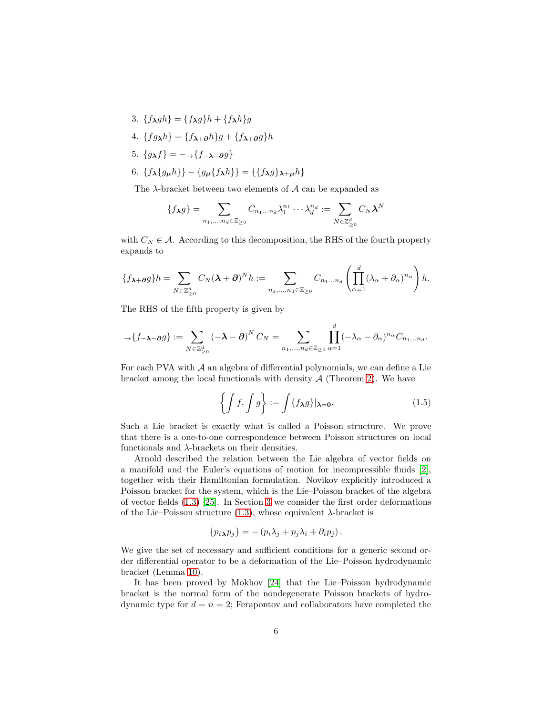- 3.  ${f_{\lambda}gh}={f_{\lambda}g}h+{f_{\lambda}h}g$
- 4.  ${fg\lambda h} = {f\lambda + \partial h}g + {f\lambda + \partial g}h$
- 5.  ${g_{\lambda}f} = -\lambda {f_{-\lambda-\partial}g}$
- 6.  $\{f_{\lambda}\{g_{\mu}h\}\}-\{g_{\mu}\{f_{\lambda}h\}\} = \{\{f_{\lambda}g\}_{\lambda+\mu}h\}$

The  $\lambda$ -bracket between two elements of  $\mathcal A$  can be expanded as

$$
\{f_{\boldsymbol{\lambda}}g\} = \sum_{n_1,\ldots,n_d \in \mathbb{Z}_{\geq 0}} C_{n_1\ldots n_d} \lambda_1^{n_1} \cdots \lambda_d^{n_d} := \sum_{N \in \mathbb{Z}_{\geq 0}^d} C_N \boldsymbol{\lambda}^N
$$

with  $C_N \in \mathcal{A}$ . According to this decomposition, the RHS of the fourth property expands to

<span id="page-6-0"></span>
$$
\{f_{\boldsymbol{\lambda}+\boldsymbol{\partial}}g\}h=\sum_{N\in\mathbb{Z}_{\geq 0}^{d}}C_{N}(\boldsymbol{\lambda}+\boldsymbol{\partial})^{N}h:=\sum_{n_{1},...,n_{d}\in\mathbb{Z}_{\geq 0}}C_{n_{1}...n_{d}}\left(\prod_{\alpha=1}^{d}(\lambda_{\alpha}+\partial_{\alpha})^{n_{\alpha}}\right)h.
$$

The RHS of the fifth property is given by

$$
\mathcal{A}\left\{f_{-\boldsymbol{\lambda}-\boldsymbol{\partial} g}\right\}:=\sum_{N\in\mathbb{Z}_{\geq 0}^d}\left(-\boldsymbol{\lambda}-\boldsymbol{\partial}\right)^N C_N=\sum_{n_1,\dots,n_d\in\mathbb{Z}_{\geq 0}}\prod_{\alpha=1}^d(-\lambda_{\alpha}-\partial_{\alpha})^{n_{\alpha}}C_{n_1\dots n_d}.
$$

For each PVA with  $A$  an algebra of differential polynomials, we can define a Lie bracket among the local functionals with density  $A$  (Theorem [2\)](#page-14-0). We have

$$
\left\{ \int f, \int g \right\} := \int \{ f_{\lambda} g \} |_{\lambda = 0}.
$$
 (1.5)

Such a Lie bracket is exactly what is called a Poisson structure. We prove that there is a one-to-one correspondence between Poisson structures on local functionals and  $\lambda$ -brackets on their densities.

Arnold described the relation between the Lie algebra of vector fields on a manifold and the Euler's equations of motion for incompressible fluids [\[2\]](#page-47-0), together with their Hamiltonian formulation. Novikov explicitly introduced a Poisson bracket for the system, which is the Lie–Poisson bracket of the algebra of vector fields [\(1.3\)](#page-1-0) [\[25\]](#page-49-1). In Section [3](#page-20-0) we consider the first order deformations of the Lie–Poisson structure [\(1.3\)](#page-1-0), whose equivalent  $\lambda$ -bracket is

$$
\{p_i\mathbf{\lambda}p_j\} = -(p_i\lambda_j + p_j\lambda_i + \partial_i p_j).
$$

We give the set of necessary and sufficient conditions for a generic second order differential operator to be a deformation of the Lie–Poisson hydrodynamic bracket (Lemma [10\)](#page-33-0).

It has been proved by Mokhov [\[24\]](#page-49-7) that the Lie–Poisson hydrodynamic bracket is the normal form of the nondegenerate Poisson brackets of hydrodynamic type for  $d = n = 2$ ; Ferapontov and collaborators have completed the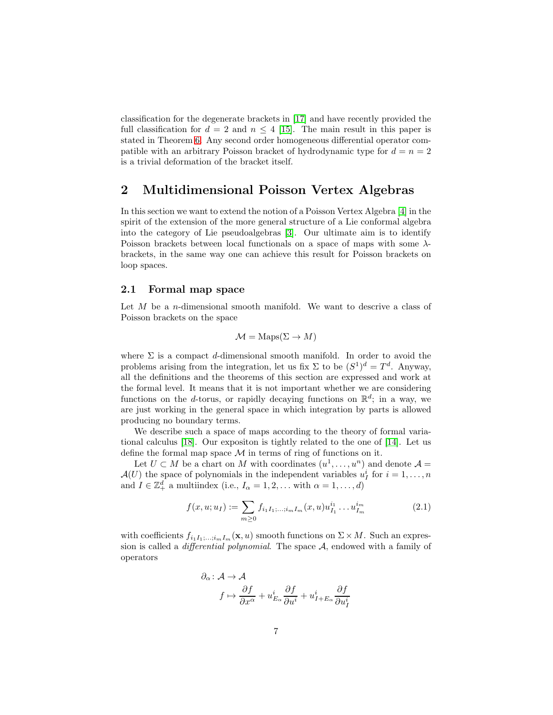<span id="page-7-0"></span>classification for the degenerate brackets in [\[17\]](#page-49-5) and have recently provided the full classification for  $d = 2$  and  $n \leq 4$  [\[15\]](#page-48-8). The main result in this paper is stated in Theorem [6.](#page-29-0) Any second order homogeneous differential operator compatible with an arbitrary Poisson bracket of hydrodynamic type for  $d = n = 2$ is a trivial deformation of the bracket itself.

### 2 Multidimensional Poisson Vertex Algebras

In this section we want to extend the notion of a Poisson Vertex Algebra [\[4\]](#page-48-0) in the spirit of the extension of the more general structure of a Lie conformal algebra into the category of Lie pseudoalgebras [\[3\]](#page-47-1). Our ultimate aim is to identify Poisson brackets between local functionals on a space of maps with some  $\lambda$ brackets, in the same way one can achieve this result for Poisson brackets on loop spaces.

#### 2.1 Formal map space

Let  $M$  be a *n*-dimensional smooth manifold. We want to descrive a class of Poisson brackets on the space

<span id="page-7-3"></span><span id="page-7-2"></span>
$$
\mathcal{M} = \text{Maps}(\Sigma \to M)
$$

where  $\Sigma$  is a compact d-dimensional smooth manifold. In order to avoid the problems arising from the integration, let us fix  $\Sigma$  to be  $(S^1)^d = T^d$ . Anyway, all the definitions and the theorems of this section are expressed and work at the formal level. It means that it is not important whether we are considering functions on the d-torus, or rapidly decaying functions on  $\mathbb{R}^d$ ; in a way, we are just working in the general space in which integration by parts is allowed producing no boundary terms.

We describe such a space of maps according to the theory of formal variational calculus [\[18\]](#page-49-8). Our expositon is tightly related to the one of [\[14\]](#page-48-4). Let us define the formal map space  $\mathcal M$  in terms of ring of functions on it.

Let  $U \subset M$  be a chart on M with coordinates  $(u^1, \ldots, u^n)$  and denote  $\mathcal{A} =$  $\mathcal{A}(U)$  the space of polynomials in the independent variables  $u_I^i$  for  $i = 1, \ldots, n$ and  $I \in \mathbb{Z}_+^d$  a multiindex (i.e.,  $I_\alpha = 1, 2, \dots$  with  $\alpha = 1, \dots, d$ )

$$
f(x, u; u_I) := \sum_{m \ge 0} f_{i_1 I_1; \dots; i_m I_m}(x, u) u_{I_1}^{i_1} \dots u_{I_m}^{i_m}
$$
 (2.1)

with coefficients  $f_{i_1I_1,\ldots,i_mI_m}(\mathbf{x},u)$  smooth functions on  $\Sigma \times M$ . Such an expression is called a *differential polynomial*. The space  $A$ , endowed with a family of operators

<span id="page-7-1"></span>
$$
\partial_{\alpha} : A \to A
$$
  

$$
f \mapsto \frac{\partial f}{\partial x^{\alpha}} + u_{E_{\alpha}}^{i} \frac{\partial f}{\partial u^{i}} + u_{I+E_{\alpha}}^{i} \frac{\partial f}{\partial u_{I}^{i}}
$$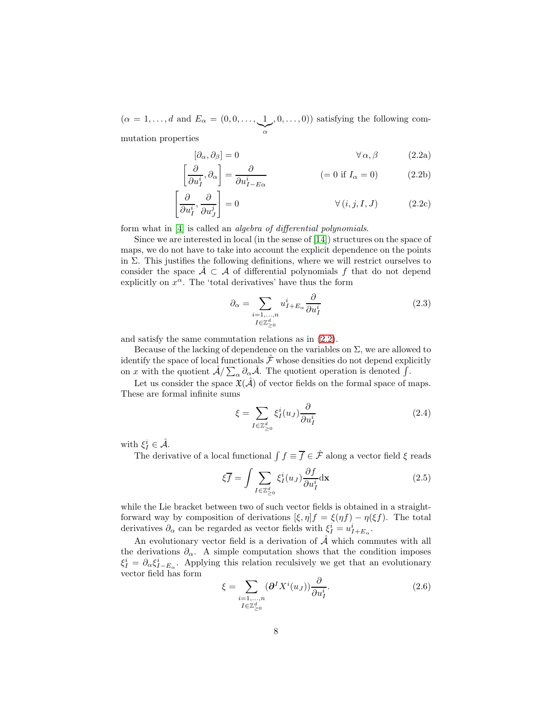$(\alpha = 1, \ldots, d \text{ and } E_{\alpha} = (0, 0, \ldots, 1)$  $\sum_{\alpha}$  $(0, \ldots, 0)$  satisfying the following commutation properties

$$
[\partial_{\alpha}, \partial_{\beta}] = 0 \qquad \forall \alpha, \beta \qquad (2.2a)
$$

$$
\left[\frac{\partial}{\partial u_I^i}, \partial_\alpha\right] = \frac{\partial}{\partial u_{I - E\alpha}^i} \tag{2.2b}
$$

$$
\left[\frac{\partial}{\partial u_i^i}, \frac{\partial}{\partial u_j^j}\right] = 0 \qquad \forall (i, j, I, J) \qquad (2.2c)
$$

form what in [\[4\]](#page-48-0) is called an algebra of differential polynomials.

Since we are interested in local (in the sense of [\[14\]](#page-48-4)) structures on the space of maps, we do not have to take into account the explicit dependence on the points in  $\Sigma$ . This justifies the following definitions, where we will restrict ourselves to consider the space  $A \subset A$  of differential polynomials f that do not depend explicitly on  $x^{\alpha}$ . The 'total derivatives' have thus the form

<span id="page-8-0"></span>
$$
\partial_{\alpha} = \sum_{\substack{i=1,\dots,n \\ I \in \mathbb{Z}_{\geq 0}^d}} u_{I+E_{\alpha}}^i \frac{\partial}{\partial u_I^i}
$$
(2.3)

and satisfy the same commutation relations as in [\(2.2\)](#page-7-0).

Because of the lacking of dependence on the variables on  $\Sigma$ , we are allowed to identify the space of local functionals  $\hat{\mathcal{F}}$  whose densities do not depend explicitly on x with the quotient  $\hat{\mathcal{A}}/\sum_{\alpha}\partial_{\alpha}\hat{\mathcal{A}}$ . The quotient operation is denoted  $\int$ .

Let us consider the space  $\mathfrak{X}(\hat{\mathcal{A}})$  of vector fields on the formal space of maps. These are formal infinite sums

$$
\xi = \sum_{I \in \mathbb{Z}_{\geq 0}^d} \xi_I^i(u_J) \frac{\partial}{\partial u_I^i}
$$
 (2.4)

with  $\xi_I^i \in \hat{\mathcal{A}}$ .

The derivative of a local functional  $\int f \equiv \overline{f} \in \hat{\mathcal{F}}$  along a vector field  $\xi$  reads

$$
\xi \overline{f} = \int \sum_{I \in \mathbb{Z}_{\geq 0}^d} \xi_I^i(u_J) \frac{\partial f}{\partial u_I^i} d\mathbf{x}
$$
 (2.5)

while the Lie bracket between two of such vector fields is obtained in a straightforward way by composition of derivations  $[\xi, \eta]f = \xi(\eta f) - \eta(\xi f)$ . The total derivatives  $\partial_{\alpha}$  can be regarded as vector fields with  $\xi_I^i = u_{I+E_{\alpha}}^i$ .

An evolutionary vector field is a derivation of  $\hat{\mathcal{A}}$  which commutes with all the derivations  $\partial_{\alpha}$ . A simple computation shows that the condition imposes  $\xi_I^i = \partial_\alpha \xi_{I-E_\alpha}^i$ . Applying this relation reculsively we get that an evolutionary vector field has form

$$
\xi = \sum_{\substack{i=1,\ldots,n\\I\in\mathbb{Z}_{\geq 0}^d}} (\partial^I X^i(u_J)) \frac{\partial}{\partial u_I^i}.
$$
\n(2.6)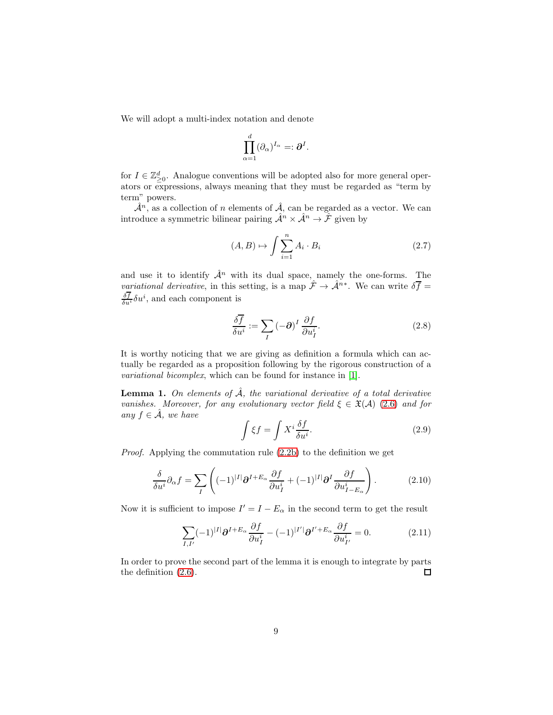<span id="page-9-3"></span>We will adopt a multi-index notation and denote

$$
\prod_{\alpha=1}^d (\partial_\alpha)^{I_\alpha} =: \boldsymbol{\partial}^I.
$$

<span id="page-9-0"></span>for  $I \in \mathbb{Z}_{\geq 0}^d$ . Analogue conventions will be adopted also for more general operators or expressions, always meaning that they must be regarded as "term by term" powers.

 $\hat{\mathcal{A}}^n$ , as a collection of n elements of  $\hat{\mathcal{A}}$ , can be regarded as a vector. We can introduce a symmetric bilinear pairing  $\mathcal{A}^n \times \mathcal{A}^n \to \mathcal{F}$  given by

$$
(A, B) \mapsto \int \sum_{i=1}^{n} A_i \cdot B_i \tag{2.7}
$$

and use it to identify  $\hat{\mathcal{A}}^n$  with its dual space, namely the one-forms. The *variational derivative*, in this setting, is a map  $\hat{\mathcal{F}} \to \hat{\mathcal{A}}^{n*}$ . We can write  $\delta \overline{\mathcal{f}} =$  $\frac{\delta f}{\delta u^i} \delta u^i$ , and each component is

$$
\frac{\delta \overline{f}}{\delta u^i} := \sum_I \left( -\partial \right)^I \frac{\partial f}{\partial u^i_I}.
$$
\n(2.8)

It is worthy noticing that we are giving as definition a formula which can actually be regarded as a proposition following by the rigorous construction of a variational bicomplex, which can be found for instance in [\[1\]](#page-47-2).

**Lemma 1.** On elements of  $\hat{A}$ , the variational derivative of a total derivative vanishes. Moreover, for any evolutionary vector field  $\xi \in \mathfrak{X}(\mathcal{A})$  [\(2.6\)](#page-7-1) and for any  $f \in \mathcal{A}$ , we have

<span id="page-9-1"></span>
$$
\int \xi f = \int X^i \frac{\delta f}{\delta u^i}.
$$
\n(2.9)

Proof. Applying the commutation rule [\(2.2b\)](#page-7-2) to the definition we get

$$
\frac{\delta}{\delta u^i} \partial_{\alpha} f = \sum_{I} \left( (-1)^{|I|} \partial^{I + E_{\alpha}} \frac{\partial f}{\partial u_I^i} + (-1)^{|I|} \partial^I \frac{\partial f}{\partial u_{I - E_{\alpha}}^i} \right). \tag{2.10}
$$

Now it is sufficient to impose  $I' = I - E_{\alpha}$  in the second term to get the result

<span id="page-9-2"></span>
$$
\sum_{I,I'} (-1)^{|I|} \partial^{I+E_{\alpha}} \frac{\partial f}{\partial u_I^i} - (-1)^{|I'|} \partial^{I'+E_{\alpha}} \frac{\partial f}{\partial u_{I'}^i} = 0.
$$
 (2.11)

In order to prove the second part of the lemma it is enough to integrate by parts the definition [\(2.6\)](#page-7-1).  $\square$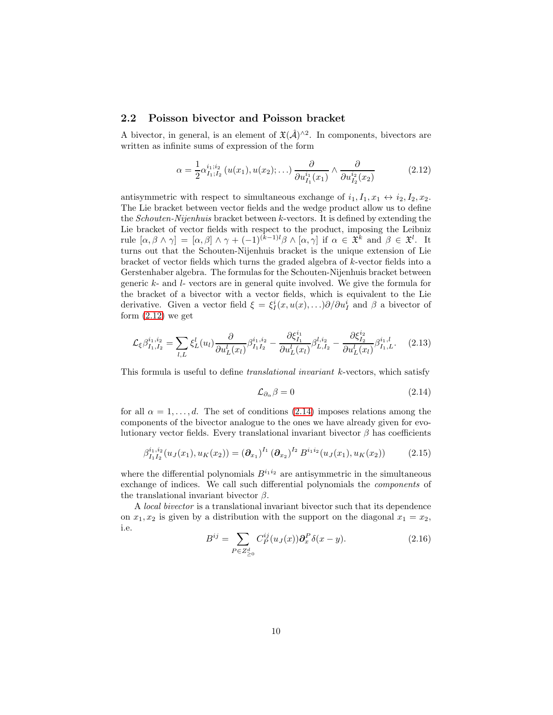#### 2.2 Poisson bivector and Poisson bracket

A bivector, in general, is an element of  $\mathfrak{X}(\hat{\mathcal{A}})^{\wedge 2}$ . In components, bivectors are written as infinite sums of expression of the form

$$
\alpha = \frac{1}{2} \alpha_{I_1; I_2}^{i_1; i_2} (u(x_1), u(x_2); \ldots) \frac{\partial}{\partial u_{I_1}^{i_1}(x_1)} \wedge \frac{\partial}{\partial u_{I_2}^{i_2}(x_2)} \tag{2.12}
$$

antisymmetric with respect to simultaneous exchange of  $i_1, I_1, x_1 \leftrightarrow i_2, I_2, x_2$ . The Lie bracket between vector fields and the wedge product allow us to define the Schouten-Nijenhuis bracket between k-vectors. It is defined by extending the Lie bracket of vector fields with respect to the product, imposing the Leibniz rule  $[\alpha, \beta \wedge \gamma] = [\alpha, \beta] \wedge \gamma + (-1)^{(k-1)l} \beta \wedge [\alpha, \gamma]$  if  $\alpha \in \mathfrak{X}^k$  and  $\beta \in \mathfrak{X}^l$ . It turns out that the Schouten-Nijenhuis bracket is the unique extension of Lie bracket of vector fields which turns the graded algebra of k-vector fields into a Gerstenhaber algebra. The formulas for the Schouten-Nijenhuis bracket between generic  $k$ - and  $l$ - vectors are in general quite involved. We give the formula for the bracket of a bivector with a vector fields, which is equivalent to the Lie derivative. Given a vector field  $\xi = \xi_I^i(x, u(x), \ldots) \partial / \partial u_I^i$  and  $\beta$  a bivector of form  $(2.12)$  we get

$$
\mathcal{L}_{\xi}\beta_{I_1,I_2}^{i_1,i_2} = \sum_{l,L} \xi_L^l(u_l) \frac{\partial}{\partial u_L^l(x_l)} \beta_{I_1I_2}^{i_1,i_2} - \frac{\partial \xi_{I_1}^{i_1}}{\partial u_L^l(x_l)} \beta_{L,I_2}^{l,i_2} - \frac{\partial \xi_{I_2}^{i_2}}{\partial u_L^l(x_l)} \beta_{I_1,L}^{i_1,l}.
$$
 (2.13)

This formula is useful to define translational invariant k-vectors, which satisfy

<span id="page-10-0"></span>
$$
\mathcal{L}_{\partial_{\alpha}}\beta = 0 \tag{2.14}
$$

for all  $\alpha = 1, \ldots, d$ . The set of conditions [\(2.14\)](#page-9-1) imposes relations among the components of the bivector analogue to the ones we have already given for evolutionary vector fields. Every translational invariant bivector  $\beta$  has coefficients

$$
\beta_{I_1 I_2}^{i_1, i_2}(u_J(x_1), u_K(x_2)) = \left(\partial_{x_1}\right)^{I_1} \left(\partial_{x_2}\right)^{I_2} B^{i_1 i_2}(u_J(x_1), u_K(x_2)) \tag{2.15}
$$

where the differential polynomials  $B^{i_1 i_2}$  are antisymmetric in the simultaneous exchange of indices. We call such differential polynomials the components of the translational invariant bivector  $\beta$ .

A local bivector is a translational invariant bivector such that its dependence on  $x_1, x_2$  is given by a distribution with the support on the diagonal  $x_1 = x_2$ , i.e.

$$
B^{ij} = \sum_{P \in Z_{\geq 0}^d} C_P^{ij}(u_J(x)) \partial_x^P \delta(x - y).
$$
 (2.16)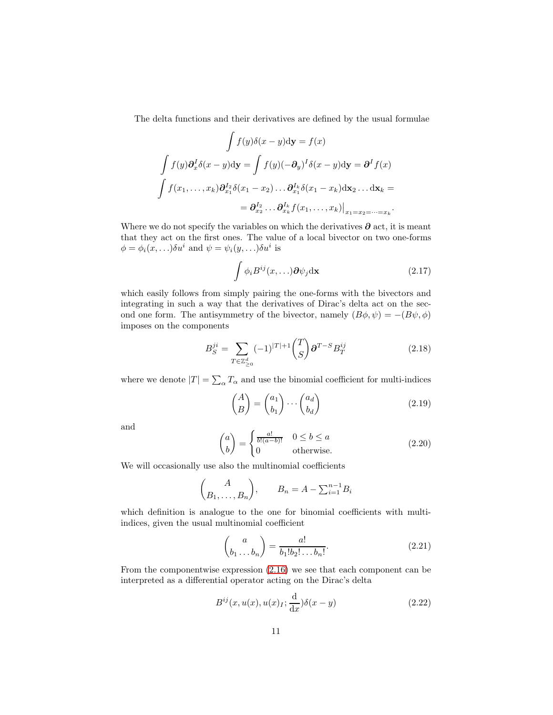The delta functions and their derivatives are defined by the usual formulae

$$
\int f(y)\delta(x-y)\mathrm{d}\mathbf{y} = f(x)
$$

$$
\int f(y)\partial_x^I \delta(x-y)\mathrm{d}\mathbf{y} = \int f(y)(-\partial_y)^I \delta(x-y)\mathrm{d}\mathbf{y} = \partial^I f(x)
$$

$$
\int f(x_1,\ldots,x_k)\partial_{x_1}^{I_2} \delta(x_1-x_2)\ldots \partial_{x_1}^{I_k} \delta(x_1-x_k)\mathrm{d}\mathbf{x}_2\ldots \mathrm{d}\mathbf{x}_k =
$$

$$
= \partial_{x_2}^{I_2}\ldots \partial_{x_k}^{I_k} f(x_1,\ldots,x_k)|_{x_1=x_2=\cdots=x_k}.
$$

Where we do not specify the variables on which the derivatives  $\partial$  act, it is meant that they act on the first ones. The value of a local bivector on two one-forms  $\phi = \phi_i(x, \ldots) \delta u^i$  and  $\psi = \psi_i(y, \ldots) \delta u^i$  is

$$
\int \phi_i B^{ij}(x,\ldots)\partial \psi_j \mathrm{d}\mathbf{x} \tag{2.17}
$$

which easily follows from simply pairing the one-forms with the bivectors and integrating in such a way that the derivatives of Dirac's delta act on the second one form. The antisymmetry of the bivector, namely  $(B\phi, \psi) = -(B\psi, \phi)$ imposes on the components

<span id="page-11-0"></span>
$$
B_S^{ji} = \sum_{T \in \mathbb{Z}_{\geq 0}^d} (-1)^{|T|+1} \binom{T}{S} \partial^{T-S} B_T^{ij} \tag{2.18}
$$

where we denote  $|T| = \sum_{\alpha} T_{\alpha}$  and use the binomial coefficient for multi-indices

$$
\begin{pmatrix} A \\ B \end{pmatrix} = \begin{pmatrix} a_1 \\ b_1 \end{pmatrix} \cdots \begin{pmatrix} a_d \\ b_d \end{pmatrix} \tag{2.19}
$$

and

$$
\binom{a}{b} = \begin{cases} \frac{a!}{b!(a-b)!} & 0 \le b \le a \\ 0 & \text{otherwise.} \end{cases}
$$
 (2.20)

We will occasionally use also the multinomial coefficients

$$
\binom{A}{B_1, \dots, B_n}, \qquad B_n = A - \sum_{i=1}^{n-1} B_i
$$

which definition is analogue to the one for binomial coefficients with multiindices, given the usual multinomial coefficient

$$
\binom{a}{b_1 \dots b_n} = \frac{a!}{b_1! b_2! \dots b_n!}.
$$
\n(2.21)

From the componentwise expression [\(2.16\)](#page-9-2) we see that each component can be interpreted as a differential operator acting on the Dirac's delta

$$
B^{ij}(x, u(x), u(x)_I; \frac{\mathrm{d}}{\mathrm{d}x})\delta(x - y) \tag{2.22}
$$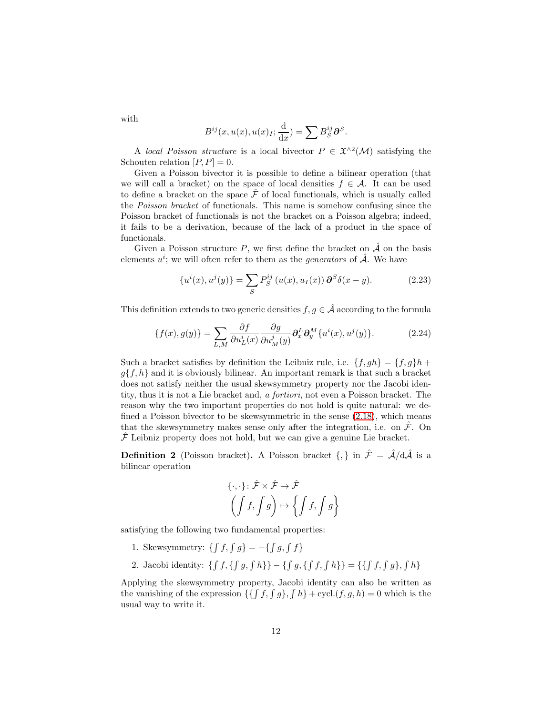with

$$
B^{ij}(x, u(x), u(x)_I; \frac{\mathrm{d}}{\mathrm{d}x}) = \sum B_S^{ij} \partial S^S.
$$

A local Poisson structure is a local bivector  $P \in \mathfrak{X}^{\wedge 2}(\mathcal{M})$  satisfying the Schouten relation  $[P, P] = 0$ .

Given a Poisson bivector it is possible to define a bilinear operation (that we will call a bracket) on the space of local densities  $f \in \mathcal{A}$ . It can be used to define a bracket on the space  $\hat{\mathcal{F}}$  of local functionals, which is usually called the Poisson bracket of functionals. This name is somehow confusing since the Poisson bracket of functionals is not the bracket on a Poisson algebra; indeed, it fails to be a derivation, because of the lack of a product in the space of functionals.

Given a Poisson structure  $P$ , we first define the bracket on  $\hat{\mathcal{A}}$  on the basis elements  $u^i$ ; we will often refer to them as the *generators* of  $\hat{\mathcal{A}}$ . We have

$$
\{u^{i}(x), u^{j}(y)\} = \sum_{S} P_{S}^{ij} (u(x), u_{I}(x)) \partial^{S} \delta(x - y).
$$
 (2.23)

This definition extends to two generic densities  $f, g \in \hat{\mathcal{A}}$  according to the formula

$$
\{f(x), g(y)\} = \sum_{L,M} \frac{\partial f}{\partial u_L^i(x)} \frac{\partial g}{\partial u_M^j(y)} \partial_x^L \partial_y^M \{u^i(x), u^j(y)\}.
$$
 (2.24)

<span id="page-12-3"></span>Such a bracket satisfies by definition the Leibniz rule, i.e.  $\{f, gh\} = \{f, g\}h$  +  $g{f,h}$  and it is obviously bilinear. An important remark is that such a bracket does not satisfy neither the usual skewsymmetry property nor the Jacobi identity, thus it is not a Lie bracket and, a fortiori, not even a Poisson bracket. The reason why the two important properties do not hold is quite natural: we defined a Poisson bivector to be skewsymmetric in the sense  $(2.18)$ , which means that the skewsymmetry makes sense only after the integration, i.e. on  $\hat{\mathcal{F}}$ . On  $\mathcal F$  Leibniz property does not hold, but we can give a genuine Lie bracket.

**Definition 2** (Poisson bracket). A Poisson bracket  $\{\,\}\$ in  $\hat{\mathcal{F}} = \hat{\mathcal{A}}/d\hat{\mathcal{A}}$  is a bilinear operation

<span id="page-12-2"></span><span id="page-12-1"></span><span id="page-12-0"></span>
$$
\{\cdot, \cdot\} \colon \hat{\mathcal{F}} \times \hat{\mathcal{F}} \to \hat{\mathcal{F}}
$$

$$
\left( \int f, \int g \right) \mapsto \left\{ \int f, \int g \right\}
$$

satisfying the following two fundamental properties:

- 1. Skewsymmetry:  $\{ \int f, \int g \} = -\{ \int g, \int f \}$
- 2. Jacobi identity:  $\{ \int f, \{ \int g, \int h \} \} \{ \int g, \{ \int f, \int h \} \} = \{ \{ \int f, \int g \} , \int h \}$

Applying the skewsymmetry property, Jacobi identity can also be written as the vanishing of the expression  $\{\{\int f, \int g\}, \int h\}$  + cycl. $(f, g, h) = 0$  which is the usual way to write it.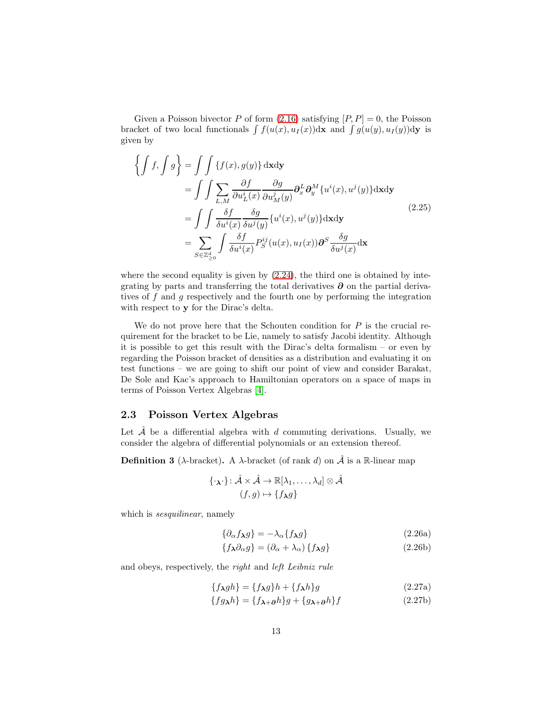Given a Poisson bivector P of form  $(2.16)$  satisfying  $[P, P] = 0$ , the Poisson bracket of two local functionals  $\int f(u(x), u_1(x))dx$  and  $\int g(u(y), u_1(y))dx$  is given by

$$
\left\{\int f, \int g\right\} = \int \int \left\{f(x), g(y)\right\} d\mathbf{x} d\mathbf{y}
$$
\n
$$
= \int \int \sum_{L,M} \frac{\partial f}{\partial u_L^i(x)} \frac{\partial g}{\partial u_M^j(y)} \partial_x^L \partial_y^M \{u^i(x), u^j(y)\} d\mathbf{x} d\mathbf{y}
$$
\n
$$
= \int \int \frac{\delta f}{\delta u^i(x)} \frac{\delta g}{\delta u^j(y)} \{u^i(x), u^j(y)\} d\mathbf{x} d\mathbf{y}
$$
\n
$$
= \sum_{S \in \mathbb{Z}_{\geq 0}^d} \int \frac{\delta f}{\delta u^i(x)} P_S^{ij}(u(x), u_I(x)) \partial^S \frac{\delta g}{\delta u^j(x)} d\mathbf{x}
$$
\n(2.25)

<span id="page-13-1"></span><span id="page-13-0"></span>where the second equality is given by  $(2.24)$ , the third one is obtained by integrating by parts and transferring the total derivatives  $\partial$  on the partial derivatives of f and g respectively and the fourth one by performing the integration with respect to y for the Dirac's delta.

We do not prove here that the Schouten condition for  $P$  is the crucial requirement for the bracket to be Lie, namely to satisfy Jacobi identity. Although it is possible to get this result with the Dirac's delta formalism – or even by regarding the Poisson bracket of densities as a distribution and evaluating it on test functions – we are going to shift our point of view and consider Barakat, De Sole and Kac's approach to Hamiltonian operators on a space of maps in terms of Poisson Vertex Algebras [\[4\]](#page-48-0).

#### <span id="page-13-2"></span>2.3 Poisson Vertex Algebras

Let  $\hat{\mathcal{A}}$  be a differential algebra with d commuting derivations. Usually, we consider the algebra of differential polynomials or an extension thereof.

**Definition 3** ( $\lambda$ -bracket). A  $\lambda$ -bracket (of rank d) on  $\hat{\mathcal{A}}$  is a R-linear map

$$
\{\cdot_{\mathbf{\lambda}}\cdot\} \colon \hat{\mathcal{A}} \times \hat{\mathcal{A}} \to \mathbb{R}[\lambda_1, \dots, \lambda_d] \otimes \hat{\mathcal{A}}
$$

$$
(f, g) \mapsto \{f_{\mathbf{\lambda}}g\}
$$

which is *sesquilinear*, namely

$$
\{\partial_{\alpha} f_{\lambda} g\} = -\lambda_{\alpha} \{f_{\lambda} g\} \tag{2.26a}
$$

$$
\{f_{\lambda}\partial_{\alpha}g\} = (\partial_{\alpha} + \lambda_{\alpha})\{f_{\lambda}g\}
$$
 (2.26b)

and obeys, respectively, the right and left Leibniz rule

$$
\{f_{\lambda}gh\} = \{f_{\lambda}g\}h + \{f_{\lambda}h\}g\tag{2.27a}
$$

<span id="page-13-3"></span>
$$
\{fg_{\mathbf{\lambda}}h\} = \{f_{\mathbf{\lambda}+\partial}h\}g + \{g_{\mathbf{\lambda}+\partial}h\}f\tag{2.27b}
$$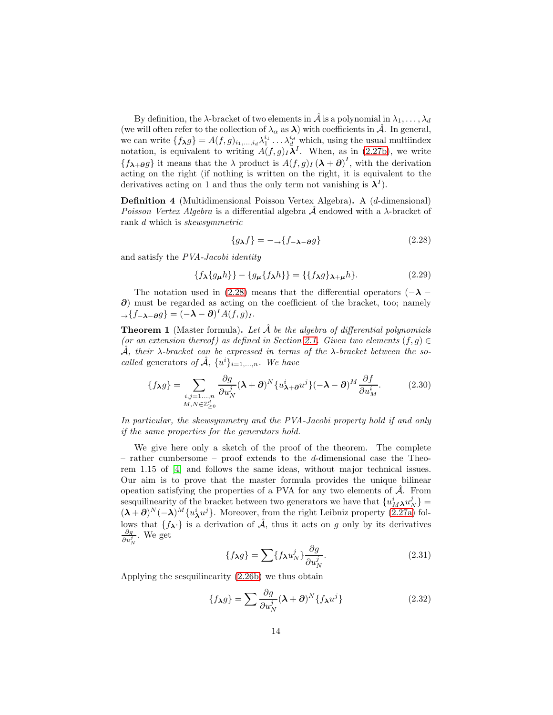By definition, the  $\lambda$ -bracket of two elements in  $\hat{\mathcal{A}}$  is a polynomial in  $\lambda_1, \ldots, \lambda_d$ (we will often refer to the collection of  $\lambda_{\alpha}$  as  $\lambda$ ) with coefficients in  $\hat{\mathcal{A}}$ . In general, we can write  $\{f_{\lambda}g\}=A(f,g)_{i_1,\ldots,i_d}\lambda_1^{i_1}\ldots\lambda_d^{i_d}$  which, using the usual multiindex notation, is equivalent to writing  $A(f,g)_{I}\lambda^{I}$ . When, as in [\(2.27b\)](#page-12-0), we write  $\{f_{\lambda+\partial}g\}$  it means that the  $\lambda$  product is  $A(f,g)_I(\lambda+\partial)^I$ , with the derivation acting on the right (if nothing is written on the right, it is equivalent to the derivatives acting on 1 and thus the only term not vanishing is  $\lambda^I$ ).

Definition 4 (Multidimensional Poisson Vertex Algebra). A (d-dimensional) *Poisson Vertex Algebra* is a differential algebra  $A$  endowed with a  $\lambda$ -bracket of rank d which is skewsymmetric

<span id="page-14-1"></span>
$$
\{g_{\lambda}f\} = -\text{arctan}(f_{-\lambda - \partial}g)
$$
\n<sup>(2.28)</sup>

and satisfy the PVA-Jacobi identity

$$
\{f_{\lambda}\{g_{\mu}h\}\}-\{g_{\mu}\{f_{\lambda}h\}\} = \{\{f_{\lambda}g\}_{\lambda+\mu}h\}.
$$
 (2.29)

The notation used in [\(2.28\)](#page-13-0) means that the differential operators ( $-\lambda$  – ∂) must be regarded as acting on the coefficient of the bracket, too; namely  $\rightarrow$ { $f_{-\lambda-\partial}g$ } =  $(-\lambda - \partial)^{I}A(f,g)_{I}$ .

**Theorem 1** (Master formula). Let  $\hat{A}$  be the algebra of differential polynomials (or an extension thereof) as defined in Section [2.1.](#page-6-0) Given two elements  $(f, g) \in$  $\hat{\mathcal{A}}$ , their  $\lambda$ -bracket can be expressed in terms of the  $\lambda$ -bracket between the socalled generators of  $\hat{A}$ ,  $\{u^{i}\}_{i=1,...,n}$ . We have

<span id="page-14-2"></span>
$$
\{f_{\lambda}g\} = \sum_{\substack{i,j=1...,n\\M,N \in \mathbb{Z}_{\geq 0}^d}} \frac{\partial g}{\partial u_N^j} (\lambda + \partial)^N \{u_{\lambda+\partial}^i u^j\} (-\lambda - \partial)^M \frac{\partial f}{\partial u_M^i}.
$$
 (2.30)

<span id="page-14-0"></span>In particular, the skewsymmetry and the PVA-Jacobi property hold if and only if the same properties for the generators hold.

We give here only a sketch of the proof of the theorem. The complete – rather cumbersome – proof extends to the d-dimensional case the Theorem 1.15 of [\[4\]](#page-48-0) and follows the same ideas, without major technical issues. Our aim is to prove that the master formula provides the unique bilinear opeation satisfying the properties of a PVA for any two elements of  $\hat{A}$ . From sesquilinearity of the bracket between two generators we have that  $\{u_M^i \lambda u_N^j\}$  =  $(\lambda + \partial)^N (-\lambda)^M \{u^i_{\lambda} u^j\}$ . Moreover, from the right Leibniz property [\(2.27a\)](#page-12-1) follows that  $\{f_{\lambda}\}\$ is a derivation of  $\hat{\mathcal{A}}$ , thus it acts on g only by its derivatives  $\frac{\partial g}{\partial u_N^j}$ . We get

$$
\{f_{\lambda}g\} = \sum \{f_{\lambda}u_N^j\}\frac{\partial g}{\partial u_N^j}.\tag{2.31}
$$

Applying the sesquilinearity [\(2.26b\)](#page-12-2) we thus obtain

$$
\{f_{\lambda}g\} = \sum \frac{\partial g}{\partial u_N^j} (\lambda + \partial)^N \{f_{\lambda}u^j\}
$$
 (2.32)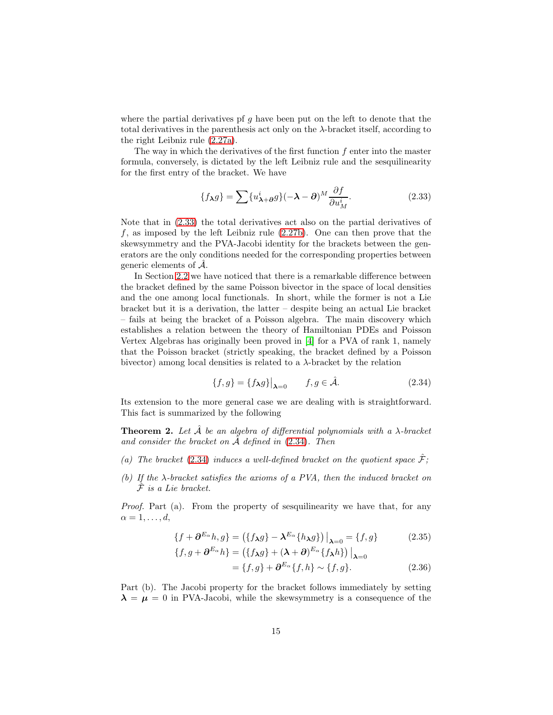where the partial derivatives pf  $g$  have been put on the left to denote that the total derivatives in the parenthesis act only on the  $\lambda$ -bracket itself, according to the right Leibniz rule [\(2.27a\)](#page-12-1).

The way in which the derivatives of the first function  $f$  enter into the master formula, conversely, is dictated by the left Leibniz rule and the sesquilinearity for the first entry of the bracket. We have

<span id="page-15-0"></span>
$$
\{f_{\lambda}g\} = \sum \{u_{\lambda+\partial}^i g\} (-\lambda - \partial)^M \frac{\partial f}{\partial u_M^i}.
$$
 (2.33)

Note that in [\(2.33\)](#page-14-1) the total derivatives act also on the partial derivatives of f, as imposed by the left Leibniz rule  $(2.27b)$ . One can then prove that the skewsymmetry and the PVA-Jacobi identity for the brackets between the generators are the only conditions needed for the corresponding properties between generic elements of  $\hat{\mathcal{A}}$ .

In Section [2.2](#page-9-3) we have noticed that there is a remarkable difference between the bracket defined by the same Poisson bivector in the space of local densities and the one among local functionals. In short, while the former is not a Lie bracket but it is a derivation, the latter – despite being an actual Lie bracket – fails at being the bracket of a Poisson algebra. The main discovery which establishes a relation between the theory of Hamiltonian PDEs and Poisson Vertex Algebras has originally been proved in [\[4\]](#page-48-0) for a PVA of rank 1, namely that the Poisson bracket (strictly speaking, the bracket defined by a Poisson bivector) among local densities is related to a  $\lambda$ -bracket by the relation

$$
\{f,g\} = \{f_{\lambda}g\}\big|_{\lambda=0} \qquad f,g \in \hat{\mathcal{A}}.\tag{2.34}
$$

Its extension to the more general case we are dealing with is straightforward. This fact is summarized by the following

**Theorem 2.** Let  $\hat{A}$  be an algebra of differential polynomials with a  $\lambda$ -bracket and consider the bracket on  $\hat{\mathcal{A}}$  defined in [\(2.34\)](#page-14-2). Then

- (a) The bracket [\(2.34\)](#page-14-2) induces a well-defined bracket on the quotient space  $\hat{\mathcal{F}}$ ;
- (b) If the  $\lambda$ -bracket satisfies the axioms of a PVA, then the induced bracket on  $\overline{\mathcal{F}}$  is a Lie bracket.

<span id="page-15-1"></span>Proof. Part (a). From the property of sesquilinearity we have that, for any  $\alpha = 1, \ldots, d$ ,

$$
\{f + \partial^{E_{\alpha}}h, g\} = (\{f_{\lambda}g\} - \lambda^{E_{\alpha}}\{h_{\lambda}g\})\big|_{\lambda=0} = \{f, g\}
$$
\n
$$
\{f, g + \partial^{E_{\alpha}}h\} = (\{f_{\lambda}g\} + (\lambda + \partial)^{E_{\alpha}}\{f_{\lambda}h\})\big|_{\lambda=0}
$$
\n(2.35)

$$
= \{f, g\} + \partial^{E_{\alpha}} \{f, h\} \sim \{f, g\}.
$$
 (2.36)

Part (b). The Jacobi property for the bracket follows immediately by setting  $\lambda = \mu = 0$  in PVA-Jacobi, while the skewsymmetry is a consequence of the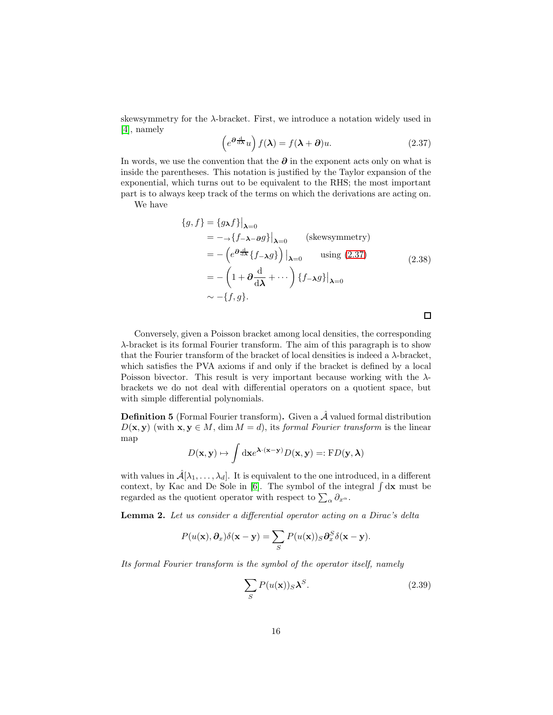skewsymmetry for the  $\lambda$ -bracket. First, we introduce a notation widely used in [\[4\]](#page-48-0), namely

$$
\left(e^{\partial \frac{\mathrm{d}}{\mathrm{d}\lambda}}u\right)f(\lambda) = f(\lambda + \partial)u.
$$
\n(2.37)

In words, we use the convention that the ∂ in the exponent acts only on what is inside the parentheses. This notation is justified by the Taylor expansion of the exponential, which turns out to be equivalent to the RHS; the most important part is to always keep track of the terms on which the derivations are acting on.

We have

$$
\{g, f\} = \{g_{\lambda}f\}\big|_{\lambda=0}
$$
  
=  $-\rightarrow \{f-\lambda-\partial g\}\big|_{\lambda=0}$  (skewsymmetry)  
=  $-(e^{\partial \frac{d}{d\lambda}}\{f-\lambda g\})\big|_{\lambda=0}$  using (2.37)  
=  $-(1+\partial \frac{d}{d\lambda}+\cdots)\{f-\lambda g\}\big|_{\lambda=0}$   
 $\sim -\{f, g\}.$  (2.38)

 $\Box$ 

Conversely, given a Poisson bracket among local densities, the corresponding λ-bracket is its formal Fourier transform. The aim of this paragraph is to show that the Fourier transform of the bracket of local densities is indeed a  $\lambda$ -bracket, which satisfies the PVA axioms if and only if the bracket is defined by a local Poisson bivector. This result is very important because working with the  $\lambda$ brackets we do not deal with differential operators on a quotient space, but with simple differential polynomials.

**Definition 5** (Formal Fourier transform). Given a  $\hat{\mathcal{A}}$  valued formal distribution  $D(\mathbf{x}, \mathbf{y})$  (with  $\mathbf{x}, \mathbf{y} \in M$ , dim  $M = d$ ), its formal Fourier transform is the linear map

<span id="page-16-0"></span>
$$
D(\mathbf{x}, \mathbf{y}) \mapsto \int d\mathbf{x} e^{\mathbf{\lambda} \cdot (\mathbf{x} - \mathbf{y})} D(\mathbf{x}, \mathbf{y}) =: \mathbf{F} D(\mathbf{y}, \mathbf{\lambda})
$$

with values in  $\hat{\mathcal{A}}[\lambda_1,\ldots,\lambda_d]$ . It is equivalent to the one introduced, in a different context, by Kac and De Sole in [\[6\]](#page-48-9). The symbol of the integral  $\int dx$  must be regarded as the quotient operator with respect to  $\sum_{\alpha} \partial_{x^{\alpha}}$ .

Lemma 2. Let us consider a differential operator acting on a Dirac's delta

$$
P(u(\mathbf{x}), \partial_x)\delta(\mathbf{x} - \mathbf{y}) = \sum_{S} P(u(\mathbf{x}))_S \partial_x^S \delta(\mathbf{x} - \mathbf{y}).
$$

Its formal Fourier transform is the symbol of the operator itself, namely

$$
\sum_{S} P(u(\mathbf{x}))_S \mathbf{\lambda}^S. \tag{2.39}
$$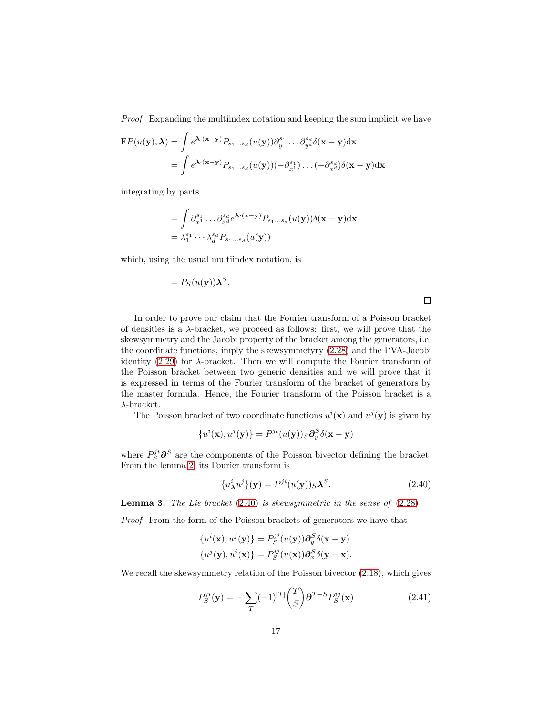Proof. Expanding the multiindex notation and keeping the sum implicit we have

$$
FP(u(\mathbf{y}), \boldsymbol{\lambda}) = \int e^{\boldsymbol{\lambda} \cdot (\mathbf{x} - \mathbf{y})} P_{s_1...s_d}(u(\mathbf{y})) \partial_{y^1}^{s_1} ... \partial_{y^d}^{s_d} \delta(\mathbf{x} - \mathbf{y}) d\mathbf{x}
$$
  
= 
$$
\int e^{\boldsymbol{\lambda} \cdot (\mathbf{x} - \mathbf{y})} P_{s_1...s_d}(u(\mathbf{y})) (-\partial_{x^1}^{s_1}) ... (-\partial_{x^d}^{s_d}) \delta(\mathbf{x} - \mathbf{y}) d\mathbf{x}
$$

integrating by parts

$$
= \int \partial_{x^1}^{s_1} \dots \partial_{x^d}^{s_d} e^{\lambda \cdot (\mathbf{x} - \mathbf{y})} P_{s_1 \dots s_d}(u(\mathbf{y})) \delta(\mathbf{x} - \mathbf{y}) \mathrm{d}\mathbf{x}
$$

$$
= \lambda_1^{s_1} \dots \lambda_d^{s_d} P_{s_1 \dots s_d}(u(\mathbf{y}))
$$

<span id="page-17-0"></span>which, using the usual multiindex notation, is

.

$$
= P_S(u(\mathbf{y}))\boldsymbol{\lambda}^S
$$

 $\Box$ 

In order to prove our claim that the Fourier transform of a Poisson bracket of densities is a  $\lambda$ -bracket, we proceed as follows: first, we will prove that the skewsymmetry and the Jacobi property of the bracket among the generators, i.e. the coordinate functions, imply the skewsymmetyry [\(2.28\)](#page-13-0) and the PVA-Jacobi identity  $(2.29)$  for  $\lambda$ -bracket. Then we will compute the Fourier transform of the Poisson bracket between two generic densities and we will prove that it is expressed in terms of the Fourier transform of the bracket of generators by the master formula. Hence, the Fourier transform of the Poisson bracket is a  $\lambda$ -bracket.

The Poisson bracket of two coordinate functions  $u^i(\mathbf{x})$  and  $u^j(\mathbf{y})$  is given by

$$
\{u^{i}(\mathbf{x}),u^{j}(\mathbf{y})\}=P^{ji}(u(\mathbf{y}))_{S}\partial_{y}^{S}\delta(\mathbf{x}-\mathbf{y})
$$

where  $P_S^{ji} \partial^S$  are the components of the Poisson bivector defining the bracket. From the lemma [2,](#page-15-1) its Fourier transform is

$$
\{u^i_{\lambda}u^j\}(\mathbf{y}) = P^{ji}(u(\mathbf{y}))_S \lambda^S. \tag{2.40}
$$

**Lemma 3.** The Lie bracket  $(2.40)$  is skewsymmetric in the sense of  $(2.28)$ .

Proof. From the form of the Poisson brackets of generators we have that

$$
\{u^{i}(\mathbf{x}), u^{j}(\mathbf{y})\} = P_{S}^{ji}(u(\mathbf{y}))\partial_{y}^{S}\delta(\mathbf{x} - \mathbf{y})
$$
  

$$
\{u^{j}(\mathbf{y}), u^{i}(\mathbf{x})\} = P_{S}^{ij}(u(\mathbf{x}))\partial_{x}^{S}\delta(\mathbf{y} - \mathbf{x}).
$$

We recall the skewsymmetry relation of the Poisson bivector [\(2.18\)](#page-10-0), which gives

$$
P_S^{ji}(\mathbf{y}) = -\sum_T (-1)^{|T|} \binom{T}{S} \partial^{T-S} P_S^{ij}(\mathbf{x}) \tag{2.41}
$$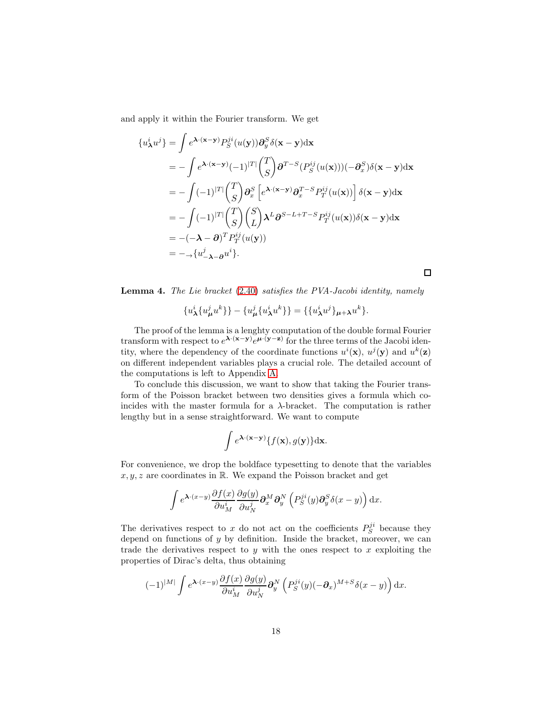and apply it within the Fourier transform. We get

$$
\{u^i_{\lambda}u^j\} = \int e^{\lambda \cdot (\mathbf{x} - \mathbf{y})} P_S^{ji}(u(\mathbf{y})) \partial_y^S \delta(\mathbf{x} - \mathbf{y}) d\mathbf{x}
$$
  
\n
$$
= -\int e^{\lambda \cdot (\mathbf{x} - \mathbf{y})} (-1)^{|T|} {T \choose S} \partial^{T-S} (P_S^{ij}(u(\mathbf{x})))(-\partial_x^S) \delta(\mathbf{x} - \mathbf{y}) d\mathbf{x}
$$
  
\n
$$
= -\int (-1)^{|T|} {T \choose S} \partial_x^S \left[e^{\lambda \cdot (\mathbf{x} - \mathbf{y})} \partial_x^{T-S} P_T^{ij}(u(\mathbf{x}))\right] \delta(\mathbf{x} - \mathbf{y}) d\mathbf{x}
$$
  
\n
$$
= -\int (-1)^{|T|} {T \choose S} {S \choose L} \lambda^L \partial^{S-L+T-S} P_T^{ij}(u(\mathbf{x})) \delta(\mathbf{x} - \mathbf{y}) d\mathbf{x}
$$
  
\n
$$
= -(-\lambda - \partial)^T P_T^{ij}(u(\mathbf{y}))
$$
  
\n
$$
= -\frac{1}{2} \{u^j_{-\lambda} - \partial u^i\}.
$$

Lemma 4. The Lie bracket [\(2.40\)](#page-16-0) satisfies the PVA-Jacobi identity, namely

 $\Box$ 

$$
{u^i_{\lambda}\{u^j_{\mu}u^k\}} - {u^j_{\mu}\{u^i_{\lambda}u^k\}} = {\{u^i_{\lambda}u^j\}_{\mu+\lambda}u^k\}.
$$

The proof of the lemma is a lenghty computation of the double formal Fourier transform with respect to  $e^{\lambda \cdot (x-y)} e^{\mu \cdot (y-z)}$  for the three terms of the Jacobi identity, where the dependency of the coordinate functions  $u^i(\mathbf{x})$ ,  $u^j(\mathbf{y})$  and  $u^k(\mathbf{z})$ on different independent variables plays a crucial role. The detailed account of the computations is left to Appendix [A.](#page-39-0)

To conclude this discussion, we want to show that taking the Fourier transform of the Poisson bracket between two densities gives a formula which coincides with the master formula for a  $\lambda$ -bracket. The computation is rather lengthy but in a sense straightforward. We want to compute

$$
\int e^{\lambda \cdot (\mathbf{x} - \mathbf{y})} \{f(\mathbf{x}), g(\mathbf{y})\} d\mathbf{x}.
$$

<span id="page-18-0"></span>For convenience, we drop the boldface typesetting to denote that the variables  $x, y, z$  are coordinates in R. We expand the Poisson bracket and get

$$
\int e^{\mathbf{\lambda}\cdot(x-y)} \frac{\partial f(x)}{\partial u_M^i} \frac{\partial g(y)}{\partial u_N^j} \partial_x^M \partial_y^N \left( P_S^{ji}(y) \partial_y^S \delta(x-y) \right) dx.
$$

The derivatives respect to x do not act on the coefficients  $P_S^{ji}$  because they depend on functions of y by definition. Inside the bracket, moreover, we can trade the derivatives respect to y with the ones respect to  $x$  exploiting the properties of Dirac's delta, thus obtaining

$$
(-1)^{|M|}\int e^{\mathbf{\lambda}\cdot(x-y)}\frac{\partial f(x)}{\partial u_M^i}\frac{\partial g(y)}{\partial u_N^j}\mathbf{\partial}_y^N\left(P_S^{ji}(y)(-\mathbf{\partial}_x)^{M+S}\delta(x-y)\right)\mathrm{d}x.
$$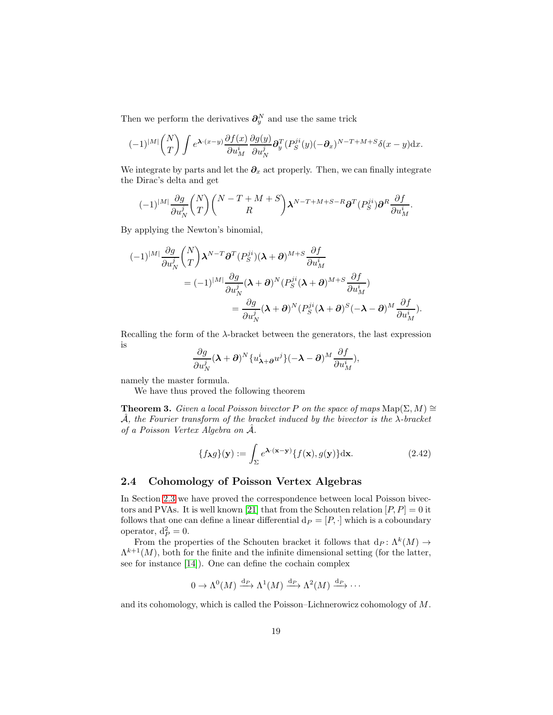Then we perform the derivatives  $\partial_y^N$  and use the same trick

$$
(-1)^{|M|} \binom{N}{T} \int e^{\mathbf{\lambda} \cdot (x-y)} \frac{\partial f(x)}{\partial u_M^i} \frac{\partial g(y)}{\partial u_N^j} \partial_y^T (P_S^{ji}(y) (-\partial_x)^{N-T+M+S} \delta(x-y) \mathrm{d}x.
$$

We integrate by parts and let the  $\partial_x$  act properly. Then, we can finally integrate the Dirac's delta and get

$$
(-1)^{|M|}\frac{\partial g}{\partial u_N^j} \binom{N}{T}\binom{N-T+M+S}{R} \pmb{\lambda}^{N-T+M+S-R}\pmb{\partial}^T(P_S^{ji})\pmb{\partial}^R\frac{\partial f}{\partial u_M^i}.
$$

By applying the Newton's binomial,

$$
\begin{split} (-1)^{|M|} \frac{\partial g}{\partial u_N^j} \binom{N}{T} \pmb{\lambda}^{N-T} \pmb{\partial}^T (P_S^{ji}) (\pmb{\lambda} + \pmb{\partial})^{M+S} \frac{\partial f}{\partial u_M^i} \\ &\quad = (-1)^{|M|} \frac{\partial g}{\partial u_N^j} (\pmb{\lambda} + \pmb{\partial})^N (P_S^{ji} (\pmb{\lambda} + \pmb{\partial})^{M+S} \frac{\partial f}{\partial u_M^i}) \\ &\quad = \frac{\partial g}{\partial u_N^j} (\pmb{\lambda} + \pmb{\partial})^N (P_S^{ji} (\pmb{\lambda} + \pmb{\partial})^S (-\pmb{\lambda} - \pmb{\partial})^M \frac{\partial f}{\partial u_M^i}). \end{split}
$$

Recalling the form of the  $\lambda$ -bracket between the generators, the last expression is

$$
\frac{\partial g}{\partial u_N^j}(\boldsymbol{\lambda}+\boldsymbol{\partial})^N \{u_{\boldsymbol{\lambda}+\boldsymbol{\partial}}^j u^j\}(-\boldsymbol{\lambda}-\boldsymbol{\partial})^M \frac{\partial f}{\partial u_M^i},
$$

namely the master formula.

We have thus proved the following theorem

**Theorem 3.** Given a local Poisson bivector P on the space of maps  $\text{Map}(\Sigma, M) \cong$  $\mathcal{A},$  the Fourier transform of the bracket induced by the bivector is the  $\lambda$ -bracket of a Poisson Vertex Algebra on  $\hat{A}$ .

$$
\{f_{\lambda}g\}(\mathbf{y}) := \int_{\Sigma} e^{\lambda \cdot (\mathbf{x} - \mathbf{y})} \{f(\mathbf{x}), g(\mathbf{y})\} d\mathbf{x}.
$$
 (2.42)

### 2.4 Cohomology of Poisson Vertex Algebras

In Section [2.3](#page-12-3) we have proved the correspondence between local Poisson bivec-tors and PVAs. It is well known [\[21\]](#page-49-0) that from the Schouten relation  $[P, P] = 0$  it follows that one can define a linear differential  $d_P = [P, \cdot]$  which is a coboundary operator,  $d_P^2 = 0$ .

From the properties of the Schouten bracket it follows that  $dp: \Lambda^k(M) \to$  $\Lambda^{k+1}(M)$ , both for the finite and the infinite dimensional setting (for the latter, see for instance [\[14\]](#page-48-4)). One can define the cochain complex

$$
0 \to \Lambda^0(M) \xrightarrow{\mathrm{d}_P} \Lambda^1(M) \xrightarrow{\mathrm{d}_P} \Lambda^2(M) \xrightarrow{\mathrm{d}_P} \cdots
$$

and its cohomology, which is called the Poisson–Lichnerowicz cohomology of M.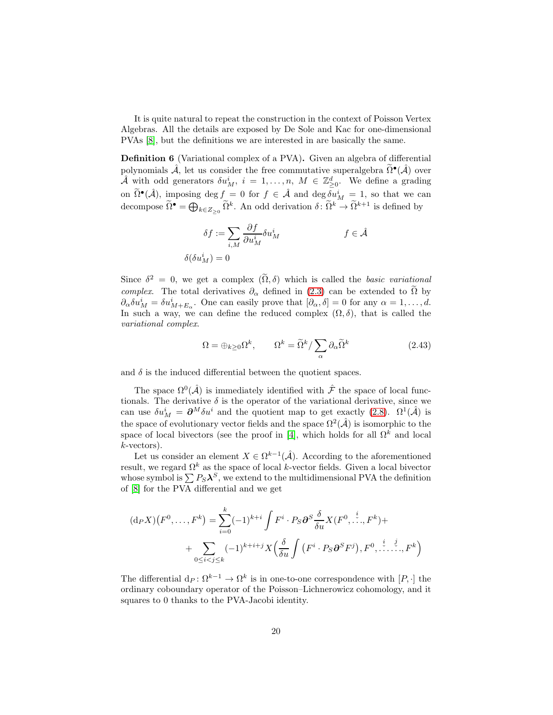It is quite natural to repeat the construction in the context of Poisson Vertex Algebras. All the details are exposed by De Sole and Kac for one-dimensional PVAs [\[8\]](#page-48-10), but the definitions we are interested in are basically the same.

Definition 6 (Variational complex of a PVA). Given an algebra of differential polynomials  $\hat{\mathcal{A}}$ , let us consider the free commutative superalgebra  $\tilde{\Omega}^{\bullet}(\hat{\mathcal{A}})$  over  $\hat{\mathcal{A}}$  with odd generators  $\delta u_M^i$ ,  $i = 1, \ldots, n$ ,  $M \in \mathbb{Z}_{\geq 0}^d$ . We define a grading on  $\tilde{\Omega}^{\bullet}(\hat{\mathcal{A}})$ , imposing deg  $f = 0$  for  $f \in \hat{\mathcal{A}}$  and deg  $\delta u_M^i = 1$ , so that we can decompose  $\widetilde{\Omega}^{\bullet} = \bigoplus_{k \in Z_{\geq 0}} \widetilde{\Omega}^k$ . An odd derivation  $\delta \colon \widetilde{\Omega}^k \to \widetilde{\Omega}^{k+1}$  is defined by

$$
\delta f := \sum_{i,M} \frac{\partial f}{\partial u_M^i} \delta u_M^i
$$
\n
$$
\delta(\delta u_M^i) = 0
$$
\n
$$
f \in \hat{\mathcal{A}}
$$

Since  $\delta^2 = 0$ , we get a complex  $(\Omega, \delta)$  which is called the *basic variational* complex. The total derivatives  $\partial_{\alpha}$  defined in [\(2.3\)](#page-7-3) can be extended to  $\Omega$  by  $\partial_{\alpha}\delta u_M^i = \delta u_{M+E_{\alpha}}^i$ . One can easily prove that  $[\partial_{\alpha}, \delta] = 0$  for any  $\alpha = 1, \ldots, d$ . In such a way, we can define the reduced complex  $(\Omega, \delta)$ , that is called the variational complex.

$$
\Omega = \oplus_{k \ge 0} \Omega^k, \qquad \Omega^k = \widetilde{\Omega}^k / \sum_{\alpha} \partial_{\alpha} \widetilde{\Omega}^k \tag{2.43}
$$

<span id="page-20-0"></span>and  $\delta$  is the induced differential between the quotient spaces.

The space  $\Omega^0(\hat{\mathcal{A}})$  is immediately identified with  $\hat{\mathcal{F}}$  the space of local functionals. The derivative  $\delta$  is the operator of the variational derivative, since we can use  $\delta u_M^i = \partial^M \delta u^i$  and the quotient map to get exactly [\(2.8\)](#page-8-0).  $\Omega^1(\hat{A})$  is the space of evolutionary vector fields and the space  $\Omega^2(\hat{\mathcal{A}})$  is isomorphic to the space of local bivectors (see the proof in [\[4\]](#page-48-0), which holds for all  $\Omega^k$  and local k-vectors).

Let us consider an element  $X \in \Omega^{k-1}(\hat{\mathcal{A}})$ . According to the aforementioned result, we regard  $\Omega^k$  as the space of local k-vector fields. Given a local bivector whose symbol is  $\sum P_S \mathbf{\lambda}^S$ , we extend to the multidimensional PVA the definition of [\[8\]](#page-48-10) for the PVA differential and we get

<span id="page-20-1"></span>
$$
(d_P X)(F^0, \dots, F^k) = \sum_{i=0}^k (-1)^{k+i} \int F^i \cdot P_S \partial^S \frac{\delta}{\delta u} X(F^0, \dots, F^k) + \sum_{0 \le i < j \le k} (-1)^{k+i+j} X \left( \frac{\delta}{\delta u} \int \left( F^i \cdot P_S \partial^S F^j \right), F^0, \dots, F^k \right)
$$

The differential  $d_P \colon \Omega^{k-1} \to \Omega^k$  is in one-to-one correspondence with  $[P, \cdot]$  the ordinary coboundary operator of the Poisson–Lichnerowicz cohomology, and it squares to 0 thanks to the PVA-Jacobi identity.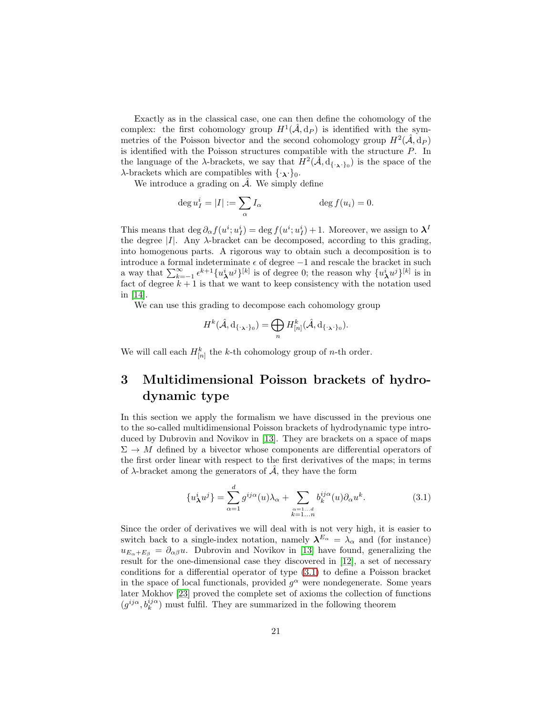<span id="page-21-0"></span>Exactly as in the classical case, one can then define the cohomology of the complex: the first cohomology group  $H^1(\hat{\mathcal{A}}, d_P)$  is identified with the symmetries of the Poisson bivector and the second cohomology group  $H^2(\hat{\mathcal{A}}, d_P)$ is identified with the Poisson structures compatible with the structure P. In the language of the  $\lambda$ -brackets, we say that  $H^2(\hat{\mathcal{A}}, d_{\{\cdot,\lambda\cdot\}_0})$  is the space of the  $\lambda$ -brackets which are compatibles with  $\{\cdot_{\lambda}\cdot\}_0$ .

We introduce a grading on  $\hat{\mathcal{A}}$ . We simply define

<span id="page-21-2"></span>
$$
\deg u_I^i = |I| := \sum_{\alpha} I_{\alpha} \qquad \deg f(u_i) = 0.
$$

This means that  $\deg \partial_{\alpha} f(u^i; u_I^i) = \deg f(u^i; u_I^i) + 1$ . Moreover, we assign to  $\lambda^I$ the degree  $|I|$ . Any  $\lambda$ -bracket can be decomposed, according to this grading, into homogenous parts. A rigorous way to obtain such a decomposition is to introduce a formal indeterminate  $\epsilon$  of degree  $-1$  and rescale the bracket in such a way that  $\sum_{k=-1}^{\infty} \epsilon^{k+1} \{u^i_{\boldsymbol{\lambda}} u^j\}^{[k]}$  is of degree 0; the reason why  $\{u^i_{\boldsymbol{\lambda}} u^j\}^{[k]}$  is in fact of degree  $k + 1$  is that we want to keep consistency with the notation used in [\[14\]](#page-48-4).

We can use this grading to decompose each cohomology group

<span id="page-21-3"></span><span id="page-21-1"></span>
$$
H^k(\hat{\mathcal{A}}, \mathrm{d}_{\{\cdot_\lambda\cdot\}_0}) = \bigoplus_n H_{[n]}^k(\hat{\mathcal{A}}, \mathrm{d}_{\{\cdot_\lambda\cdot\}_0}).
$$

We will call each  $H_{[n]}^k$  the k-th cohomology group of n-th order.

# 3 Multidimensional Poisson brackets of hydrodynamic type

In this section we apply the formalism we have discussed in the previous one to the so-called multidimensional Poisson brackets of hydrodynamic type introduced by Dubrovin and Novikov in [\[13\]](#page-48-3). They are brackets on a space of maps  $\Sigma \to M$  defined by a bivector whose components are differential operators of the first order linear with respect to the first derivatives of the maps; in terms of  $\lambda$ -bracket among the generators of  $\hat{\mathcal{A}}$ , they have the form

$$
\{u^i_{\lambda}u^j\} = \sum_{\alpha=1}^d g^{ij\alpha}(u)\lambda_{\alpha} + \sum_{\substack{\alpha=1...d\\k=1...n}} b_k^{ij\alpha}(u)\partial_{\alpha}u^k.
$$
 (3.1)

Since the order of derivatives we will deal with is not very high, it is easier to switch back to a single-index notation, namely  $\lambda^{E_{\alpha}} = \lambda_{\alpha}$  and (for instance)  $u_{E_{\alpha}+E_{\beta}} = \partial_{\alpha\beta}u$ . Dubrovin and Novikov in [\[13\]](#page-48-3) have found, generalizing the result for the one-dimensional case they discovered in [\[12\]](#page-48-2), a set of necessary conditions for a differential operator of type [\(3.1\)](#page-20-1) to define a Poisson bracket in the space of local functionals, provided  $g^{\alpha}$  were nondegenerate. Some years later Mokhov [\[23\]](#page-49-2) proved the complete set of axioms the collection of functions  $(g^{ij\alpha},b^{ij\alpha}_k)$  must fulfil. They are summarized in the following theorem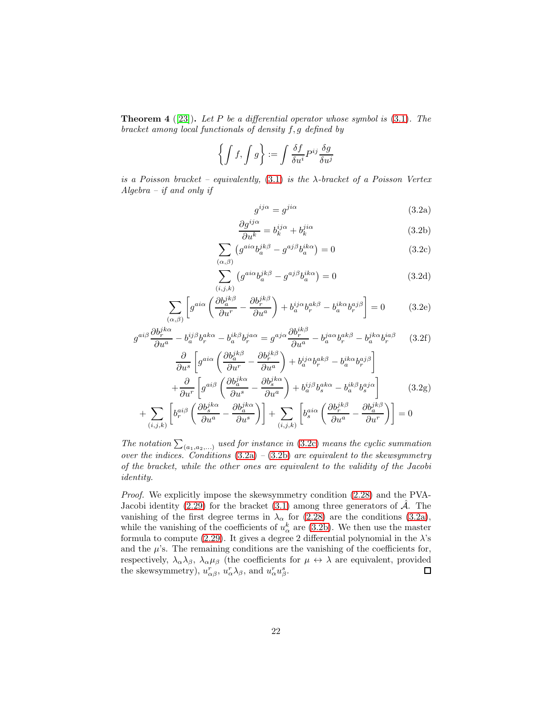**Theorem 4** ([\[23\]](#page-49-2)). Let P be a differential operator whose symbol is  $(3.1)$ . The bracket among local functionals of density f, g defined by

$$
\left\{ \int f, \int g \right\} := \int \frac{\delta f}{\delta u^i} P^{ij} \frac{\delta g}{\delta u^j}
$$

<span id="page-22-3"></span>is a Poisson bracket – equivalently,  $(3.1)$  is the  $\lambda$ -bracket of a Poisson Vertex  $Algebra - if and only if$ 

$$
g^{ij\alpha} = g^{ji\alpha} \tag{3.2a}
$$

$$
\frac{\partial g^{ij\alpha}}{\partial u^k} = b_k^{ij\alpha} + b_k^{ji\alpha} \tag{3.2b}
$$

$$
\sum_{(\alpha,\beta)} \left( g^{ai\alpha} b_a^{jk\beta} - g^{aj\beta} b_a^{ik\alpha} \right) = 0 \tag{3.2c}
$$

$$
\sum_{(i,j,k)} \left( g^{ai\alpha} b_a^{jk\beta} - g^{aj\beta} b_a^{ik\alpha} \right) = 0 \tag{3.2d}
$$

$$
\sum_{(\alpha,\beta)} \left[ g^{a i \alpha} \left( \frac{\partial b_a^{jk \beta}}{\partial u^r} - \frac{\partial b_r^{jk \beta}}{\partial u^a} \right) + b_a^{ij \alpha} b_r^{ak \beta} - b_a^{ik \alpha} b_r^{aj \beta} \right] = 0 \tag{3.2e}
$$

$$
g^{ai\beta} \frac{\partial b_r^{jk\alpha}}{\partial u^a} - b_a^{ij\beta} b_r^{ak\alpha} - b_a^{ik\beta} b_r^{ja\alpha} = g^{aj\alpha} \frac{\partial b_r^{ik\beta}}{\partial u^a} - b_a^{ja\alpha} b_r^{ak\beta} - b_a^{jk\alpha} b_r^{ia\beta}
$$
 (3.2f)

$$
\frac{\partial}{\partial u^s} \left[ g^{ai\alpha} \left( \frac{\partial b_a^{jk\beta}}{\partial u^r} - \frac{\partial b_r^{jk\beta}}{\partial u^a} \right) + b_a^{ij\alpha} b_r^{ak\beta} - b_a^{ik\alpha} b_r^{aj\beta} \right] \n+ \frac{\partial}{\partial u^r} \left[ g^{ai\beta} \left( \frac{\partial b_a^{jk\alpha}}{\partial u^s} - \frac{\partial b_s^{jk\alpha}}{\partial u^a} \right) + b_a^{ij\beta} b_s^{ak\alpha} - b_a^{ik\beta} b_s^{aj\alpha} \right] \n+ \sum_{(i,j,k)} \left[ b_r^{ai\beta} \left( \frac{\partial b_s^{jk\alpha}}{\partial u^a} - \frac{\partial b_a^{jk\alpha}}{\partial u^s} \right) \right] + \sum_{(i,j,k)} \left[ b_s^{ai\alpha} \left( \frac{\partial b_r^{jk\beta}}{\partial u^a} - \frac{\partial b_a^{jk\beta}}{\partial u^r} \right) \right] = 0
$$

The notation  $\sum_{(a_1,a_2,...)}$  used for instance in [\(3.2c\)](#page-21-1) means the cyclic summation over the indices. Conditions  $(3.2a) - (3.2b)$  $(3.2a) - (3.2b)$  $(3.2a) - (3.2b)$  are equivalent to the skewsymmetry of the bracket, while the other ones are equivalent to the validity of the Jacobi identity.

<span id="page-22-2"></span><span id="page-22-1"></span><span id="page-22-0"></span>Proof. We explicitly impose the skewsymmetry condition [\(2.28\)](#page-13-0) and the PVA-Jacobi identity [\(2.29\)](#page-13-1) for the bracket [\(3.1\)](#page-20-1) among three generators of  $\hat{\mathcal{A}}$ . The vanishing of the first degree terms in  $\lambda_{\alpha}$  for [\(2.28\)](#page-13-0) are the conditions [\(3.2a\)](#page-21-2), while the vanishing of the coefficients of  $u^k_{\alpha}$  are [\(3.2b\)](#page-21-3). We then use the master formula to compute [\(2.29\)](#page-13-1). It gives a degree 2 differential polynomial in the  $\lambda$ 's and the  $\mu$ 's. The remaining conditions are the vanishing of the coefficients for, respectively,  $\lambda_{\alpha}\lambda_{\beta}$ ,  $\lambda_{\alpha}\mu_{\beta}$  (the coefficients for  $\mu \leftrightarrow \lambda$  are equivalent, provided the skewsymmetry),  $u_{\alpha\beta}^r$ ,  $u_{\alpha}^r \lambda_{\beta}$ , and  $u_{\alpha}^r u_{\beta}^s$ .  $\Box$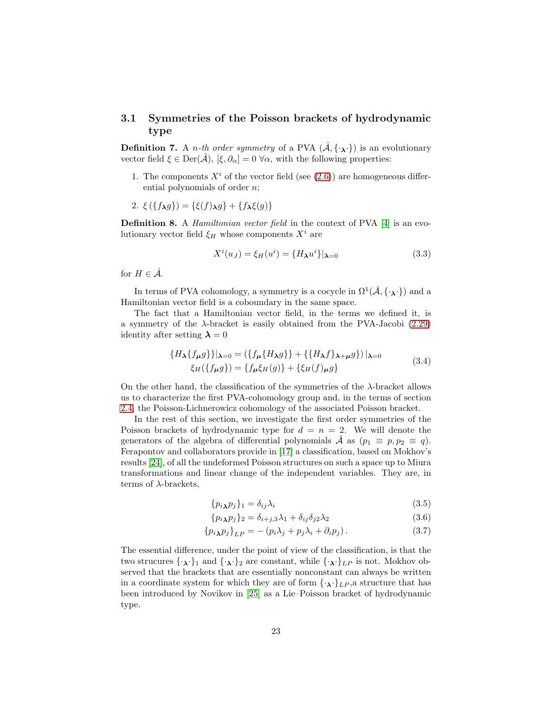#### 3.1 Symmetries of the Poisson brackets of hydrodynamic type

**Definition 7.** A *n*-th order symmetry of a PVA  $(\hat{A}, {\{\cdot,\cdot\}})$  is an evolutionary vector field  $\xi \in \text{Der}(\mathcal{A}), [\xi, \partial_{\alpha}] = 0 \,\forall \alpha$ , with the following properties:

1. The components  $X^i$  of the vector field (see [\(2.6\)](#page-7-1)) are homogeneous differential polynomials of order n;

2. 
$$
\xi({f_{\lambda}g}) = {\xi(f)_{\lambda}g} + {f_{\lambda}\xi(g)}
$$

Definition 8. A Hamiltonian vector field in the context of PVA [\[4\]](#page-48-0) is an evolutionary vector field  $\xi_H$  whose components  $X^i$  are

$$
X^{i}(u_{J}) = \xi_{H}(u^{i}) = \{H_{\lambda}u^{i}\}\vert_{\lambda=0}
$$
\n(3.3)

for  $H \in \hat{\mathcal{A}}$ .

In terms of PVA cohomology, a symmetry is a cocycle in  $\Omega^1(\hat{\mathcal{A}}, {\{\cdot_\lambda\cdot\}})$  and a Hamiltonian vector field is a coboundary in the same space.

The fact that a Hamiltonian vector field, in the terms we defined it, is a symmetry of the  $\lambda$ -bracket is easily obtained from the PVA-Jacobi [\(2.29\)](#page-13-1) identity after setting  $\lambda = 0$ 

<span id="page-23-0"></span>
$$
\{H_{\lambda}\{f_{\mu}g\}\}\vert_{\lambda=0} = (\{f_{\mu}\{H_{\lambda}g\}\} + \{\{H_{\lambda}f\}_{\lambda+\mu}g\})\vert_{\lambda=0}
$$
  

$$
\xi_{H}(\{f_{\mu}g\}) = \{f_{\mu}\xi_{H}(g)\} + \{\xi_{H}(f)_{\mu}g\}
$$
 (3.4)

On the other hand, the classification of the symmetries of the  $\lambda$ -bracket allows us to characterize the first PVA-cohomology group and, in the terms of section [2.4,](#page-18-0) the Poisson-Lichnerowicz cohomology of the associated Poisson bracket.

In the rest of this section, we investigate the first order symmetries of the Poisson brackets of hydrodynamic type for  $d = n = 2$ . We will denote the generators of the algebra of differential polynomials  $\hat{\mathcal{A}}$  as  $(p_1 \equiv p, p_2 \equiv q)$ . Ferapontov and collaborators provide in [\[17\]](#page-49-5) a classification, based on Mokhov's results [\[24\]](#page-49-7), of all the undeformed Poisson structures on such a space up to Miura transformations and linear change of the independent variables. They are, in terms of  $\lambda$ -brackets,

<span id="page-23-1"></span>
$$
\{p_i \chi p_j\}_1 = \delta_{ij} \lambda_i \tag{3.5}
$$

$$
\{p_{i\lambda}p_{j}\}_{2} = \delta_{i+j,3}\lambda_{1} + \delta_{ij}\delta_{j2}\lambda_{2}
$$
\n(3.6)

$$
\{p_i{}_{\lambda}p_j\}_{LP} = -(p_i\lambda_j + p_j\lambda_i + \partial_i p_j). \tag{3.7}
$$

<span id="page-23-2"></span>The essential difference, under the point of view of the classification, is that the two strucures  $\{\cdot,\cdot\}_1$  and  $\{\cdot,\cdot\}_2$  are constant, while  $\{\cdot,\cdot\}_L$  is not. Mokhov observed that the brackets that are essentially nonconstant can always be written in a coordinate system for which they are of form  $\{ \cdot_{\lambda} \cdot \}$  LP, a structure that has been introduced by Novikov in [\[25\]](#page-49-1) as a Lie–Poisson bracket of hydrodynamic type.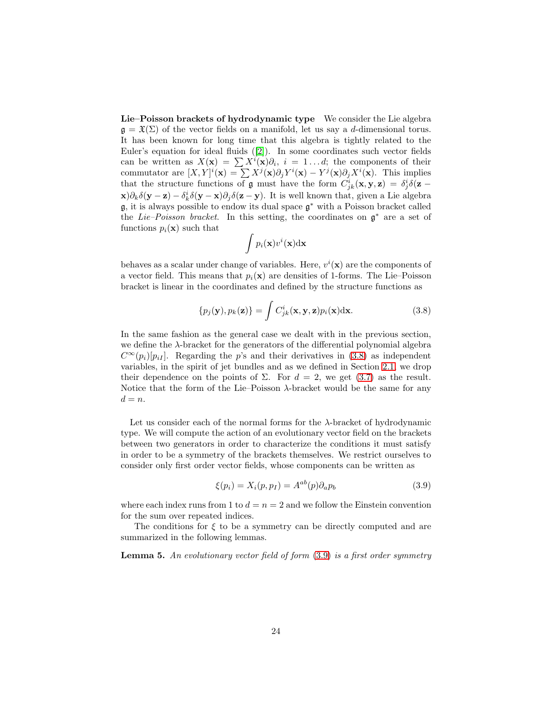Lie–Poisson brackets of hydrodynamic type We consider the Lie algebra  $\mathfrak{g} = \mathfrak{X}(\Sigma)$  of the vector fields on a manifold, let us say a d-dimensional torus. It has been known for long time that this algebra is tightly related to the Euler's equation for ideal fluids ([\[2\]](#page-47-0)). In some coordinates such vector fields can be written as  $X(\mathbf{x}) = \sum X^{i}(\mathbf{x})\partial_{i}, i = 1...d$ ; the components of their commutator are  $[X,Y]^i(\mathbf{x}) = \sum X^j(\mathbf{x})\partial_j Y^i(\mathbf{x}) - Y^j(\mathbf{x})\partial_j X^i(\mathbf{x})$ . This implies that the structure functions of  $\mathfrak g$  must have the form  $C^i_{jk}(\mathbf x, \mathbf y, \mathbf z) = \delta^i_j \delta(\mathbf z - \mathbf z)$  $(\mathbf{x})\partial_k \delta(\mathbf{y}-\mathbf{z}) - \delta_k^i \delta(\mathbf{y}-\mathbf{x})\partial_j \delta(\mathbf{z}-\mathbf{y})$ . It is well known that, given a Lie algebra g, it is always possible to endow its dual space g <sup>∗</sup> with a Poisson bracket called the Lie–Poisson bracket. In this setting, the coordinates on  $\mathfrak{g}^*$  are a set of functions  $p_i(\mathbf{x})$  such that

<span id="page-24-4"></span><span id="page-24-3"></span><span id="page-24-2"></span><span id="page-24-1"></span><span id="page-24-0"></span>
$$
\int p_i(\mathbf{x}) v^i(\mathbf{x}) \mathrm{d}\mathbf{x}
$$

behaves as a scalar under change of variables. Here,  $v^i(\mathbf{x})$  are the components of a vector field. This means that  $p_i(\mathbf{x})$  are densities of 1-forms. The Lie–Poisson bracket is linear in the coordinates and defined by the structure functions as

$$
\{p_j(\mathbf{y}), p_k(\mathbf{z})\} = \int C_{jk}^i(\mathbf{x}, \mathbf{y}, \mathbf{z}) p_i(\mathbf{x}) \, \mathrm{d}\mathbf{x}.\tag{3.8}
$$

<span id="page-24-6"></span>In the same fashion as the general case we dealt with in the previous section, we define the  $\lambda$ -bracket for the generators of the differential polynomial algebra  $C^{\infty}(p_i)[p_{iI}]$ . Regarding the p's and their derivatives in [\(3.8\)](#page-23-0) as independent variables, in the spirit of jet bundles and as we defined in Section [2.1,](#page-6-0) we drop their dependence on the points of  $\Sigma$ . For  $d = 2$ , we get [\(3.7\)](#page-22-0) as the result. Notice that the form of the Lie–Poisson  $\lambda$ -bracket would be the same for any  $d = n$ .

Let us consider each of the normal forms for the  $\lambda$ -bracket of hydrodynamic type. We will compute the action of an evolutionary vector field on the brackets between two generators in order to characterize the conditions it must satisfy in order to be a symmetry of the brackets themselves. We restrict ourselves to consider only first order vector fields, whose components can be written as

$$
\xi(p_i) = X_i(p, p_I) = A^{ab}(p)\partial_a p_b \tag{3.9}
$$

<span id="page-24-5"></span>where each index runs from 1 to  $d = n = 2$  and we follow the Einstein convention for the sum over repeated indices.

The conditions for  $\xi$  to be a symmetry can be directly computed and are summarized in the following lemmas.

<span id="page-24-7"></span>**Lemma 5.** An evolutionary vector field of form  $(3.9)$  is a first order symmetry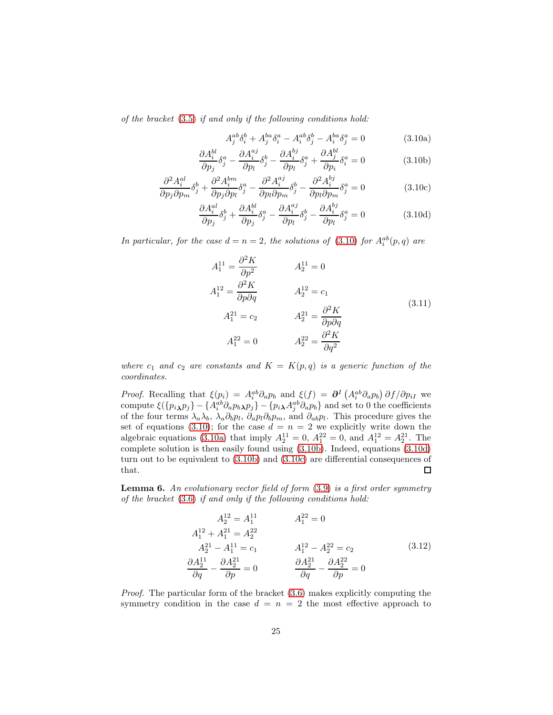of the bracket [\(3.5\)](#page-22-1) if and only if the following conditions hold:

$$
A_j^{ab}\delta_i^b + A_j^{ba}\delta_i^a - A_i^{ab}\delta_j^b - A_i^{ba}\delta_j^a = 0
$$
\n(3.10a)

$$
\frac{\partial A_i^{bl}}{\partial p_j} \delta_j^a - \frac{\partial A_i^{aj}}{\partial p_l} \delta_j^b - \frac{\partial A_i^{bj}}{\partial p_l} \delta_j^a + \frac{\partial A_j^{bl}}{\partial p_i} \delta_i^a = 0 \tag{3.10b}
$$

$$
\frac{\partial^2 A_i^{al}}{\partial p_j \partial p_m} \delta_j^b + \frac{\partial^2 A_i^{bm}}{\partial p_j \partial p_l} \delta_j^a - \frac{\partial^2 A_i^{aj}}{\partial p_l \partial p_m} \delta_j^b - \frac{\partial^2 A_i^{bj}}{\partial p_l \partial p_m} \delta_j^a = 0 \tag{3.10c}
$$

$$
\frac{\partial A_i^{al}}{\partial p_j} \delta_j^b + \frac{\partial A_i^{bl}}{\partial p_j} \delta_j^a - \frac{\partial A_i^{aj}}{\partial p_l} \delta_j^b - \frac{\partial A_i^{bj}}{\partial p_l} \delta_j^a = 0 \tag{3.10d}
$$

In particular, for the case  $d = n = 2$ , the solutions of [\(3.10\)](#page-24-0) for  $A_i^{ab}(p,q)$  are

<span id="page-25-0"></span>
$$
A_1^{11} = \frac{\partial^2 K}{\partial p^2}
$$

$$
A_2^{11} = 0
$$
  
\n
$$
A_1^{12} = \frac{\partial^2 K}{\partial p \partial q}
$$

$$
A_2^{12} = c_1
$$
  
\n
$$
A_1^{21} = c_2
$$

$$
A_2^{21} = \frac{\partial^2 K}{\partial p \partial q}
$$
  
\n
$$
A_1^{22} = 0
$$

$$
A_2^{22} = \frac{\partial^2 K}{\partial q^2}
$$

$$
(3.11)
$$

where  $c_1$  and  $c_2$  are constants and  $K = K(p,q)$  is a generic function of the coordinates.

Proof. Recalling that  $\xi(p_i) = A_i^{ab} \partial_a p_b$  and  $\xi(f) = \partial^I (A_i^{ab} \partial_a p_b) \partial f / \partial p_{iI}$  we compute  $\xi({p_i}_{\lambda}p_j) - {A_i^{ab}\partial_a p_b}_{\lambda}p_j - {p_i}_{\lambda}A_j^{ab}\partial_a p_b$  and set to 0 the coefficients of the four terms  $\lambda_a\lambda_b$ ,  $\lambda_a\partial_b p_l$ ,  $\partial_a p_l\partial_b p_m$ , and  $\partial_{ab} p_l$ . This procedure gives the set of equations [\(3.10\)](#page-24-0); for the case  $d = n = 2$  we explicitly write down the algebraic equations [\(3.10a\)](#page-24-1) that imply  $A_2^{11} = 0$ ,  $A_1^{22} = 0$ , and  $A_1^{12} = A_2^{21}$ . The complete solution is then easily found using [\(3.10b\)](#page-24-2). Indeed, equations [\(3.10d\)](#page-24-3) turn out to be equivalent to [\(3.10b\)](#page-24-2) and [\(3.10c\)](#page-24-4) are differential consequences of that.  $\Box$ 

**Lemma 6.** An evolutionary vector field of form  $(3.9)$  is a first order symmetry of the bracket [\(3.6\)](#page-22-2) if and only if the following conditions hold:

$$
A_2^{12} = A_1^{11} \t A_1^{22} = 0
$$
  
\n
$$
A_1^{12} + A_1^{21} = A_2^{22}
$$
  
\n
$$
A_2^{21} - A_1^{11} = c_1 \t A_1^{12} - A_2^{22} = c_2 \t (3.12)
$$
  
\n
$$
\frac{\partial A_2^{11}}{\partial q} - \frac{\partial A_2^{21}}{\partial p} = 0 \t \frac{\partial A_2^{21}}{\partial q} - \frac{\partial A_2^{22}}{\partial p} = 0
$$

*Proof.* The particular form of the bracket  $(3.6)$  makes explicitly computing the symmetry condition in the case  $d = n = 2$  the most effective approach to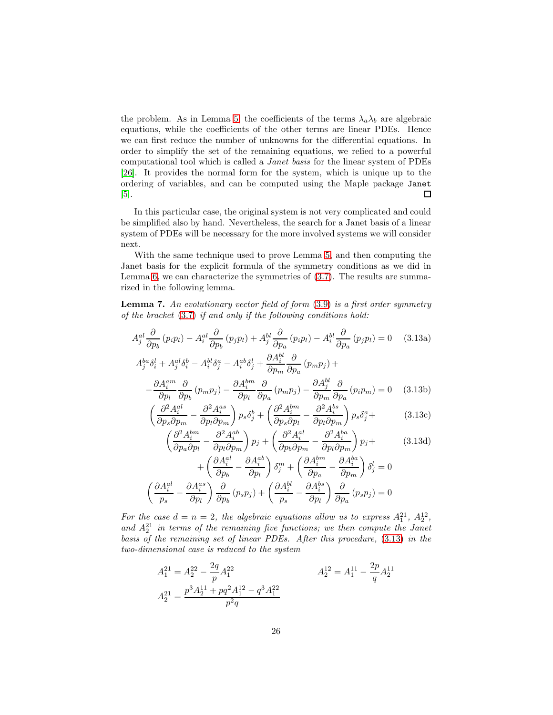<span id="page-26-0"></span>the problem. As in Lemma [5,](#page-23-2) the coefficients of the terms  $\lambda_a \lambda_b$  are algebraic equations, while the coefficients of the other terms are linear PDEs. Hence we can first reduce the number of unknowns for the differential equations. In order to simplify the set of the remaining equations, we relied to a powerful computational tool which is called a Janet basis for the linear system of PDEs [\[26\]](#page-49-9). It provides the normal form for the system, which is unique up to the ordering of variables, and can be computed using the Maple package Janet  $\Box$ [\[5\]](#page-48-11).

In this particular case, the original system is not very complicated and could be simplified also by hand. Nevertheless, the search for a Janet basis of a linear system of PDEs will be necessary for the more involved systems we will consider next.

With the same technique used to prove Lemma [5,](#page-23-2) and then computing the Janet basis for the explicit formula of the symmetry conditions as we did in Lemma [6,](#page-24-5) we can characterize the symmetries of [\(3.7\)](#page-22-0). The results are summarized in the following lemma.

**Lemma 7.** An evolutionary vector field of form  $(3.9)$  is a first order symmetry of the bracket [\(3.7\)](#page-22-0) if and only if the following conditions hold:

$$
A_j^{al} \frac{\partial}{\partial p_b} (p_i p_l) - A_i^{al} \frac{\partial}{\partial p_b} (p_j p_l) + A_j^{bl} \frac{\partial}{\partial p_a} (p_i p_l) - A_i^{bl} \frac{\partial}{\partial p_a} (p_j p_l) = 0 \quad (3.13a)
$$
  

$$
A_j^{ba} \delta_i^l + A_j^{al} \delta_i^b - A_i^{bl} \delta_j^a - A_i^{ab} \delta_j^l + \frac{\partial A_i^{bl}}{\partial p_m} \frac{\partial}{\partial p_a} (p_m p_j) +
$$

$$
-\frac{\partial A_i^{am}}{\partial p_l} \frac{\partial}{\partial p_b} (p_m p_j) - \frac{\partial A_i^{bm}}{\partial p_l} \frac{\partial}{\partial p_a} (p_m p_j) - \frac{\partial A_j^{bl}}{\partial p_m} \frac{\partial}{\partial p_a} (p_i p_m) = 0 \quad (3.13b)
$$

$$
\left(\frac{\partial^2 A_i^{al}}{\partial p_s \partial p_m} - \frac{\partial^2 A_i^{as}}{\partial p_l \partial p_m}\right) p_s \delta_j^b + \left(\frac{\partial^2 A_i^{bm}}{\partial p_s \partial p_l} - \frac{\partial^2 A_i^{bs}}{\partial p_l \partial p_m}\right) p_s \delta_j^a + \tag{3.13c}
$$

$$
\left(\frac{\partial^2 A_i^{bm}}{\partial p_a \partial p_l} - \frac{\partial^2 A_i^{ab}}{\partial p_l \partial p_m}\right) p_j + \left(\frac{\partial^2 A_i^{al}}{\partial p_b \partial p_m} - \frac{\partial^2 A_i^{ba}}{\partial p_l \partial p_m}\right) p_j +
$$
\n
$$
+ \left(\frac{\partial A_i^{al}}{\partial p_b} - \frac{\partial A_i^{ab}}{\partial p_l}\right) \delta_j^m + \left(\frac{\partial A_i^{bm}}{\partial p_a} - \frac{\partial A_i^{ba}}{\partial p_m}\right) \delta_j^l = 0
$$
\n
$$
\left(\frac{\partial A_i^{al}}{p_s} - \frac{\partial A_i^{as}}{\partial p_l}\right) \frac{\partial}{\partial p_b} (p_s p_j) + \left(\frac{\partial A_i^{bl}}{p_s} - \frac{\partial A_i^{bs}}{\partial p_l}\right) \frac{\partial}{\partial p_a} (p_s p_j) = 0
$$
\n(3.13d)

For the case  $d = n = 2$ , the algebraic equations allow us to express  $A_1^{21}$ ,  $A_2^{12}$ , and  $A_2^{21}$  in terms of the remaining five functions; we then compute the Janet basis of the remaining set of linear PDEs. After this procedure, [\(3.13\)](#page-25-0) in the two-dimensional case is reduced to the system

$$
A_1^{21} = A_2^{22} - \frac{2q}{p} A_1^{22}
$$
  
\n
$$
A_2^{21} = \frac{p^3 A_2^{11} + pq^2 A_1^{12} - q^3 A_1^{22}}{p^2 q}
$$
  
\n
$$
A_2^{21} = A_1^{11} - \frac{2p}{q} A_2^{11}
$$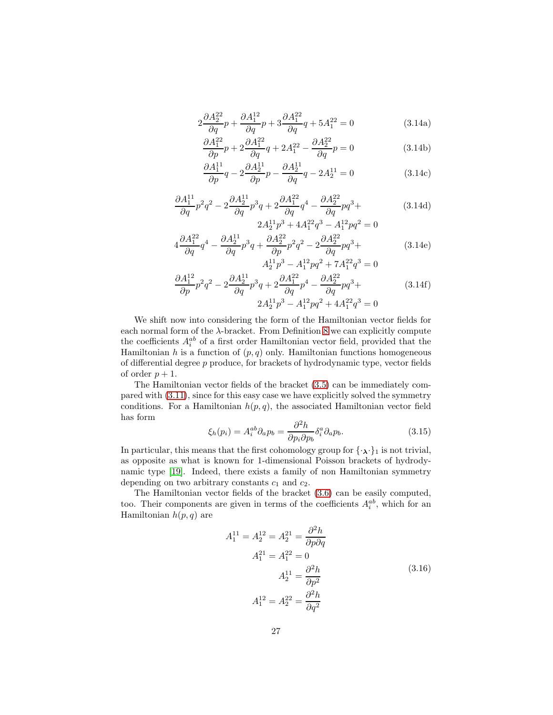$$
2\frac{\partial A_2^{22}}{\partial q}p + \frac{\partial A_1^{12}}{\partial q}p + 3\frac{\partial A_1^{22}}{\partial q}q + 5A_1^{22} = 0
$$
 (3.14a)

$$
\frac{\partial A_1^{22}}{\partial p}p + 2\frac{\partial A_1^{22}}{\partial q}q + 2A_1^{22} - \frac{\partial A_2^{22}}{\partial q}p = 0
$$
\n(3.14b)

$$
\frac{\partial A_1^{11}}{\partial p}q - 2\frac{\partial A_2^{11}}{\partial p}p - \frac{\partial A_2^{11}}{\partial q}q - 2A_2^{11} = 0
$$
 (3.14c)

<span id="page-27-0"></span>
$$
\frac{\partial A_1^{11}}{\partial q}p^2q^2 - 2\frac{\partial A_2^{11}}{\partial q}p^3q + 2\frac{\partial A_1^{22}}{\partial q}q^4 - \frac{\partial A_2^{22}}{\partial q}pq^3 +
$$
\n
$$
2A_2^{11}p^3 + 4A_1^{22}q^3 - A_1^{12}pq^2 = 0
$$
\n(3.14d)

$$
4\frac{\partial A_1^{22}}{\partial q}q^4 - \frac{\partial A_2^{11}}{\partial q}p^3q + \frac{\partial A_2^{22}}{\partial p}p^2q^2 - 2\frac{\partial A_2^{22}}{\partial q}pq^3 + A_2^{11}p^3 - A_1^{12}pq^2 + 7A_1^{22}q^3 = 0
$$
\n(3.14e)

$$
\frac{\partial A_1^{12}}{\partial p} p^2 q^2 - 2 \frac{\partial A_2^{11}}{\partial q} p^3 q + 2 \frac{\partial A_1^{22}}{\partial q} p^4 - \frac{\partial A_2^{22}}{\partial q} pq^3 +
$$
\n
$$
2A_2^{11} p^3 - A_1^{12} pq^2 + 4A_1^{22} q^3 = 0
$$
\n(3.14f)

We shift now into considering the form of the Hamiltonian vector fields for each normal form of the  $\lambda$ -bracket. From Definition [8](#page-22-3) we can explicitly compute the coefficients  $A_i^{ab}$  of a first order Hamiltonian vector field, provided that the Hamiltonian h is a function of  $(p, q)$  only. Hamiltonian functions homogeneous of differential degree  $p$  produce, for brackets of hydrodynamic type, vector fields of order  $p + 1$ .

The Hamiltonian vector fields of the bracket [\(3.5\)](#page-22-1) can be immediately compared with [\(3.11\)](#page-24-6), since for this easy case we have explicitly solved the symmetry conditions. For a Hamiltonian  $h(p, q)$ , the associated Hamiltonian vector field has form

$$
\xi_h(p_i) = A_i^{ab} \partial_a p_b = \frac{\partial^2 h}{\partial p_i \partial p_b} \delta_i^a \partial_a p_b.
$$
\n(3.15)

In particular, this means that the first cohomology group for  $\{\cdot, \cdot\}_1$  is not trivial, as opposite as what is known for 1-dimensional Poisson brackets of hydrodynamic type [\[19\]](#page-49-4). Indeed, there exists a family of non Hamiltonian symmetry depending on two arbitrary constants  $c_1$  and  $c_2$ .

The Hamiltonian vector fields of the bracket [\(3.6\)](#page-22-2) can be easily computed, too. Their components are given in terms of the coefficients  $A_i^{ab}$ , which for an Hamiltonian  $h(p, q)$  are

A

$$
A_1^{11} = A_2^{12} = A_2^{21} = \frac{\partial^2 h}{\partial p \partial q}
$$
  
\n
$$
A_1^{21} = A_1^{22} = 0
$$
  
\n
$$
A_2^{11} = \frac{\partial^2 h}{\partial p^2}
$$
  
\n
$$
A_1^{12} = A_2^{22} = \frac{\partial^2 h}{\partial q^2}
$$
  
\n(3.16)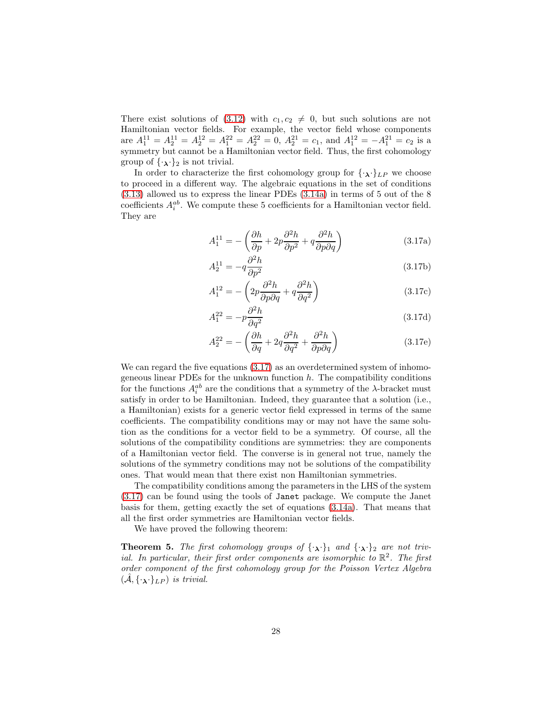There exist solutions of [\(3.12\)](#page-24-7) with  $c_1, c_2 \neq 0$ , but such solutions are not Hamiltonian vector fields. For example, the vector field whose components are  $A_1^{11} = A_2^{11} = A_2^{12} = A_1^{22} = A_2^{22} = 0$ ,  $A_2^{21} = c_1$ , and  $A_1^{12} = -A_1^{21} = c_2$  is a symmetry but cannot be a Hamiltonian vector field. Thus, the first cohomology group of  $\{\cdot,\cdot\}_2$  is not trivial.

In order to characterize the first cohomology group for  $\{\cdot_\lambda\cdot\}_{LP}$  we choose to proceed in a different way. The algebraic equations in the set of conditions [\(3.13\)](#page-25-0) allowed us to express the linear PDEs [\(3.14a\)](#page-26-0) in terms of 5 out of the 8 coefficients  $A_i^{ab}$ . We compute these 5 coefficients for a Hamiltonian vector field. They are

$$
A_1^{11} = -\left(\frac{\partial h}{\partial p} + 2p \frac{\partial^2 h}{\partial p^2} + q \frac{\partial^2 h}{\partial p \partial q}\right)
$$
 (3.17a)

$$
A_2^{11} = -q \frac{\partial^2 h}{\partial p^2} \tag{3.17b}
$$

$$
A_1^{12} = -\left(2p\frac{\partial^2 h}{\partial p \partial q} + q\frac{\partial^2 h}{\partial q^2}\right) \tag{3.17c}
$$

$$
A_1^{22} = -p \frac{\partial^2 h}{\partial q^2} \tag{3.17d}
$$

<span id="page-28-1"></span>
$$
A_2^{22} = -\left(\frac{\partial h}{\partial q} + 2q \frac{\partial^2 h}{\partial q^2} + \frac{\partial^2 h}{\partial p \partial q}\right)
$$
 (3.17e)

<span id="page-28-0"></span>We can regard the five equations  $(3.17)$  as an overdetermined system of inhomogeneous linear PDEs for the unknown function  $h$ . The compatibility conditions for the functions  $A_i^{ab}$  are the conditions that a symmetry of the  $\lambda$ -bracket must satisfy in order to be Hamiltonian. Indeed, they guarantee that a solution (i.e., a Hamiltonian) exists for a generic vector field expressed in terms of the same coefficients. The compatibility conditions may or may not have the same solution as the conditions for a vector field to be a symmetry. Of course, all the solutions of the compatibility conditions are symmetries: they are components of a Hamiltonian vector field. The converse is in general not true, namely the solutions of the symmetry conditions may not be solutions of the compatibility ones. That would mean that there exist non Hamiltonian symmetries.

The compatibility conditions among the parameters in the LHS of the system [\(3.17\)](#page-27-0) can be found using the tools of Janet package. We compute the Janet basis for them, getting exactly the set of equations [\(3.14a\)](#page-26-0). That means that all the first order symmetries are Hamiltonian vector fields.

We have proved the following theorem:

**Theorem 5.** The first cohomology groups of  $\{\cdot_{\lambda}\}\$ <sub>1</sub> and  $\{\cdot_{\lambda}\}\$ <sub>2</sub> are not trivial. In particular, their first order components are isomorphic to  $\mathbb{R}^2$ . The first order component of the first cohomology group for the Poisson Vertex Algebra  $(\mathcal{A}, \{\cdot_\lambda\cdot\}_{LP})$  is trivial.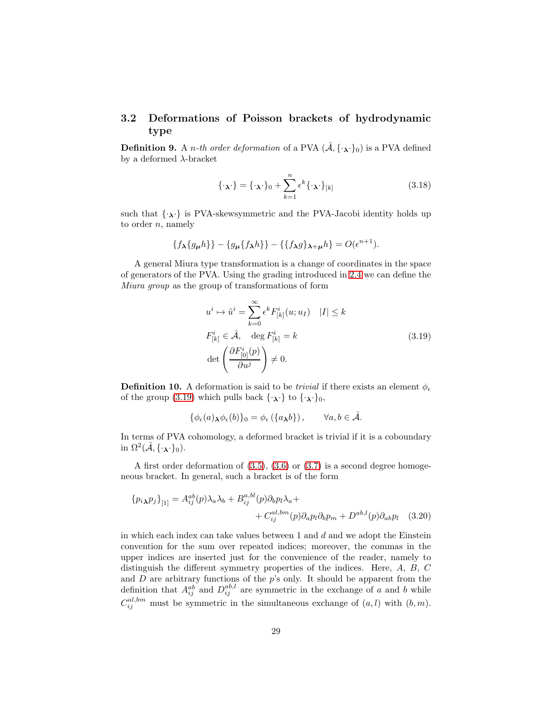### 3.2 Deformations of Poisson brackets of hydrodynamic type

<span id="page-29-0"></span>**Definition 9.** A *n*-th order deformation of a PVA  $(\hat{A}, {\cdot}_{\lambda}, {\cdot}_{0})$  is a PVA defined by a deformed  $\lambda$ -bracket

$$
\{\cdot_{\lambda}\cdot\} = \{\cdot_{\lambda}\cdot\}_0 + \sum_{k=1}^n \epsilon^k \{\cdot_{\lambda}\cdot\}_{[k]}
$$
 (3.18)

such that  $\{\cdot_{\boldsymbol{\lambda}}\cdot\}$  is PVA-skewsymmetric and the PVA-Jacobi identity holds up to order  $n$ , namely

$$
\{f_{\boldsymbol{\lambda}}\{g_{\boldsymbol{\mu}}h\}\}-\{g_{\boldsymbol{\mu}}\{f_{\boldsymbol{\lambda}}h\}\}-\{\{f_{\boldsymbol{\lambda}}g\}_{\boldsymbol{\lambda}+\boldsymbol{\mu}}h\}=O(\epsilon^{n+1}).
$$

A general Miura type transformation is a change of coordinates in the space of generators of the PVA. Using the grading introduced in [2.4](#page-18-0) we can define the Miura group as the group of transformations of form

$$
u^{i} \mapsto \tilde{u}^{i} = \sum_{k=0}^{\infty} \epsilon^{k} F_{[k]}^{i}(u; u_{I}) \quad |I| \le k
$$
  

$$
F_{[k]}^{i} \in \hat{\mathcal{A}}, \quad \deg F_{[k]}^{i} = k
$$
  

$$
\det \left( \frac{\partial F_{[0]}^{i}(p)}{\partial u^{j}} \right) \neq 0.
$$
 (3.19)

**Definition 10.** A deformation is said to be *trivial* if there exists an element  $\phi_{\epsilon}$ of the group [\(3.19\)](#page-28-0) which pulls back  $\{\cdot_{\lambda}\}$  to  $\{\cdot_{\lambda}\}$ <sub>0</sub>,

<span id="page-29-4"></span><span id="page-29-3"></span><span id="page-29-2"></span><span id="page-29-1"></span>
$$
\{\phi_{\epsilon}(a)_{\mathbf{\lambda}}\phi_{\epsilon}(b)\}_0=\phi_{\epsilon}(\{a_{\mathbf{\lambda}}b\}),\qquad\forall a,b\in\hat{\mathcal{A}}.
$$

In terms of PVA cohomology, a deformed bracket is trivial if it is a coboundary in  $\Omega^2(\hat{\mathcal{A}}, {\{\cdot_\lambda\cdot\}}_0)$ .

A first order deformation of [\(3.5\)](#page-22-1), [\(3.6\)](#page-22-2) or [\(3.7\)](#page-22-0) is a second degree homogeneous bracket. In general, such a bracket is of the form

$$
\{p_i{}_{\lambda}p_j\}_{[1]} = A_{ij}^{ab}(p)\lambda_a\lambda_b + B_{ij}^{a,bl}(p)\partial_b p_l\lambda_a +
$$
  
+  $C_{ij}^{a l, bm}(p)\partial_a p_l \partial_b p_m + D^{ab,l}(p)\partial_{ab} p_l$  (3.20)

in which each index can take values between 1 and d and we adopt the Einstein convention for the sum over repeated indices; moreover, the commas in the upper indices are inserted just for the convenience of the reader, namely to distinguish the different symmetry properties of the indices. Here, A, B, C and  $D$  are arbitrary functions of the  $p$ 's only. It should be apparent from the definition that  $A_{ij}^{ab}$  and  $D_{ij}^{ab,l}$  are symmetric in the exchange of a and b while  $C_{ij}^{al,bm}$  must be symmetric in the simultaneous exchange of  $(a, l)$  with  $(b, m)$ .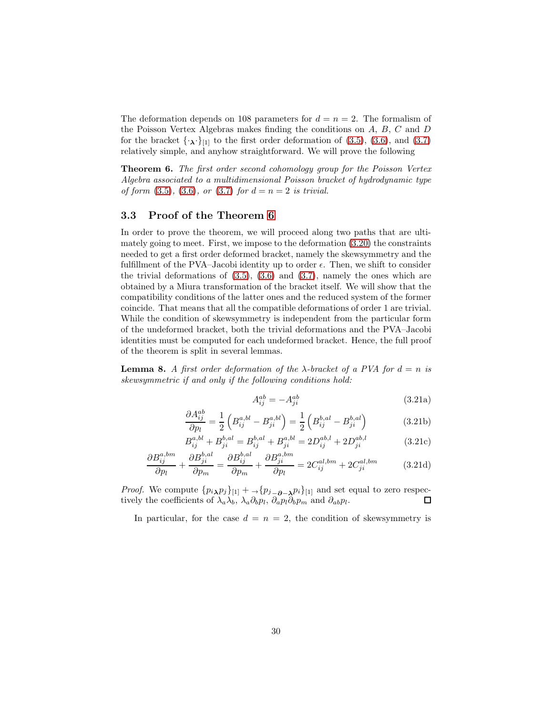<span id="page-30-0"></span>The deformation depends on 108 parameters for  $d = n = 2$ . The formalism of the Poisson Vertex Algebras makes finding the conditions on A, B, C and D for the bracket  $\{\cdot,\cdot\}_{[1]}$  to the first order deformation of [\(3.5\)](#page-22-1), [\(3.6\)](#page-22-2), and [\(3.7\)](#page-22-0) relatively simple, and anyhow straightforward. We will prove the following

Theorem 6. The first order second cohomology group for the Poisson Vertex Algebra associated to a multidimensional Poisson bracket of hydrodynamic type of form  $(3.5)$ ,  $(3.6)$ , or  $(3.7)$  for  $d = n = 2$  is trivial.

#### 3.3 Proof of the Theorem [6](#page-29-0)

In order to prove the theorem, we will proceed along two paths that are ultimately going to meet. First, we impose to the deformation [\(3.20\)](#page-28-1) the constraints needed to get a first order deformed bracket, namely the skewsymmetry and the fulfillment of the PVA–Jacobi identity up to order  $\epsilon$ . Then, we shift to consider the trivial deformations of  $(3.5)$ ,  $(3.6)$  and  $(3.7)$ , namely the ones which are obtained by a Miura transformation of the bracket itself. We will show that the compatibility conditions of the latter ones and the reduced system of the former coincide. That means that all the compatible deformations of order 1 are trivial. While the condition of skewsymmetry is independent from the particular form of the undeformed bracket, both the trivial deformations and the PVA–Jacobi identities must be computed for each undeformed bracket. Hence, the full proof of the theorem is split in several lemmas.

**Lemma 8.** A first order deformation of the  $\lambda$ -bracket of a PVA for  $d = n$  is skewsymmetric if and only if the following conditions hold:

$$
A_{ij}^{ab} = -A_{ji}^{ab} \tag{3.21a}
$$

$$
\frac{\partial A_{ij}^{ab}}{\partial p_l} = \frac{1}{2} \left( B_{ij}^{a,bl} - B_{ji}^{a,bl} \right) = \frac{1}{2} \left( B_{ij}^{b,al} - B_{ji}^{b,al} \right)
$$
(3.21b)

$$
B_{ij}^{a,bl} + B_{ji}^{b,al} = B_{ij}^{b,al} + B_{ji}^{a,bl} = 2D_{ij}^{ab,l} + 2D_{ji}^{ab,l}
$$
 (3.21c)

<span id="page-30-1"></span>
$$
\frac{\partial B_{ij}^{a,bm}}{\partial p_l} + \frac{\partial B_{ji}^{b,al}}{\partial p_m} = \frac{\partial B_{ij}^{b,al}}{\partial p_m} + \frac{\partial B_{ji}^{a,bm}}{\partial p_l} = 2C_{ij}^{al,bm} + 2C_{ji}^{al,bm}
$$
(3.21d)

*Proof.* We compute  $\{p_i \chi p_j\}_{[1]} + \chi p_{j-\partial-\lambda} p_i\}_{[1]}$  and set equal to zero respectively the coefficients of  $\lambda_a \lambda_b$ ,  $\lambda_a \partial_b p_l$ ,  $\partial_a p_l \partial_b p_m$  and  $\partial_{ab} p_l$ .  $\Box$ 

In particular, for the case  $d = n = 2$ , the condition of skewsymmetry is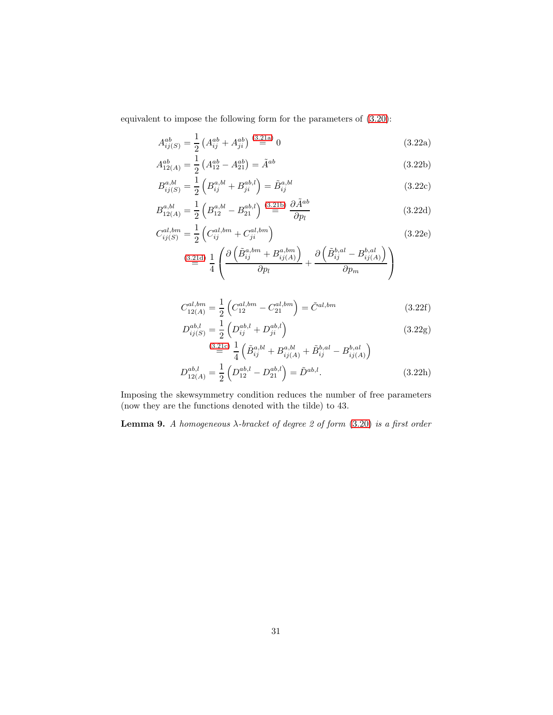equivalent to impose the following form for the parameters of [\(3.20\)](#page-28-1):

<span id="page-31-0"></span>
$$
A_{ij(S)}^{ab} = \frac{1}{2} \left( A_{ij}^{ab} + A_{ji}^{ab} \right) \stackrel{(3.21a)}{=} 0 \tag{3.22a}
$$

$$
A_{12(A)}^{ab} = \frac{1}{2} \left( A_{12}^{ab} - A_{21}^{ab} \right) = \tilde{A}^{ab} \tag{3.22b}
$$

$$
B_{ij(S)}^{a,bl} = \frac{1}{2} \left( B_{ij}^{a,bl} + B_{ji}^{ab,l} \right) = \tilde{B}_{ij}^{a,bl} \tag{3.22c}
$$

$$
B_{12(A)}^{a,bl} = \frac{1}{2} \left( B_{12}^{a,bl} - B_{21}^{ab,l} \right) \stackrel{(3.21b)}{=} \frac{\partial \tilde{A}^{ab}}{\partial p_l}
$$
 (3.22d)

$$
C_{ij(S)}^{al,bm} = \frac{1}{2} \left( C_{ij}^{al,bm} + C_{ji}^{al,bm} \right)
$$
\n
$$
^{(3.21d)} = \frac{1}{4} \left( \frac{\partial \left( \tilde{B}_{ij}^{a,bm} + B_{ij(A)}^{a,bm} \right)}{\partial p_l} + \frac{\partial \left( \tilde{B}_{ij}^{b,al} - B_{ij(A)}^{b,al} \right)}{\partial p_m} \right)
$$
\n
$$
(3.22e)
$$

$$
C_{12(A)}^{al,bm} = \frac{1}{2} \left( C_{12}^{al,bm} - C_{21}^{al,bm} \right) = \tilde{C}^{al,bm}
$$
\n(3.22f)

$$
D_{ij(S)}^{ab,l} = \frac{1}{2} \left( D_{ij}^{ab,l} + D_{ji}^{ab,l} \right)
$$
\n(3.22g)

$$
(3.21c)\ \frac{1}{4}\left(\tilde{B}_{ij}^{a,bl} + B_{ij(A)}^{a,bl} + \tilde{B}_{ij}^{b,al} - B_{ij(A)}^{b,al}\right)
$$

$$
D_{12(A)}^{ab,l} = \frac{1}{2}\left(D_{12}^{ab,l} - D_{21}^{ab,l}\right) = \tilde{D}^{ab,l}.
$$

$$
(3.22h)
$$

Imposing the skewsymmetry condition reduces the number of free parameters (now they are the functions denoted with the tilde) to 43.

**Lemma 9.** A homogeneous  $\lambda$ -bracket of degree 2 of form [\(3.20\)](#page-28-1) is a first order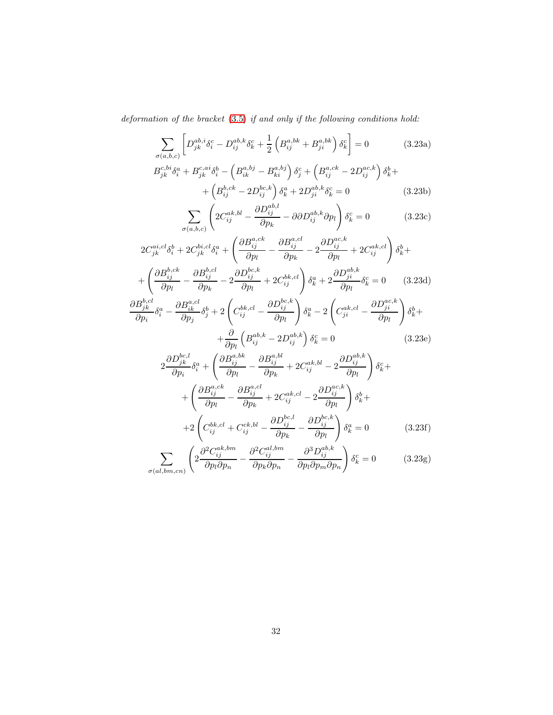deformation of the bracket [\(3.5\)](#page-22-1) if and only if the following conditions hold:

$$
\sum_{\sigma(a,b,c)} \left[ D_{jk}^{ab,i} \delta_i^c - D_{ij}^{ab,k} \delta_k^c + \frac{1}{2} \left( B_{ij}^{a,bk} + B_{ji}^{a,bk} \right) \delta_k^c \right] = 0 \tag{3.23a}
$$

$$
B_{jk}^{c,bi} \delta_i^a + B_{jk}^{c,ai} \delta_i^b - \left( B_{ik}^{a,bj} - B_{ki}^{a,bj} \right) \delta_j^c + \left( B_{ij}^{a,ck} - 2D_{ij}^{ac,k} \right) \delta_k^b + + \left( B_{ij}^{b,ck} - 2D_{ij}^{bc,k} \right) \delta_k^a + 2D_{ji}^{ab,k} \delta_k^c = 0
$$
 (3.23b)

$$
\sum_{\sigma(a,b,c)} \left( 2C_{ij}^{ak,bl} - \frac{\partial D_{ij}^{ab,l}}{\partial p_k} - \partial \partial D_{ij}^{ab,k} \partial p_l \right) \delta_k^c = 0 \tag{3.23c}
$$

$$
2C_{jk}^{ai,cl}\delta_{i}^{b} + 2C_{jk}^{bi,cl}\delta_{i}^{a} + \left(\frac{\partial B_{ij}^{a,ck}}{\partial p_{l}} - \frac{\partial B_{ij}^{a,cl}}{\partial p_{k}} - 2\frac{\partial D_{ij}^{ac,k}}{\partial p_{l}} + 2C_{ij}^{ak,cl}\right)\delta_{k}^{b} + + \left(\frac{\partial B_{ij}^{b,ck}}{\partial p_{l}} - \frac{\partial B_{ij}^{b,cl}}{\partial p_{k}} - 2\frac{\partial D_{ij}^{bc,k}}{\partial p_{l}} + 2C_{ij}^{bk,cl}\right)\delta_{k}^{a} + 2\frac{\partial D_{ji}^{ab,k}}{\partial p_{l}}\delta_{k}^{c} = 0 \qquad (3.23d)
$$

$$
\frac{\partial B_{jk}^{b,cl}}{\partial p_{i}}\delta_{i}^{a} - \frac{\partial B_{ik}^{a,cl}}{\partial p_{j}}\delta_{j}^{b} + 2\left(C_{ij}^{bk,cl} - \frac{\partial D_{ij}^{bc,k}}{\partial p_{l}}\right)\delta_{k}^{a} - 2\left(C_{ji}^{ak,cl} - \frac{\partial D_{ji}^{ac,k}}{\partial p_{l}}\right)\delta_{k}^{b} +
$$

<span id="page-32-0"></span>
$$
+\frac{\partial}{\partial p_l} \left( B_{ij}^{ab,k} - 2D_{ij}^{ab,k} \right) \delta_k^c = 0 \tag{3.23e}
$$

$$
2\frac{\partial D_{jk}^{bc,l}}{\partial p_i} \delta_i^a + \left(\frac{\partial B_{ij}^{a,bk}}{\partial p_l} - \frac{\partial B_{ij}^{a,bl}}{\partial p_k} + 2C_{ij}^{ak,bl} - 2\frac{\partial D_{ij}^{ab,k}}{\partial p_l}\right) \delta_k^c +
$$
  
+ 
$$
\left(\frac{\partial B_{ij}^{a,ck}}{\partial p_l} - \frac{\partial B_{ij}^{a,cl}}{\partial p_k} + 2C_{ij}^{ak,cl} - 2\frac{\partial D_{ij}^{ac,k}}{\partial p_l}\right) \delta_k^b +
$$
  
+ 
$$
2\left(C_{ij}^{bk,cl} + C_{ij}^{ck,bl} - \frac{\partial D_{ij}^{bc,l}}{\partial p_k} - \frac{\partial D_{ij}^{bc,k}}{\partial p_l}\right) \delta_k^a = 0
$$
(3.23f)  

$$
\left(\frac{\partial^2 C_{ik,sm}}{\partial q_l^2 C_{ik,sm}^{ak,lm}} - \frac{\partial^2 C_{ik,sm}^{al,lm}}{\partial q_l^3 D_{ik,sm}^{ab,k}\right)
$$

<span id="page-32-1"></span>
$$
\sum_{\sigma(al,bm,cn)} \left( 2 \frac{\partial^2 C_{ij}^{ak,bm}}{\partial p_l \partial p_n} - \frac{\partial^2 C_{ij}^{al,bm}}{\partial p_k \partial p_n} - \frac{\partial^3 D_{ij}^{ab,k}}{\partial p_l \partial p_m \partial p_n} \right) \delta_k^c = 0 \tag{3.23g}
$$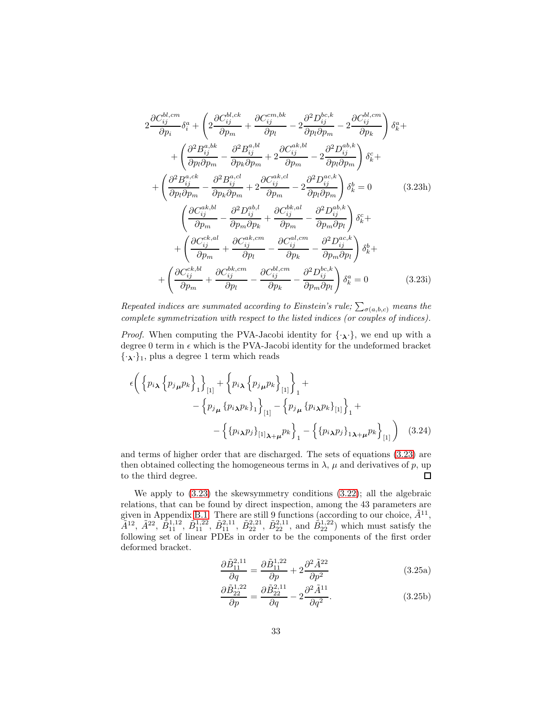<span id="page-33-2"></span>
$$
2 \frac{\partial C_{ij}^{bl,cm}}{\partial p_i} \delta_i^a + \left( 2 \frac{\partial C_{ij}^{bl,ck}}{\partial p_m} + \frac{\partial C_{ij}^{cm,bk}}{\partial p_l} - 2 \frac{\partial^2 D_{ij}^{bc,k}}{\partial p_l \partial p_m} - 2 \frac{\partial C_{ij}^{bl,cm}}{\partial p_k} \right) \delta_k^a + + \left( \frac{\partial^2 B_{ij}^{a,bk}}{\partial p_l \partial p_m} - \frac{\partial^2 B_{ij}^{a,bl}}{\partial p_k \partial p_m} + 2 \frac{\partial C_{ij}^{ak,bl}}{\partial p_m} - 2 \frac{\partial^2 D_{ij}^{ab,k}}{\partial p_l \partial p_m} \right) \delta_k^c + + \left( \frac{\partial^2 B_{ij}^{a,ck}}{\partial p_l \partial p_m} - \frac{\partial^2 B_{ij}^{a,cl}}{\partial p_k \partial p_m} + 2 \frac{\partial C_{ij}^{ak,cl}}{\partial p_m} - 2 \frac{\partial^2 D_{ij}^{ac,k}}{\partial p_l \partial p_m} \right) \delta_k^b = 0 \qquad (3.23h)
$$
  

$$
\left( \frac{\partial C_{ij}^{ak,bl}}{\partial p_m} - \frac{\partial^2 D_{ij}^{ab,l}}{\partial p_m \partial p_k} + \frac{\partial C_{ij}^{bk,al}}{\partial p_m} - \frac{\partial^2 D_{ij}^{ab,k}}{\partial p_m \partial p_l} \right) \delta_k^c + + \left( \frac{\partial C_{ij}^{ck,al}}{\partial p_m} + \frac{\partial C_{ij}^{ak,cm}}{\partial p_l} - \frac{\partial C_{ij}^{al,cm}}{\partial p_k} - \frac{\partial^2 D_{ij}^{ac,k}}{\partial p_m \partial p_l} \right) \delta_k^b + + \left( \frac{\partial C_{ij}^{ck,bl}}{\partial p_m} + \frac{\partial C_{ij}^{bk,cm}}{\partial p_l} - \frac{\partial C_{ij}^{bl,cm}}{\partial p_k} - \frac{\partial^2 D_{ij}^{bc,k}}{\partial p_m \partial p_l} \right) \delta_k^a = 0 \qquad (3.23i)
$$

<span id="page-33-0"></span>Repeated indices are summated according to Einstein's rule;  $\sum_{\sigma(a,b,c)}$  means the complete symmetrization with respect to the listed indices (or couples of indices).

*Proof.* When computing the PVA-Jacobi identity for  $\{\cdot, \cdot\}$ , we end up with a degree 0 term in  $\epsilon$  which is the PVA-Jacobi identity for the undeformed bracket  $\{\cdot_{\lambda}\cdot\}_1$ , plus a degree 1 term which reads

<span id="page-33-1"></span>
$$
\epsilon \bigg( \left\{ p_{i\lambda} \left\{ p_{j\mu} p_k \right\}_{1} \right\}_{[1]} + \left\{ p_{i\lambda} \left\{ p_{j\mu} p_k \right\}_{[1]} \right\}_{1} +
$$
  
 
$$
- \left\{ p_{j\mu} \left\{ p_{i\lambda} p_k \right\}_{1} \right\}_{[1]} - \left\{ p_{j\mu} \left\{ p_{i\lambda} p_k \right\}_{[1]} \right\}_{1} +
$$
  
 
$$
- \left\{ \left\{ p_{i\lambda} p_j \right\}_{[1]\lambda + \mu} p_k \right\}_{1} - \left\{ \left\{ p_{i\lambda} p_j \right\}_{1\lambda + \mu} p_k \right\}_{[1]} \bigg) \quad (3.24)
$$

and terms of higher order that are discharged. The sets of equations [\(3.23\)](#page-31-0) are then obtained collecting the homogeneous terms in  $\lambda$ ,  $\mu$  and derivatives of p, up  $\Box$ to the third degree.

We apply to [\(3.23\)](#page-31-0) the skewsymmetry conditions [\(3.22\)](#page-30-0); all the algebraic relations, that can be found by direct inspection, among the 43 parameters are given in Appendix [B.1.](#page-42-0) There are still 9 functions (according to our choice,  $\tilde{A}^{11}$ ,  $\tilde{A}^{12}$ ,  $\tilde{A}^{22}$ ,  $\tilde{B}_{11}^{1,12}$ ,  $\tilde{B}_{11}^{1,21}$ ,  $\tilde{B}_{22}^{2,11}$ ,  $\tilde{B}_{22}^{2,11}$ , and  $\tilde{B}_{22}^{1,22}$ ) which must satisfy the following set of linear PDEs in order to be the components of the first order deformed bracket.

$$
\frac{\partial \tilde{B}_{11}^{2,11}}{\partial q} = \frac{\partial \tilde{B}_{11}^{1,22}}{\partial p} + 2 \frac{\partial^2 \tilde{A}^{22}}{\partial p^2}
$$
(3.25a)

$$
\frac{\partial \tilde{B}_{22}^{1,22}}{\partial p} = \frac{\partial \tilde{B}_{22}^{2,11}}{\partial q} - 2 \frac{\partial^2 \tilde{A}^{11}}{\partial q^2}.
$$
 (3.25b)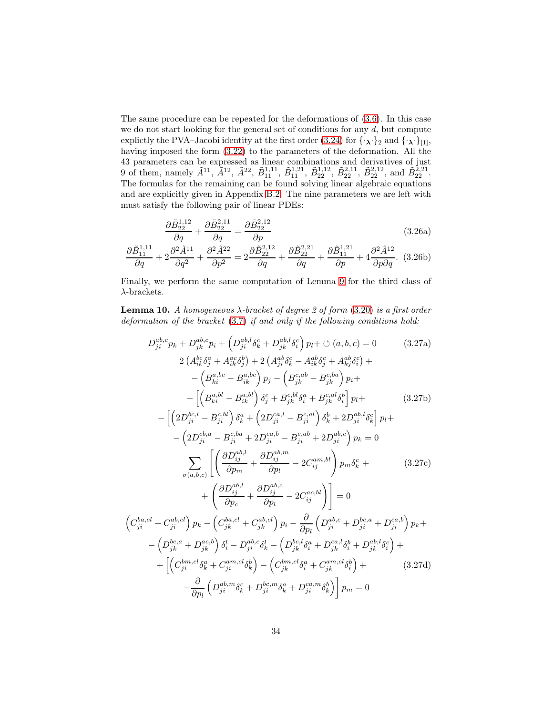The same procedure can be repeated for the deformations of [\(3.6\)](#page-22-2). In this case we do not start looking for the general set of conditions for any  $d$ , but compute explictly the PVA–Jacobi identity at the first order [\(3.24\)](#page-32-0) for  $\{\cdot,\cdot\}_2$  and  $\{\cdot,\cdot\}_{[1]},$ having imposed the form [\(3.22\)](#page-30-0) to the parameters of the deformation. All the 43 parameters can be expressed as linear combinations and derivatives of just 9 of them, namely  $\tilde{A}^{11}$ ,  $\tilde{A}^{12}$ ,  $\tilde{A}^{22}$ ,  $\tilde{B}_{11}^{1,11}$ ,  $\tilde{B}_{11}^{1,21}$ ,  $\tilde{B}_{22}^{1,12}$ ,  $\tilde{B}_{22}^{2,11}$ ,  $\tilde{B}_{22}^{2,12}$ , and  $\tilde{B}_{22}^{2,21}$ . The formulas for the remaining can be found solving linear algebraic equations and are explicitly given in Appendix [B.2.](#page-43-0) The nine parameters we are left with must satisfy the following pair of linear PDEs:

$$
\frac{\partial \tilde{B}_{22}^{1,12}}{\partial q} + \frac{\partial \tilde{B}_{22}^{2,11}}{\partial q} = \frac{\partial \tilde{B}_{22}^{2,12}}{\partial p} \tag{3.26a}
$$

$$
\frac{\partial \tilde{B}_{11}^{1,11}}{\partial q} + 2\frac{\partial^2 \tilde{A}^{11}}{\partial q^2} + \frac{\partial^2 \tilde{A}^{22}}{\partial p^2} = 2\frac{\partial \tilde{B}_{22}^{2,12}}{\partial q} + \frac{\partial \tilde{B}_{22}^{2,21}}{\partial q} + \frac{\partial \tilde{B}_{11}^{1,21}}{\partial p} + 4\frac{\partial^2 \tilde{A}^{12}}{\partial p \partial q}. \tag{3.26b}
$$

Finally, we perform the same computation of Lemma [9](#page-30-1) for the third class of  $\lambda$ -brackets.

**Lemma 10.** A homogeneous  $\lambda$ -bracket of degree 2 of form [\(3.20\)](#page-28-1) is a first order deformation of the bracket [\(3.7\)](#page-22-0) if and only if the following conditions hold:

$$
D_{ji}^{ab,c}p_{k} + D_{jk}^{ab,c}p_{i} + (D_{ji}^{ab,l}\delta_{k}^{c} + D_{jk}^{ab,l}\delta_{i}^{c}) p_{l} + \circ (a,b,c) = 0 \qquad (3.27a)
$$
  
\n
$$
2(A_{ik}^{bc}\delta_{j}^{a} + A_{ik}^{ac}\delta_{j}^{b}) + 2(A_{ji}^{ab}\delta_{k}^{c} - A_{ik}^{ab}\delta_{j}^{c} + A_{kj}^{ab}\delta_{i}^{c}) +
$$
  
\n
$$
- (B_{ki}^{a,bc} - B_{ik}^{a,bc}) p_{j} - (B_{jk}^{c,ab} - B_{jk}^{c,ba}) p_{i} +
$$
  
\n
$$
- [(B_{ki}^{a,bl} - B_{ik}^{a,bl}) \delta_{j}^{c} + B_{jk}^{c,bl}\delta_{i}^{a} + B_{jk}^{c,al}\delta_{i}^{b}] p_{l} +
$$
  
\n
$$
- (2D_{ji}^{b,a} - B_{ji}^{c,bl}) \delta_{k}^{a} + (2D_{ji}^{ca,l} - B_{ji}^{c,al}) \delta_{k}^{b} + 2D_{ji}^{ab,l}\delta_{k}^{c}] p_{l} +
$$
  
\n
$$
- (2D_{ji}^{cb,a} - B_{ji}^{cb,a} + 2D_{ji}^{ca,b} - B_{ji}^{ca,b} + 2D_{ji}^{ab,bc}) p_{k} = 0
$$
  
\n
$$
\sum_{\sigma(a,b,c)} \left[ \left( \frac{\partial D_{ij}^{ab,l}}{\partial p_{m}} + \frac{\partial D_{ij}^{ab,c}}{\partial p_{l}} - 2C_{ij}^{am,bl} \right) p_{m}\delta_{k}^{c} +
$$
  
\n
$$
+ \left( \frac{\partial D_{ij}^{ab,l}}{\partial p_{c}} + \frac{\partial D_{ij}^{ab,c}}{\partial p_{l}} - 2C_{ij}^{ac,bl} \right) \right] = 0
$$
  
\n
$$
(C_{ji}^{ba,cl} + C_{ji}^{ab,cl}) p_{k} - (C_{jk}^{ba,cl} + C_{jk}^{ab,cl}) p_{i} - \frac{\partial}{\partial p_{l}} (D_{ji}^{ab,c} + D_{ji}^{bc,a} + D_{ji}^{ca,b}) p_{k} +
$$
  
\n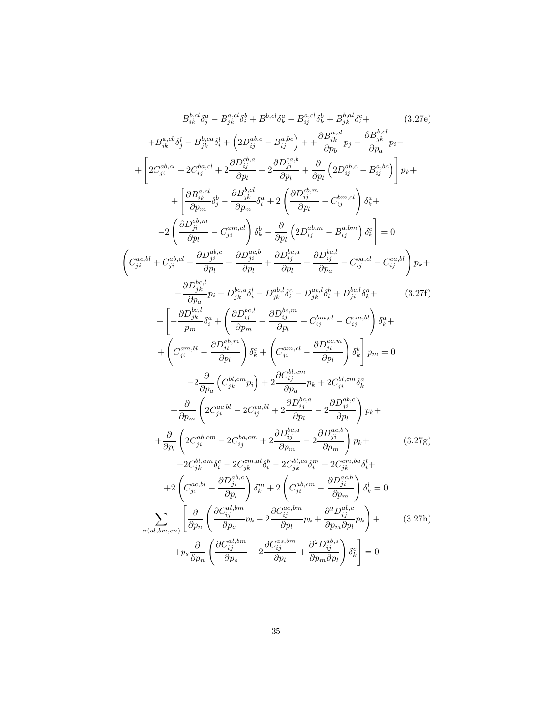$$
B_{ik}^{h,cl}\delta_{j}^{a} - B_{jk}^{a,cl}\delta_{k}^{b} + B_{i}^{b,cl}\delta_{k}^{a} - B_{ij}^{a,cl}\delta_{k}^{b} + B_{jk}^{h,al}\delta_{i}^{c} + \cdots
$$
\n
$$
+ B_{ik}^{a,cb}\delta_{j}^{l} - B_{jk}^{b,ca}\delta_{i}^{l} + \left(2D_{ij}^{ab,c} - B_{ij}^{a,bc}\right) + \frac{\partial B_{ik}^{a,cl}}{\partial p_{b}} p_{j} - \frac{\partial B_{jk}^{b,cl}}{\partial p_{a}} p_{i} + \begin{bmatrix} 2C_{ji}^{ab,cl} - 2C_{ij}^{b,al} + 2\frac{\partial D_{ij}^{ab,al}}{\partial p_{l}} - 2\frac{\partial D_{jli}^{ab,el}}{\partial p_{l}} + \frac{\partial D_{ij}^{ab,el}}{\partial p_{l}} \left(2D_{ij}^{ab,c} - B_{ij}^{a,bc}\right) \end{bmatrix} p_{k} + \begin{bmatrix} 2C_{ji}^{ab,cl} - 2C_{ij}^{b,ad} + 2\frac{\partial B_{jk}^{b,cl}}{\partial p_{l}} - 2\frac{\partial B_{jk}^{ab,el}}{\partial p_{l}} + \frac{\partial B_{ij}^{b,cl}}{\partial p_{l}} \left(2D_{ij}^{ab,m} - C_{ij}^{b,m,cl}\right) \delta_{k}^{a} + \cdots \end{bmatrix}
$$
\n
$$
+ \begin{bmatrix} \frac{\partial B_{jk}^{a,cl}}{\partial p_{m}} - C_{ji}^{a,al} \end{bmatrix} \delta_{kj}^{b} + \frac{\partial}{\partial p_{l}} \left(2D_{ij}^{ab,m} - B_{ij}^{a,bn}\right) \delta_{k}^{c} = 0
$$
\n
$$
\begin{pmatrix} C_{ji}^{ac,bl} + C_{ji}^{ab,cl} - \frac{\partial D_{ji}^{bc,cl}}{\partial p_{l}} - \frac{\partial D_{ji}^{bc,el}}{\partial p_{l}} + \frac{\partial D_{ij}^{bc,el}}{\partial p_{l}} - C_{ij}^{b,al} - C_{ij}^{c,al} \end{bmatrix} p_{k} + \frac{\partial D_{jk}^{b,cl}}{\partial p_{k}^{a}} p_{j} - D_{jk}^{b,cl} \delta_{i}^{a} - D_{ij}^{c,al} \delta_{
$$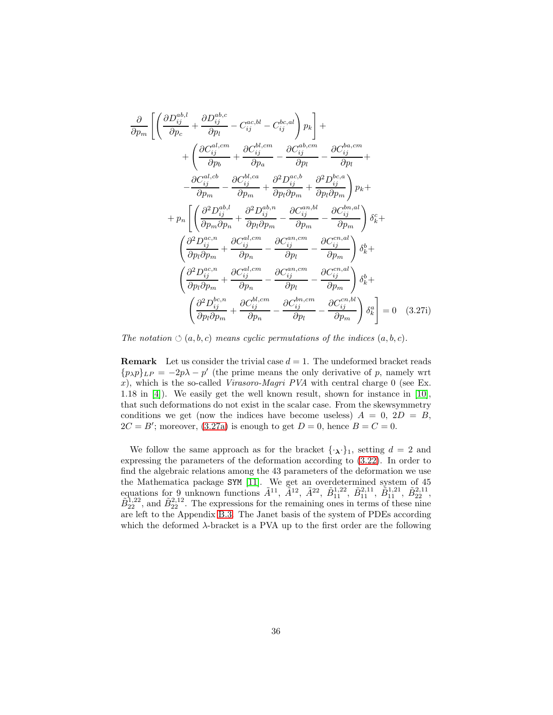<span id="page-36-2"></span>
$$
\frac{\partial}{\partial p_m} \left[ \left( \frac{\partial D_{ij}^{ab,l}}{\partial p_c} + \frac{\partial D_{ij}^{ab,c}}{\partial p_l} - C_{ij}^{ac,bl} - C_{ij}^{bc,al} \right) p_k \right] + \n+ \left( \frac{\partial C_{ij}^{al,cm}}{\partial p_b} + \frac{\partial C_{ij}^{bl,cm}}{\partial p_a} - \frac{\partial C_{ij}^{ab,cm}}{\partial p_l} - \frac{\partial C_{ij}^{ba,cm}}{\partial p_l} + \frac{\partial C_{ij}^{ba,cm}}{\partial p_l} + \frac{\partial C_{ij}^{al,cb}}{\partial p_m} - \frac{\partial C_{ij}^{bl,ca}}{\partial p_m} + \frac{\partial^2 D_{ij}^{ac,b}}{\partial p_l \partial p_m} + \frac{\partial^2 D_{ij}^{bc,a}}{\partial p_l \partial p_m} \right) p_k + \n+ p_n \left[ \left( \frac{\partial^2 D_{ij}^{ab,l}}{\partial p_m \partial p_n} + \frac{\partial^2 D_{ij}^{ab,n}}{\partial p_l \partial p_m} - \frac{\partial C_{ij}^{an,bl}}{\partial p_m} - \frac{\partial C_{ij}^{bn,al}}{\partial p_m} \right) \delta_k^c + \left( \frac{\partial^2 D_{ij}^{ac,n}}{\partial p_l \partial p_m} + \frac{\partial C_{ij}^{al,cm}}{\partial p_n} - \frac{\partial C_{ij}^{ca,cm}}{\partial p_l} - \frac{\partial C_{ij}^{ca,al}}{\partial p_m} \right) \delta_k^b + \left( \frac{\partial^2 D_{ij}^{ac,n}}{\partial p_l \partial p_m} + \frac{\partial C_{ij}^{al,cm}}{\partial p_n} - \frac{\partial C_{ij}^{an,cm}}{\partial p_l} - \frac{\partial C_{ij}^{ca,al}}{\partial p_m} \right) \delta_k^b + \left( \frac{\partial^2 D_{ij}^{bc,n}}{\partial p_l \partial p_m} + \frac{\partial C_{ij}^{bl,cm}}{\partial p_n} - \frac{\partial C_{ij}^{bn,cm}}{\partial p_l} - \frac{\partial C_{ij}^{ca,bl}}{\partial p_m} \right) \delta_k^a = 0 \quad (3.27i)
$$

<span id="page-36-0"></span>The notation  $\circlearrowleft(a, b, c)$  means cyclic permutations of the indices  $(a, b, c)$ .

**Remark** Let us consider the trivial case  $d = 1$ . The undeformed bracket reads  ${p_{\lambda}}p$ <sub>LP</sub> = -2p $\lambda$  - p' (the prime means the only derivative of p, namely wrt x), which is the so-called Virasoro-Magri PVA with central charge  $0$  (see Ex. 1.18 in [\[4\]](#page-48-0)). We easily get the well known result, shown for instance in [\[10\]](#page-48-1), that such deformations do not exist in the scalar case. From the skewsymmetry conditions we get (now the indices have become useless)  $A = 0$ ,  $2D = B$ ,  $2C = B'$ ; moreover, [\(3.27a\)](#page-33-1) is enough to get  $D = 0$ , hence  $B = C = 0$ .

<span id="page-36-1"></span>We follow the same approach as for the bracket  $\{\cdot, \cdot\}_1$ , setting  $d = 2$  and expressing the parameters of the deformation according to [\(3.22\)](#page-30-0). In order to find the algebraic relations among the 43 parameters of the deformation we use the Mathematica package SYM [\[11\]](#page-48-12). We get an overdetermined system of 45 equations for 9 unknown functions  $\tilde{A}^{11}$ ,  $\tilde{A}^{12}$ ,  $\tilde{A}^{22}$ ,  $\tilde{B}_{11}^{1,22}$ ,  $\tilde{B}_{21}^{2,11}$ ,  $\tilde{B}_{11}^{1,21}$ ,  $\tilde{B}_{22}^{2,11}$ ,  $\tilde{B}_{22}^{1,22}$ , and  $\tilde{B}_{22}^{2,12}$ . The expressions for the remaining ones in terms of these nine are left to the Appendix [B.3.](#page-44-0) The Janet basis of the system of PDEs according which the deformed  $\lambda$ -bracket is a PVA up to the first order are the following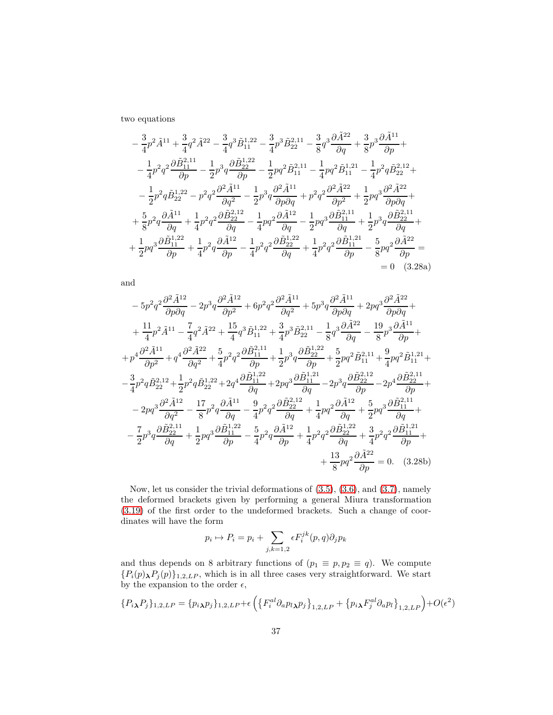two equations

<span id="page-37-0"></span>
$$
-\frac{3}{4}p^2\tilde{A}^{11} + \frac{3}{4}q^2\tilde{A}^{22} - \frac{3}{4}q^3\tilde{B}_{11}^{1,22} - \frac{3}{4}p^3\tilde{B}_{22}^{2,11} - \frac{3}{8}q^3\frac{\partial \tilde{A}^{22}}{\partial q} + \frac{3}{8}p^3\frac{\partial \tilde{A}^{11}}{\partial p} + -\frac{1}{4}p^2q^2\frac{\partial \tilde{B}_{11}^{2,11}}{\partial p} - \frac{1}{2}p^3q\frac{\partial \tilde{B}_{22}^{1,22}}{\partial p} - \frac{1}{2}pq^2\tilde{B}_{11}^{2,11} - \frac{1}{4}pq^2\tilde{B}_{11}^{1,21} - \frac{1}{4}p^2q\tilde{B}_{22}^{2,12} + -\frac{1}{2}p^2q\tilde{B}_{22}^{1,22} - p^2q^2\frac{\partial^2 \tilde{A}^{11}}{\partial q^2} - \frac{1}{2}p^3q\frac{\partial^2 \tilde{A}^{11}}{\partial p\partial q} + p^2q^2\frac{\partial^2 \tilde{A}^{22}}{\partial p^2} + \frac{1}{2}pq^3\frac{\partial^2 \tilde{A}^{22}}{\partial p\partial q} + +\frac{5}{8}p^2q\frac{\partial \tilde{A}^{11}}{\partial q} + \frac{1}{4}p^2q^2\frac{\partial \tilde{B}_{22}^{2,12}}{\partial q} - \frac{1}{4}pq^2\frac{\partial \tilde{A}^{12}}{\partial q} - \frac{1}{2}pq^3\frac{\partial \tilde{B}_{11}^{2,11}}{\partial q} + \frac{1}{2}p^3q\frac{\partial \tilde{B}_{22}^{2,11}}{\partial q} + +\frac{1}{2}pq^3\frac{\partial \tilde{B}_{11}^{1,22}}{\partial p} + \frac{1}{4}p^2q\frac{\partial \tilde{A}^{12}}{\partial p} - \frac{1}{4}p^2q^2\frac{\partial \tilde{B}_{22}^{1,22}}{\partial q} + \frac{1}{4}p^2q^2\frac{\partial \tilde{B}_{1
$$

and

$$
-5p^{2}q^{2}\frac{\partial^{2}\tilde{A}^{12}}{\partial p\partial q} - 2p^{3}q\frac{\partial^{2}\tilde{A}^{12}}{\partial p^{2}} + 6p^{2}q^{2}\frac{\partial^{2}\tilde{A}^{11}}{\partial q^{2}} + 5p^{3}q\frac{\partial^{2}\tilde{A}^{11}}{\partial p\partial q} + 2pq^{3}\frac{\partial^{2}\tilde{A}^{22}}{\partial p\partial q} + \frac{11}{4}p^{2}\tilde{A}^{11} - \frac{7}{4}q^{2}\tilde{A}^{22} + \frac{15}{4}q^{3}\tilde{B}_{11}^{1,22} + \frac{3}{4}p^{3}\tilde{B}_{22}^{2,11} - \frac{1}{8}q^{3}\frac{\partial\tilde{A}^{22}}{\partial q} - \frac{19}{8}p^{3}\frac{\partial\tilde{A}^{11}}{\partial p} + \frac{1}{2}p^{4}\frac{\partial^{2}\tilde{A}^{11}}{\partial q^{2}} + q^{4}\frac{\partial^{2}\tilde{A}^{22}}{\partial q^{2}} + \frac{5}{4}p^{2}q^{2}\frac{\partial\tilde{B}_{11}^{2,11}}{\partial p} + \frac{1}{2}p^{3}q\frac{\partial\tilde{B}_{22}^{1,22}}{\partial p} + \frac{5}{2}pq^{2}\tilde{B}_{11}^{2,11} + \frac{9}{4}pq^{2}\tilde{B}_{11}^{1,21} + \frac{3}{4}p^{2}q\tilde{B}_{22}^{2} + \frac{1}{2}p^{2}q\tilde{B}_{22}^{1,22} + 2q^{4}\frac{\partial\tilde{B}_{111}^{1,22}}{\partial q} + 2pq^{3}\frac{\partial\tilde{B}_{11}^{1,21}}{\partial q} - 2p^{3}q\frac{\partial\tilde{B}_{22}^{2,12}}{\partial p} - 2p^{4}\frac{\partial\tilde{B}_{22}^{2,11}}{\partial p} + \frac{3}{2}pq^{3}\frac{\partial^{2}\tilde{A}^{12}}{\partial q^{2}} - \frac{17}{8}p^{2}q^{3}\frac{\partial\tilde{A}^{11}}{\partial q} - \frac{9}{4}p^{2}q^{2}\frac{\partial\tilde{B}_{2
$$

<span id="page-37-1"></span>Now, let us consider the trivial deformations of [\(3.5\)](#page-22-1), [\(3.6\)](#page-22-2), and [\(3.7\)](#page-22-0), namely the deformed brackets given by performing a general Miura transformation [\(3.19\)](#page-28-0) of the first order to the undeformed brackets. Such a change of coordinates will have the form

$$
p_i \mapsto P_i = p_i + \sum_{j,k=1,2} \epsilon F_i^{jk}(p,q) \partial_j p_k
$$

and thus depends on 8 arbitrary functions of  $(p_1 \equiv p, p_2 \equiv q)$ . We compute  ${P_i(p)_{\lambda}P_j(p)}_{1,2,LP}$ , which is in all three cases very straightforward. We start by the expansion to the order  $\epsilon,$ 

$$
\{P_{i\lambda}P_{j}\}_{1,2,LP} = \{p_{i\lambda}p_{j}\}_{1,2,LP} + \epsilon \left(\left\{F_{i}^{al}\partial_{a}p_{l\lambda}p_{j}\right\}_{1,2,LP} + \left\{p_{i\lambda}F_{j}^{al}\partial_{a}p_{l}\right\}_{1,2,LP}\right) + O(\epsilon^{2})
$$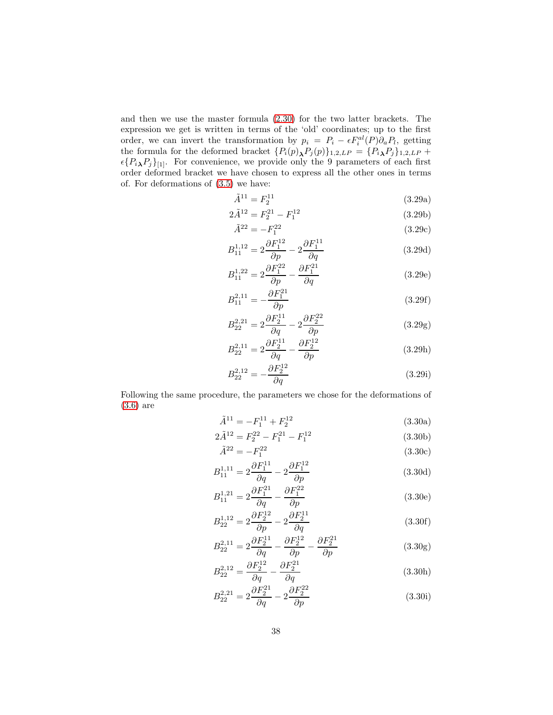and then we use the master formula [\(2.30\)](#page-13-2) for the two latter brackets. The expression we get is written in terms of the 'old' coordinates; up to the first order, we can invert the transformation by  $p_i = P_i - \epsilon F_i^{al}(P) \partial_a P_i$ , getting the formula for the deformed bracket  $\{P_i(p)_{\lambda}P_j(p)\}_{1,2,LP} = \{P_i{}_{\lambda}P_j\}_{1,2,LP} +$  $\epsilon\{P_i\}_{1]}$ . For convenience, we provide only the 9 parameters of each first order deformed bracket we have chosen to express all the other ones in terms of. For deformations of [\(3.5\)](#page-22-1) we have:

<span id="page-38-0"></span>
$$
\tilde{A}^{11} = F_2^{11} \tag{3.29a}
$$

$$
2\tilde{A}^{12} = F_2^{21} - F_1^{12}
$$
 (3.29b)

$$
\tilde{A}^{22} = -F_1^{22} \tag{3.29c}
$$

$$
B_{11}^{1,12} = 2\frac{\partial F_1^{12}}{\partial p} - 2\frac{\partial F_1^{11}}{\partial q} \tag{3.29d}
$$

$$
B_{11}^{1,22} = 2\frac{\partial F_1^{22}}{\partial p} - \frac{\partial F_1^{21}}{\partial q}
$$
 (3.29e)

$$
B_{11}^{2,11} = -\frac{\partial F_1^{21}}{\partial p} \tag{3.29f}
$$

$$
B_{22}^{2,21} = 2\frac{\partial F_2^{11}}{\partial q} - 2\frac{\partial F_2^{22}}{\partial p}
$$
 (3.29g)

$$
B_{22}^{2,11} = 2\frac{\partial F_2^{11}}{\partial q} - \frac{\partial F_2^{12}}{\partial p}
$$
 (3.29h)

$$
B_{22}^{2,12} = -\frac{\partial F_2^{12}}{\partial q} \tag{3.29i}
$$

Following the same procedure, the parameters we chose for the deformations of [\(3.6\)](#page-22-2) are

$$
\tilde{A}^{11} = -F_1^{11} + F_2^{12} \tag{3.30a}
$$

$$
2\tilde{A}^{12} = F_2^{22} - F_1^{21} - F_1^{12}
$$
\n(3.30b)

$$
\tilde{A}^{22} = -F_1^{22} \tag{3.30c}
$$

$$
B_{11}^{1,11} = 2\frac{\partial F_1^{11}}{\partial q} - 2\frac{\partial F_1^{12}}{\partial p}
$$
 (3.30d)

$$
B_{11}^{1,21} = 2\frac{\partial F_1^{21}}{\partial q} - \frac{\partial F_1^{22}}{\partial p}
$$
 (3.30e)

$$
B_{22}^{1,12} = 2\frac{\partial F_2^{12}}{\partial p} - 2\frac{\partial F_2^{11}}{\partial q}
$$
 (3.30f)

$$
B_{22}^{2,11} = 2\frac{\partial F_2^{11}}{\partial q} - \frac{\partial F_2^{12}}{\partial p} - \frac{\partial F_2^{21}}{\partial p}
$$
 (3.30g)

$$
B_{22}^{2,12} = \frac{\partial F_2^{12}}{\partial q} - \frac{\partial F_2^{21}}{\partial q}
$$
 (3.30h)

$$
B_{22}^{2,21} = 2\frac{\partial F_2^{21}}{\partial q} - 2\frac{\partial F_2^{22}}{\partial p}
$$
 (3.30i)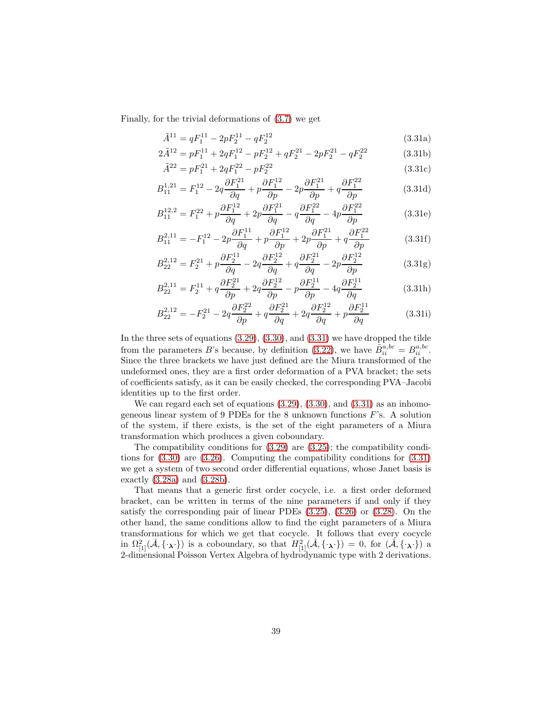Finally, for the trivial deformations of [\(3.7\)](#page-22-0) we get

$$
\tilde{A}^{11} = qF_1^{11} - 2pF_2^{11} - qF_2^{12}
$$
\n(3.31a)

$$
2\tilde{A}^{12}=pF_1^{11}+2qF_1^{12}-pF_2^{12}+qF_2^{21}-2pF_2^{21}-qF_2^{22} \eqno(3.31b)
$$

$$
\tilde{A}^{22} = pF_1^{21} + 2qF_1^{22} - pF_2^{22}
$$
\n(3.31c)

$$
B_{11}^{1,21} = F_1^{12} - 2q \frac{\partial F_1^{21}}{\partial q} + p \frac{\partial F_1^{12}}{\partial p} - 2p \frac{\partial F_1^{21}}{\partial p} + q \frac{\partial F_1^{22}}{\partial p}
$$
 (3.31d)

$$
B_{11}^{12,2} = F_1^{22} + p\frac{\partial F_1^{12}}{\partial q} + 2p\frac{\partial F_1^{21}}{\partial q} - q\frac{\partial F_1^{22}}{\partial q} - 4p\frac{\partial F_1^{22}}{\partial p}
$$
(3.31e)

$$
B_{11}^{2,11} = -F_1^{12} - 2p \frac{\partial F_1^{11}}{\partial q} + p \frac{\partial F_1^{12}}{\partial p} + 2p \frac{\partial F_1^{21}}{\partial p} + q \frac{\partial F_1^{22}}{\partial p}
$$
 (3.31f)

$$
B_{22}^{2,12} = F_2^{21} + p\frac{\partial F_2^{11}}{\partial q} - 2q\frac{\partial F_2^{12}}{\partial q} + q\frac{\partial F_2^{21}}{\partial q} - 2p\frac{\partial F_2^{12}}{\partial p}
$$
(3.31g)

$$
B_{22}^{2,11} = F_2^{11} + q \frac{\partial F_2^{21}}{\partial p} + 2q \frac{\partial F_2^{12}}{\partial p} - p \frac{\partial F_2^{11}}{\partial p} - 4q \frac{\partial F_2^{11}}{\partial q}
$$
 (3.31h)

$$
B_{22}^{2,12} = -F_2^{21} - 2q \frac{\partial F_2^{22}}{\partial p} + q \frac{\partial F_2^{21}}{\partial q} + 2q \frac{\partial F_2^{12}}{\partial q} + p \frac{\partial F_2^{11}}{\partial q}
$$
 (3.31i)

<span id="page-39-0"></span>In the three sets of equations [\(3.29\)](#page-37-0), [\(3.30\)](#page-37-1), and [\(3.31\)](#page-38-0) we have dropped the tilde from the parameters B's because, by definition [\(3.22\)](#page-30-0), we have  $\tilde{B}_{ii}^{a,bc} = B_{ii}^{a,bc}$ . Since the three brackets we have just defined are the Miura transformed of the undeformed ones, they are a first order deformation of a PVA bracket; the sets of coefficients satisfy, as it can be easily checked, the corresponding PVA–Jacobi identities up to the first order.

We can regard each set of equations  $(3.29)$ ,  $(3.30)$ , and  $(3.31)$  as an inhomogeneous linear system of 9 PDEs for the 8 unknown functions  $F$ 's. A solution of the system, if there exists, is the set of the eight parameters of a Miura transformation which produces a given coboundary.

The compatibility conditions for [\(3.29\)](#page-37-0) are [\(3.25\)](#page-32-1); the compatibility conditions for [\(3.30\)](#page-37-1) are [\(3.26\)](#page-33-2). Computing the compatibility conditions for [\(3.31\)](#page-38-0) we get a system of two second order differential equations, whose Janet basis is exactly [\(3.28a\)](#page-36-0) and [\(3.28b\)](#page-36-1).

That means that a generic first order cocycle, i.e. a first order deformed bracket, can be written in terms of the nine parameters if and only if they satisfy the corresponding pair of linear PDEs [\(3.25\)](#page-32-1), [\(3.26\)](#page-33-2) or [\(3.28\)](#page-36-2). On the other hand, the same conditions allow to find the eight parameters of a Miura transformations for which we get that cocycle. It follows that every cocycle in  $\Omega_{[1]}^2(\hat{\mathcal{A}}, {\{\cdot_\lambda\cdot\}})$  is a coboundary, so that  $H_{[1]}^2(\hat{\mathcal{A}}, {\{\cdot_\lambda\cdot\}}) = 0$ , for  $(\hat{\mathcal{A}}, {\{\cdot_\lambda\cdot\}})$  a 2-dimensional Poisson Vertex Algebra of hydrodynamic type with 2 derivations.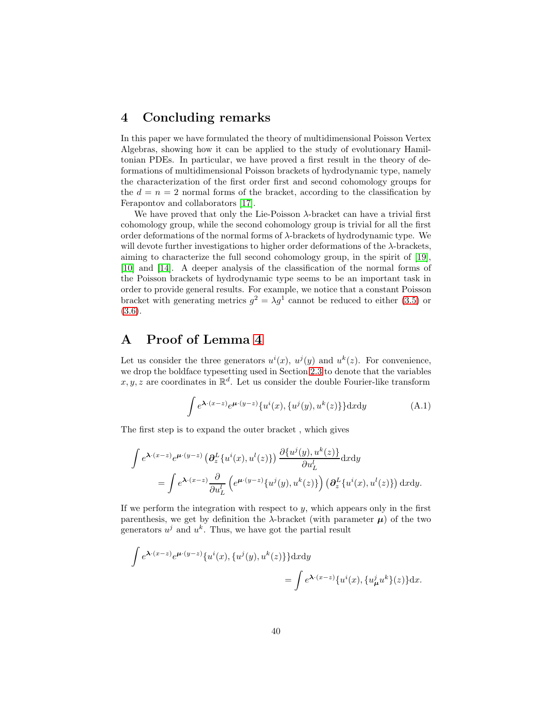### 4 Concluding remarks

In this paper we have formulated the theory of multidimensional Poisson Vertex Algebras, showing how it can be applied to the study of evolutionary Hamiltonian PDEs. In particular, we have proved a first result in the theory of deformations of multidimensional Poisson brackets of hydrodynamic type, namely the characterization of the first order first and second cohomology groups for the  $d = n = 2$  normal forms of the bracket, according to the classification by Ferapontov and collaborators [\[17\]](#page-49-5).

We have proved that only the Lie-Poisson  $\lambda$ -bracket can have a trivial first cohomology group, while the second cohomology group is trivial for all the first order deformations of the normal forms of λ-brackets of hydrodynamic type. We will devote further investigations to higher order deformations of the  $\lambda$ -brackets, aiming to characterize the full second cohomology group, in the spirit of [\[19\]](#page-49-4), [\[10\]](#page-48-1) and [\[14\]](#page-48-4). A deeper analysis of the classification of the normal forms of the Poisson brackets of hydrodynamic type seems to be an important task in order to provide general results. For example, we notice that a constant Poisson bracket with generating metrics  $g^2 = \lambda g^1$  cannot be reduced to either [\(3.5\)](#page-22-1) or [\(3.6\)](#page-22-2).

# A Proof of Lemma [4](#page-17-0)

Let us consider the three generators  $u^i(x)$ ,  $u^j(y)$  and  $u^k(z)$ . For convenience, we drop the boldface typesetting used in Section [2.3](#page-12-3) to denote that the variables x, y, z are coordinates in  $\mathbb{R}^d$ . Let us consider the double Fourier-like transform

$$
\int e^{\mathbf{\lambda} \cdot (x-z)} e^{\mathbf{\mu} \cdot (y-z)} \{u^i(x), \{u^j(y), u^k(z)\}\} \mathrm{d}x \mathrm{d}y \tag{A.1}
$$

The first step is to expand the outer bracket , which gives

$$
\int e^{\mathbf{\lambda} \cdot (x-z)} e^{\mu \cdot (y-z)} \left( \partial_z^L \{ u^i(x), u^l(z) \} \right) \frac{\partial \{ u^j(y), u^k(z) \}}{\partial u_L^l} dxdy
$$
\n
$$
= \int e^{\mathbf{\lambda} \cdot (x-z)} \frac{\partial}{\partial u_L^l} \left( e^{\mu \cdot (y-z)} \{ u^j(y), u^k(z) \} \right) \left( \partial_z^L \{ u^i(x), u^l(z) \} \right) dxdy.
$$

If we perform the integration with respect to  $y$ , which appears only in the first parenthesis, we get by definition the  $\lambda$ -bracket (with parameter  $\mu$ ) of the two generators  $u^j$  and  $u^k$ . Thus, we have got the partial result

$$
\int e^{\lambda \cdot (x-z)} e^{\mu \cdot (y-z)} \{u^i(x), \{u^j(y), u^k(z)\}\} \mathrm{d}x \mathrm{d}y
$$
  
= 
$$
\int e^{\lambda \cdot (x-z)} \{u^i(x), \{u^j_\mu u^k\}(z)\} \mathrm{d}x.
$$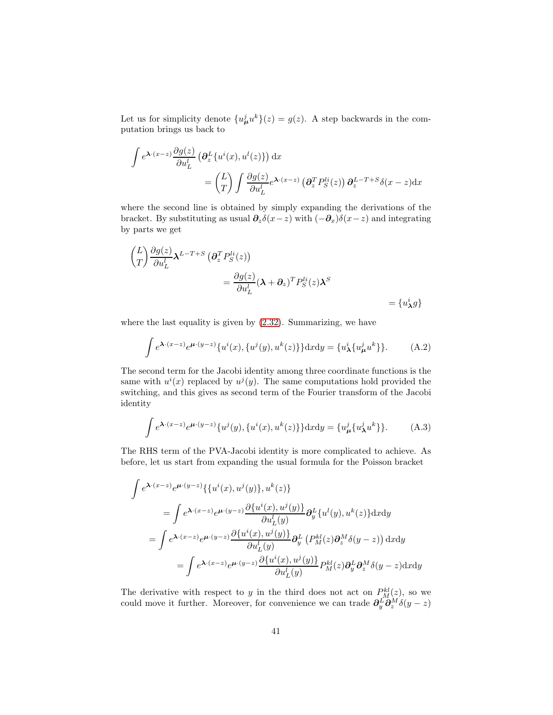Let us for simplicity denote  $\{u^j_{\mu}u^k\}(z) = g(z)$ . A step backwards in the computation brings us back to

$$
\int e^{\lambda \cdot (x-z)} \frac{\partial g(z)}{\partial u_L^l} \left( \frac{\partial_z^L}{\partial u_L^l} \left( u^i(x), u^l(z) \right) \right) dx
$$
  
= 
$$
\begin{pmatrix} L \\ T \end{pmatrix} \int \frac{\partial g(z)}{\partial u_L^l} e^{\lambda \cdot (x-z)} \left( \frac{\partial_x^T}{\partial u_L^l} P_S^{li}(z) \right) \frac{\partial_z^{L-T+S}}{\partial u_L^l} \delta(x-z) dx
$$

where the second line is obtained by simply expanding the derivations of the bracket. By substituting as usual  $\partial_z \delta(x-z)$  with  $(-\partial_x)\delta(x-z)$  and integrating by parts we get

$$
\begin{aligned} \left(\frac{L}{T}\right) \frac{\partial g(z)}{\partial u_L^i} \lambda^{L-T+S} \left(\partial_z^T P_S^{li}(z)\right) \\ &= \frac{\partial g(z)}{\partial u_L^i} (\lambda + \partial_z)^T P_S^{li}(z) \lambda^S \\ &= \{u_\lambda^i g\} \end{aligned}
$$

where the last equality is given by [\(2.32\)](#page-13-3). Summarizing, we have

$$
\int e^{\lambda \cdot (x-z)} e^{\mu \cdot (y-z)} \{u^i(x), \{u^j(y), u^k(z)\}\} dxdy = \{u^i_{\lambda} \{u^j_{\mu} u^k\}\}.
$$
 (A.2)

The second term for the Jacobi identity among three coordinate functions is the same with  $u^{i}(x)$  replaced by  $u^{j}(y)$ . The same computations hold provided the switching, and this gives as second term of the Fourier transform of the Jacobi identity

$$
\int e^{\lambda \cdot (x-z)} e^{\mu \cdot (y-z)} \{u^j(y), \{u^i(x), u^k(z)\}\} dxdy = \{u^j_\mu \{u^j_\lambda u^k\}\}.
$$
 (A.3)

The RHS term of the PVA-Jacobi identity is more complicated to achieve. As before, let us start from expanding the usual formula for the Poisson bracket

$$
\int e^{\lambda \cdot (x-z)} e^{\mu \cdot (y-z)} \{ \{ u^i(x), u^j(y) \}, u^k(z) \}
$$
\n
$$
= \int e^{\lambda \cdot (x-z)} e^{\mu \cdot (y-z)} \frac{\partial \{ u^i(x), u^j(y) \}}{\partial u_L^l(y)} \partial_y^L \{ u^l(y), u^k(z) \} dxdy
$$
\n
$$
= \int e^{\lambda \cdot (x-z)} e^{\mu \cdot (y-z)} \frac{\partial \{ u^i(x), u^j(y) \}}{\partial u_L^l(y)} \partial_y^L \left( P_M^{kl}(z) \partial_z^M \delta(y-z) \right) dxdy
$$
\n
$$
= \int e^{\lambda \cdot (x-z)} e^{\mu \cdot (y-z)} \frac{\partial \{ u^i(x), u^j(y) \}}{\partial u_L^l(y)} P_M^{kl}(z) \partial_y^L \partial_z^M \delta(y-z) dxdy
$$

The derivative with respect to y in the third does not act on  $P_M^{kl}(z)$ , so we could move it further. Moreover, for convenience we can trade  $\partial_y^L \partial_z^M \delta(y-z)$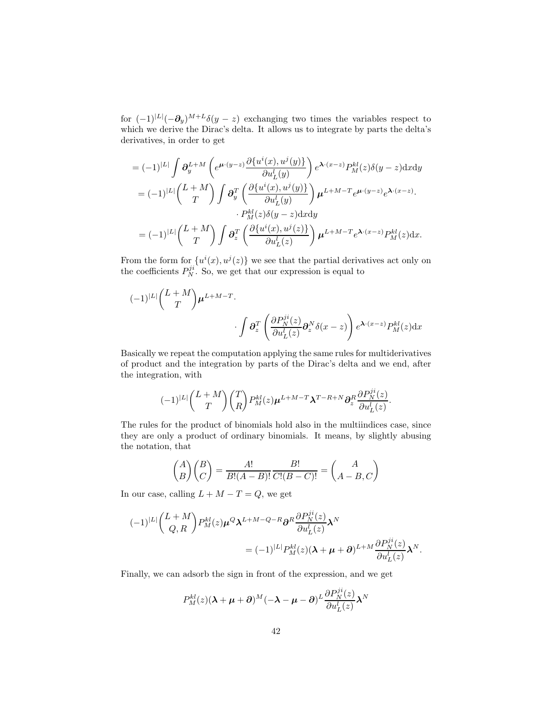for  $(-1)^{|L|}(-\partial_y)^{M+L}\delta(y-z)$  exchanging two times the variables respect to which we derive the Dirac's delta. It allows us to integrate by parts the delta's derivatives, in order to get

<span id="page-42-0"></span>
$$
= (-1)^{|L|} \int \partial_y^{L+M} \left( e^{\mu \cdot (y-z)} \frac{\partial \{u^i(x), u^j(y)\}}{\partial u_L^l(y)} \right) e^{\lambda \cdot (x-z)} P_M^{kl}(z) \delta(y-z) \, dx \, dy
$$
\n
$$
= (-1)^{|L|} \binom{L+M}{T} \int \partial_y^T \left( \frac{\partial \{u^i(x), u^j(y)\}}{\partial u_L^l(y)} \right) \mu^{L+M-T} e^{\mu \cdot (y-z)} e^{\lambda \cdot (x-z)}.
$$
\n
$$
\cdot P_M^{kl}(z) \delta(y-z) \, dx \, dy
$$
\n
$$
= (-1)^{|L|} \binom{L+M}{T} \int \partial_z^T \left( \frac{\partial \{u^i(x), u^j(z)\}}{\partial u_L^l(z)} \right) \mu^{L+M-T} e^{\lambda \cdot (x-z)} P_M^{kl}(z) \, dx.
$$

From the form for  $\{u^{i}(x), u^{j}(z)\}\$  we see that the partial derivatives act only on the coefficients  $P_N^{ji}$ . So, we get that our expression is equal to

$$
(-1)^{|L|} \binom{L+M}{T} \mu^{L+M-T} \cdot \int \partial_z^T \left( \frac{\partial P_N^{ji}(z)}{\partial u_L^l(z)} \partial_z^N \delta(x-z) \right) e^{\lambda \cdot (x-z)} P_M^{kl}(z) dx
$$

Basically we repeat the computation applying the same rules for multiderivatives of product and the integration by parts of the Dirac's delta and we end, after the integration, with

$$
(-1)^{|L|} \binom{L+M}{T} \binom{T}{R} P^{kl}_M(z) \boldsymbol{\mu}^{L+M-T} \boldsymbol{\lambda}^{T-R+N} \partial_z^R \frac{\partial P_N^{ji}(z)}{\partial u_L^l(z)}
$$

.

The rules for the product of binomials hold also in the multiindices case, since they are only a product of ordinary binomials. It means, by slightly abusing the notation, that

$$
\binom{A}{B}\binom{B}{C} = \frac{A!}{B!(A-B)!} \frac{B!}{C!(B-C)!} = \binom{A}{A-B,C}
$$

In our case, calling  $L + M - T = Q$ , we get

$$
\begin{aligned} (-1)^{|L|} \binom{L+M}{Q,R} P_M^{kl}(z) \mu^Q \lambda^{L+M-Q-R} \partial^R \frac{\partial P_N^{ji}(z)}{\partial u_L^l(z)} \lambda^N \\ &= (-1)^{|L|} P_M^{kl}(z) (\lambda + \mu + \partial)^{L+M} \frac{\partial P_N^{ji}(z)}{\partial u_L^l(z)} \lambda^N. \end{aligned}
$$

Finally, we can adsorb the sign in front of the expression, and we get

$$
P_M^{kl}(z)(\boldsymbol{\lambda} + \boldsymbol{\mu} + \boldsymbol{\partial})^M(-\boldsymbol{\lambda} - \boldsymbol{\mu} - \boldsymbol{\partial})^L \frac{\partial P_N^{ji}(z)}{\partial u_L^l(z)} \boldsymbol{\lambda}^N
$$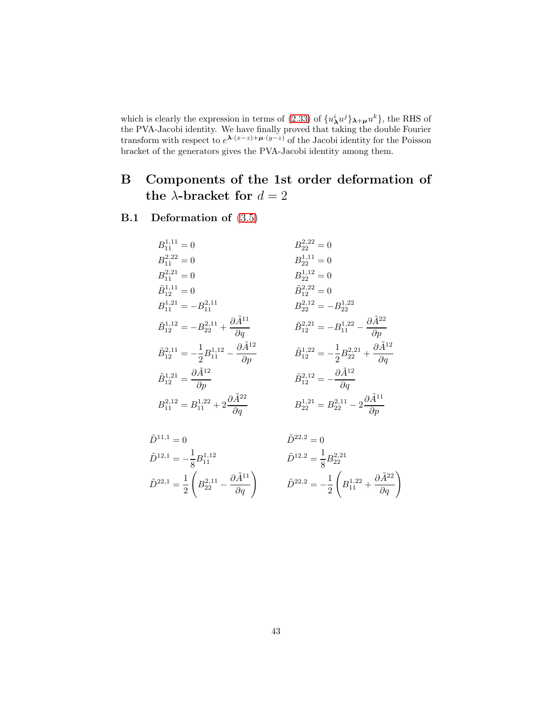which is clearly the expression in terms of [\(2.33\)](#page-14-1) of  $\{u_{\lambda}^{i}u^{j}\}_{\lambda+\mu}u^{k}\}$ , the RHS of the PVA-Jacobi identity. We have finally proved that taking the double Fourier transform with respect to  $e^{\lambda \cdot (x-z) + \mu \cdot (y-z)}$  of the Jacobi identity for the Poisson bracket of the generators gives the PVA-Jacobi identity among them.

# B Components of the 1st order deformation of the  $\lambda$ -bracket for  $d = 2$

### <span id="page-43-0"></span>B.1 Deformation of [\(3.5\)](#page-22-1)

$$
\begin{aligned} &B^{1,11}_{11}=0 && B^{2,22}_{22}=0 \\ &B^{2,22}_{11}=0 && B^{1,11}_{22}=0 \\ &B^{1,11}_{11}=0 && B^{1,12}_{22}=0 \\ &B^{1,11}_{12}=0 && \tilde{B}^{2,22}_{12}=0 \\ &B^{1,11}_{11}=-B^{2,11}_{11} && B^{2,12}_{22}=0 \\ &B^{1,21}_{12}=-B^{2,11}_{21} +\frac{\partial \tilde{A}^{11}}{\partial q} && \tilde{B}^{2,21}_{12}=-B^{1,22}_{22} \\ &\tilde{B}^{1,12}_{12}=-B^{2,11}_{22}+\frac{\partial \tilde{A}^{11}}{\partial q} && \tilde{B}^{2,21}_{12}=-B^{1,22}_{11}-\frac{\partial \tilde{A}^{22}}{\partial p} \\ &\tilde{B}^{1,21}_{12}=\frac{\partial \tilde{A}^{12}}{\partial p} && \tilde{B}^{1,22}_{12}=-\frac{1}{2}B^{2,21}_{22}+\frac{\partial \tilde{A}^{12}}{\partial q} \\ &\tilde{B}^{1,21}_{11}=B^{1,22}_{11}+2\frac{\partial \tilde{A}^{22}}{\partial q} && \tilde{B}^{2,12}_{22}=-\frac{\partial \tilde{A}^{12}}{\partial q} \\ &B^{2,12}_{11}=B^{2,12}_{11}+2\frac{\partial \tilde{A}^{22}}{\partial q} && B^{1,21}_{22}=B^{2,11}_{22}-2\frac{\partial \tilde{A}^{11}}{\partial p} \end{aligned}
$$

$$
\tilde{D}^{11,1} = 0 \qquad \qquad \tilde{D}^{22,2} = 0
$$
\n
$$
\tilde{D}^{12,1} = -\frac{1}{8} B_{11}^{1,12} \qquad \qquad \tilde{D}^{12,2} = \frac{1}{8} B_{22}^{2,21}
$$
\n
$$
\tilde{D}^{22,1} = \frac{1}{2} \left( B_{22}^{2,11} - \frac{\partial \tilde{A}^{11}}{\partial q} \right) \qquad \qquad \tilde{D}^{22,2} = -\frac{1}{2} \left( B_{11}^{1,22} + \frac{\partial \tilde{A}^{22}}{\partial q} \right)
$$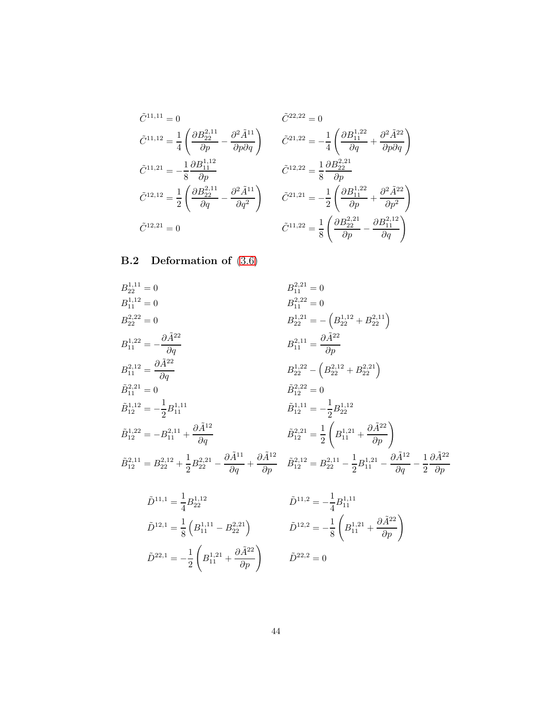$$
\tilde{C}^{11,11} = 0 \qquad \qquad \tilde{C}^{22,22} = 0
$$
\n
$$
\tilde{C}^{11,12} = \frac{1}{4} \left( \frac{\partial B_{22}^{2,11}}{\partial p} - \frac{\partial^2 \tilde{A}^{11}}{\partial p \partial q} \right) \qquad \tilde{C}^{21,22} = -\frac{1}{4} \left( \frac{\partial B_{11}^{1,22}}{\partial q} + \frac{\partial^2 \tilde{A}^{22}}{\partial p \partial q} \right)
$$
\n
$$
\tilde{C}^{11,21} = -\frac{1}{8} \frac{\partial B_{11}^{1,12}}{\partial p} \qquad \qquad \tilde{C}^{12,22} = \frac{1}{8} \frac{\partial B_{22}^{2,21}}{\partial p}
$$
\n
$$
\tilde{C}^{12,12} = \frac{1}{2} \left( \frac{\partial B_{22}^{2,11}}{\partial q} - \frac{\partial^2 \tilde{A}^{11}}{\partial q^2} \right) \qquad \tilde{C}^{21,21} = -\frac{1}{2} \left( \frac{\partial B_{11}^{1,22}}{\partial p} + \frac{\partial^2 \tilde{A}^{22}}{\partial p^2} \right)
$$
\n
$$
\tilde{C}^{12,21} = 0 \qquad \qquad \tilde{C}^{11,22} = \frac{1}{8} \left( \frac{\partial B_{22}^{2,21}}{\partial p} - \frac{\partial B_{11}^{2,12}}{\partial q} \right)
$$

!

# B.2 Deformation of [\(3.6\)](#page-22-2)

<span id="page-44-0"></span>
$$
B_{22}^{1,11} = 0
$$
\n
$$
B_{11}^{1,12} = 0
$$
\n
$$
B_{22}^{2,22} = 0
$$
\n
$$
B_{22}^{2,22} = 0
$$
\n
$$
B_{22}^{1,22} = -\left(B_{22}^{1,12} + B_{22}^{2,11}\right)
$$
\n
$$
B_{11}^{1,22} = -\frac{\partial \tilde{A}^{22}}{\partial q}
$$
\n
$$
B_{11}^{2,21} = \frac{\partial \tilde{A}^{22}}{\partial q}
$$
\n
$$
B_{11}^{2,22} = \left(B_{22}^{2,21} + B_{22}^{2,21}\right)
$$
\n
$$
\tilde{B}_{11}^{2,21} = 0
$$
\n
$$
\tilde{B}_{12}^{2,22} = -\frac{1}{2}B_{11}^{1,11}
$$
\n
$$
\tilde{B}_{12}^{1,22} = -B_{11}^{2,11} + \frac{\partial \tilde{A}^{12}}{\partial q}
$$
\n
$$
\tilde{B}_{12}^{2,21} = \frac{1}{2}\left(B_{11}^{1,21} + \frac{\partial \tilde{A}^{22}}{\partial p}\right)
$$
\n
$$
\tilde{B}_{12}^{2,21} = B_{22}^{2,12} + \frac{1}{2}B_{22}^{2,21} - \frac{\partial \tilde{A}^{11}}{\partial q} + \frac{\partial \tilde{A}^{12}}{\partial p}
$$
\n
$$
\tilde{B}_{12}^{2,21} = B_{22}^{2,11} - \frac{1}{2}B_{11}^{1,21} - \frac{\partial \tilde{A}^{12}}{\partial q} - \frac{1}{2} \frac{\partial \tilde{A}^{22}}{\partial p}
$$

$$
\tilde{D}^{11,1} = \frac{1}{4} B_{22}^{1,12} \qquad \qquad \tilde{D}^{11,2} = -\frac{1}{4} B_{11}^{1,11}
$$
\n
$$
\tilde{D}^{12,1} = \frac{1}{8} \left( B_{11}^{1,11} - B_{22}^{2,21} \right) \qquad \qquad \tilde{D}^{12,2} = -\frac{1}{8} \left( B_{11}^{1,21} + \frac{\partial \tilde{A}^{22}}{\partial p} \right)
$$
\n
$$
\tilde{D}^{22,1} = -\frac{1}{2} \left( B_{11}^{1,21} + \frac{\partial \tilde{A}^{22}}{\partial p} \right) \qquad \qquad \tilde{D}^{22,2} = 0
$$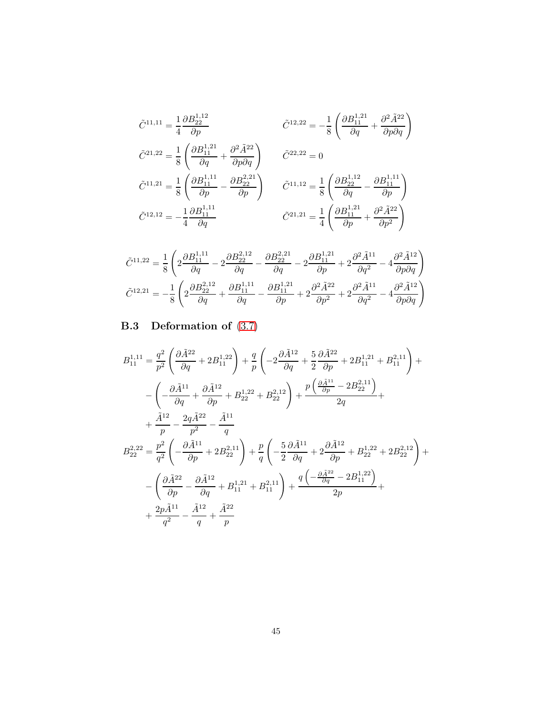$$
\tilde{C}^{11,11} = \frac{1}{4} \frac{\partial B_{22}^{1,12}}{\partial p} \qquad \qquad \tilde{C}^{12,22} = -\frac{1}{8} \left( \frac{\partial B_{11}^{1,21}}{\partial q} + \frac{\partial^2 \tilde{A}^{22}}{\partial p \partial q} \right)
$$
\n
$$
\tilde{C}^{21,22} = \frac{1}{8} \left( \frac{\partial B_{11}^{1,21}}{\partial q} + \frac{\partial^2 \tilde{A}^{22}}{\partial p \partial q} \right) \qquad \tilde{C}^{22,22} = 0
$$
\n
$$
\tilde{C}^{11,21} = \frac{1}{8} \left( \frac{\partial B_{11}^{1,11}}{\partial p} - \frac{\partial B_{22}^{2,21}}{\partial p} \right) \qquad \tilde{C}^{11,12} = \frac{1}{8} \left( \frac{\partial B_{22}^{1,12}}{\partial q} - \frac{\partial B_{11}^{1,11}}{\partial p} \right)
$$
\n
$$
\tilde{C}^{12,12} = -\frac{1}{4} \frac{\partial B_{11}^{1,11}}{\partial q} \qquad \qquad \tilde{C}^{21,21} = \frac{1}{4} \left( \frac{\partial B_{11}^{1,21}}{\partial p} + \frac{\partial^2 \tilde{A}^{22}}{\partial p^2} \right)
$$

$$
\tilde{C}^{11,22}=\frac{1}{8}\left(2\frac{\partial B^{1,11}_{11}}{\partial q}-2\frac{\partial B^{2,12}_{22}}{\partial q}-\frac{\partial B^{2,21}_{22}}{\partial q}-2\frac{\partial B^{1,21}_{11}}{\partial p}+2\frac{\partial^2 \tilde{A}^{11}}{\partial q^2}-4\frac{\partial^2 \tilde{A}^{12}}{\partial p \partial q}\right) \n\tilde{C}^{12,21}=-\frac{1}{8}\left(2\frac{\partial B^{2,12}_{22}}{\partial q}+\frac{\partial B^{1,11}_{11}}{\partial q}-\frac{\partial B^{1,21}_{11}}{\partial p}+2\frac{\partial^2 \tilde{A}^{22}}{\partial p^2}+2\frac{\partial^2 \tilde{A}^{11}}{\partial q^2}-4\frac{\partial^2 \tilde{A}^{12}}{\partial p \partial q}\right)
$$

# B.3 Deformation of [\(3.7\)](#page-22-0)

$$
B_{11}^{1,11} = \frac{q^2}{p^2} \left( \frac{\partial \tilde{A}^{22}}{\partial q} + 2B_{11}^{1,22} \right) + \frac{q}{p} \left( -2\frac{\partial \tilde{A}^{12}}{\partial q} + \frac{5}{2}\frac{\partial \tilde{A}^{22}}{\partial p} + 2B_{11}^{1,21} + B_{11}^{2,11} \right) + - \left( -\frac{\partial \tilde{A}^{11}}{\partial q} + \frac{\partial \tilde{A}^{12}}{\partial p} + B_{22}^{1,22} + B_{22}^{2,12} \right) + \frac{p \left( \frac{\partial \tilde{A}^{11}}{\partial p} - 2B_{22}^{2,11} \right)}{2q} + + \frac{\tilde{A}^{12}}{p} - \frac{2q \tilde{A}^{22}}{p^2} - \frac{\tilde{A}^{11}}{q} B_{22}^{2,22} = \frac{p^2}{q^2} \left( -\frac{\partial \tilde{A}^{11}}{\partial p} + 2B_{22}^{2,11} \right) + \frac{p}{q} \left( -\frac{5}{2}\frac{\partial \tilde{A}^{11}}{\partial q} + 2\frac{\partial \tilde{A}^{12}}{\partial p} + B_{22}^{1,22} + 2B_{22}^{2,12} \right) + - \left( \frac{\partial \tilde{A}^{22}}{\partial p} - \frac{\partial \tilde{A}^{12}}{\partial q} + B_{11}^{1,21} + B_{11}^{2,11} \right) + \frac{q \left( -\frac{\partial \tilde{A}^{22}}{\partial q} - 2B_{11}^{1,22} \right)}{2p} + + \frac{2p \tilde{A}^{11}}{q^2} - \frac{\tilde{A}^{12}}{q} + \frac{\tilde{A}^{22}}{p}
$$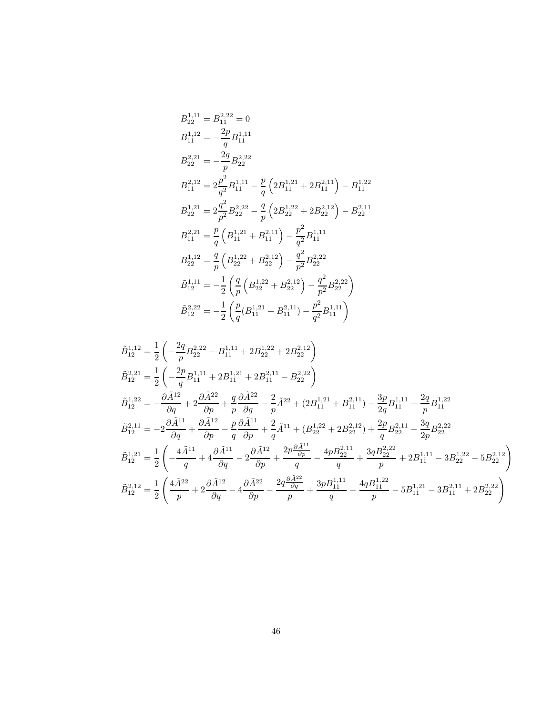$$
B_{22}^{1,11} = B_{11}^{2,22} = 0
$$
  
\n
$$
B_{11}^{1,12} = -\frac{2p}{q} B_{11}^{1,11}
$$
  
\n
$$
B_{22}^{2,21} = -\frac{2q}{p} B_{22}^{2,22}
$$
  
\n
$$
B_{11}^{2,12} = 2\frac{p^2}{q^2} B_{11}^{1,11} - \frac{p}{q} \left( 2B_{11}^{1,21} + 2B_{11}^{2,11} \right) - B_{11}^{1,22}
$$
  
\n
$$
B_{22}^{1,21} = 2\frac{q^2}{p^2} B_{22}^{2,22} - \frac{q}{p} \left( 2B_{22}^{1,22} + 2B_{22}^{2,12} \right) - B_{22}^{2,11}
$$
  
\n
$$
B_{11}^{2,21} = \frac{p}{q} \left( B_{11}^{1,21} + B_{11}^{2,11} \right) - \frac{p^2}{q^2} B_{11}^{1,11}
$$
  
\n
$$
B_{22}^{1,12} = \frac{q}{p} \left( B_{22}^{1,22} + B_{22}^{2,12} \right) - \frac{q^2}{p^2} B_{22}^{2,22}
$$
  
\n
$$
\tilde{B}_{12}^{1,11} = -\frac{1}{2} \left( \frac{q}{p} \left( B_{22}^{1,22} + B_{22}^{2,12} \right) - \frac{q^2}{p^2} B_{22}^{2,22} \right)
$$
  
\n
$$
\tilde{B}_{12}^{2,22} = -\frac{1}{2} \left( \frac{p}{q} \left( B_{11}^{1,21} + B_{11}^{2,11} \right) - \frac{p^2}{q^2} B_{11}^{1,11} \right)
$$

$$
\begin{split} \tilde{B}^{1,12}_{12} &= \frac{1}{2}\left(-\frac{2q}{p}B^{2,22}_{22}-B^{1,11}_{11}+2B^{1,22}_{22}+2B^{2,12}_{22}\right) \\ \tilde{B}^{2,21}_{12} &= \frac{1}{2}\left(-\frac{2p}{q}B^{1,11}_{11}+2B^{1,21}_{11}+2B^{2,11}_{11}-B^{2,22}_{22}\right) \\ \tilde{B}^{1,22}_{12} &= -\frac{\partial \tilde{A}^{12}}{\partial q}+2\frac{\partial \tilde{A}^{22}}{\partial p}+\frac{q}{p}\frac{\partial \tilde{A}^{22}}{\partial q}-\frac{2}{p}\tilde{A}^{22}+(2B^{1,21}_{11}+B^{2,11}_{11})-\frac{3p}{2q}B^{1,11}_{11}+\frac{2q}{p}B^{1,22}_{11} \\ \tilde{B}^{2,11}_{12} &= -2\frac{\partial \tilde{A}^{11}}{\partial q}+\frac{\partial \tilde{A}^{12}}{\partial p}-\frac{p}{q}\frac{\partial \tilde{A}^{11}}{\partial p}+\frac{2}{q}\tilde{A}^{11}+(B^{1,22}_{22}+2B^{2,12}_{22})+\frac{2p}{q}B^{2,11}_{22}-\frac{3q}{2p}B^{2,22}_{22} \\ \tilde{B}^{1,21}_{12} &= \frac{1}{2}\left(-\frac{4\tilde{A}^{11}}{q}+4\frac{\partial \tilde{A}^{11}}{\partial q}-2\frac{\partial \tilde{A}^{12}}{\partial p}+\frac{2p\frac{\partial \tilde{A}^{11}}{\partial p}}{q}-\frac{4pB^{2,11}_{22}}{q}+\frac{3qB^{2,22}_{22}}{p}+2B^{1,11}_{11}-3B^{1,22}_{22}-5B^{2,12}_{22}\right) \\ \tilde{B}^{2,12}_{12} &= \frac{1}{2}\left(\frac{4\tilde{A}^{22}}{p}+2\frac{\partial \tilde{A}^{12}}{\partial q}-4\frac{\partial \tilde{A}^{22}}{\partial p}-\frac{2q\frac{\partial \tilde{A}^{22}}{\partial q}}{
$$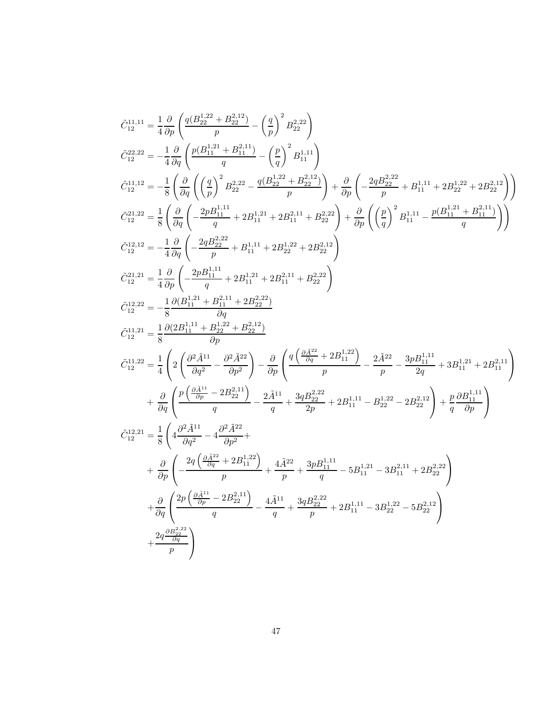<span id="page-47-2"></span><span id="page-47-1"></span><span id="page-47-0"></span>
$$
\begin{split} \hat{C}_{12}^{11,11} &= \frac{1}{4}\frac{\partial}{\partial p}\left(\frac{q(B_{22}^{112}+B_{22}^{212})}{p}-\left(\frac{q}{p}\right)^2B_{22}^{2,22}\right) \\ \hat{C}_{12}^{22,22} &= -\frac{1}{4}\frac{\partial}{\partial q}\left(\frac{p(B_{11}^{112}+B_{11}^{211})}{q}-\left(\frac{p}{q}\right)^2B_{11}^{1,11}\right) \\ \hat{C}_{12}^{11,12} &= -\frac{1}{8}\left(\frac{\partial}{\partial q}\left(\left(\frac{q}{p}\right)^2B_{22}^{22}-\frac{q(B_{22}^{122}+B_{22}^{212})}{p}\right)+\frac{\partial}{\partial p}\left(-\frac{2qB_{22}^{222}}{p}+B_{11}^{1,11}+2B_{22}^{1,22}+2B_{22}^{212}\right)\right) \\ \hat{C}_{12}^{21,22} &= \frac{1}{8}\left(\frac{\partial}{\partial q}\left(-\frac{2pB_{11}^{111}}{q}+2B_{11}^{1,11}+2B_{21}^{2,11}+B_{22}^{2,22}\right)+\frac{\partial}{\partial p}\left(\left(\frac{p}{q}\right)^2B_{11}^{1,11}-\frac{p(B_{11}^{121}+B_{11}^{211})}{q}\right)\right) \\ \hat{C}_{12}^{12,12} &= -\frac{1}{4}\frac{\partial}{\partial q}\left(-\frac{2pB_{22}^{1,11}}{p}+2B_{11}^{1,11}+2B_{22}^{1,12}+2B_{22}^{212}\right) \\ \hat{C}_{12}^{22,2} &= -\frac{1}{8}\frac{\partial}{\partial p}\left(-\frac{2pB_{11}^{1,11}}{q}+2B_{11}^{1,2}+2B_{22}^{212}\right) \\ \hat{C}_{12}^{12,2} &= -\frac{1}{8}\frac{\partial}{\left(2B_{11}^{1,11}+B_{22}^{1,22}-B_{22}^{212}\right)}{\partial q} \\ \hat{C}_{12}^{12,2} &= \frac{1}{4}\
$$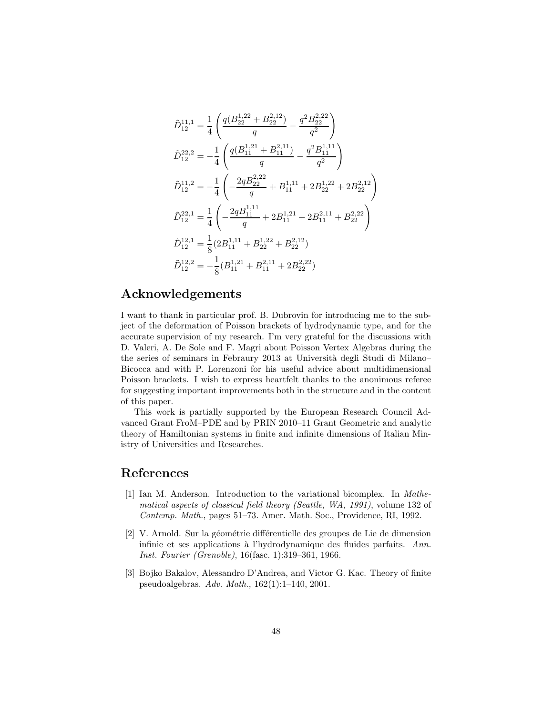<span id="page-48-11"></span><span id="page-48-9"></span><span id="page-48-0"></span>
$$
\begin{split} \tilde{D}^{11,1}_{12} &= \frac{1}{4}\left(\frac{q(B_{22}^{1,22}+B_{22}^{2,12})}{q}-\frac{q^2B_{22}^{2,22}}{q^2}\right) \\ \tilde{D}^{22,2}_{12} &= -\frac{1}{4}\left(\frac{q(B_{11}^{1,21}+B_{11}^{2,11})}{q}-\frac{q^2B_{11}^{1,11}}{q^2}\right) \\ \tilde{D}^{11,2}_{12} &= -\frac{1}{4}\left(-\frac{2qB_{22}^{2,22}}{q}+B_{11}^{1,11}+2B_{22}^{1,22}+2B_{22}^{2,12}\right) \\ \tilde{D}^{22,1}_{12} &= \frac{1}{4}\left(-\frac{2qB_{11}^{1,11}}{q}+2B_{11}^{1,21}+2B_{11}^{2,11}+B_{22}^{2,22}\right) \\ \tilde{D}^{12,1}_{12} &= \frac{1}{8}(2B_{11}^{1,11}+B_{22}^{1,22}+B_{22}^{2,12}) \\ \tilde{D}^{12,2}_{12} &= -\frac{1}{8}(B_{11}^{1,21}+B_{11}^{2,11}+2B_{22}^{2,22}) \end{split}
$$

### <span id="page-48-10"></span><span id="page-48-7"></span><span id="page-48-6"></span>Acknowledgements

<span id="page-48-1"></span>I want to thank in particular prof. B. Dubrovin for introducing me to the subject of the deformation of Poisson brackets of hydrodynamic type, and for the accurate supervision of my research. I'm very grateful for the discussions with D. Valeri, A. De Sole and F. Magri about Poisson Vertex Algebras during the the series of seminars in Febraury 2013 at Università degli Studi di Milano– Bicocca and with P. Lorenzoni for his useful advice about multidimensional Poisson brackets. I wish to express heartfelt thanks to the anonimous referee for suggesting important improvements both in the structure and in the content of this paper.

<span id="page-48-12"></span><span id="page-48-2"></span>This work is partially supported by the European Research Council Advanced Grant FroM–PDE and by PRIN 2010–11 Grant Geometric and analytic theory of Hamiltonian systems in finite and infinite dimensions of Italian Ministry of Universities and Researches.

# <span id="page-48-3"></span>References

- <span id="page-48-4"></span>[1] Ian M. Anderson. Introduction to the variational bicomplex. In Mathematical aspects of classical field theory (Seattle, WA, 1991), volume 132 of Contemp. Math., pages 51–73. Amer. Math. Soc., Providence, RI, 1992.
- <span id="page-48-8"></span>[2] V. Arnold. Sur la géométrie différentielle des groupes de Lie de dimension infinie et ses applications à l'hydrodynamique des fluides parfaits. Ann. Inst. Fourier (Grenoble), 16(fasc. 1):319–361, 1966.
- <span id="page-48-5"></span>[3] Bojko Bakalov, Alessandro D'Andrea, and Victor G. Kac. Theory of finite pseudoalgebras. Adv. Math., 162(1):1–140, 2001.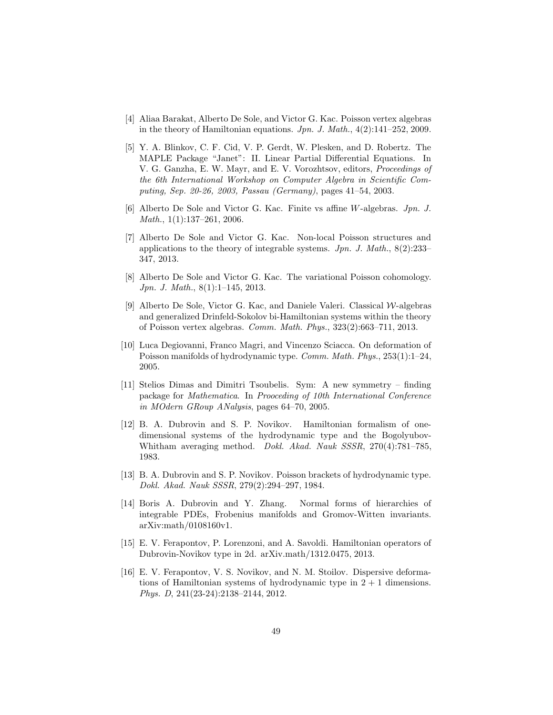- <span id="page-49-5"></span>[4] Aliaa Barakat, Alberto De Sole, and Victor G. Kac. Poisson vertex algebras in the theory of Hamiltonian equations.  $Jpn. J. Math., 4(2):141-252, 2009.$
- <span id="page-49-8"></span>[5] Y. A. Blinkov, C. F. Cid, V. P. Gerdt, W. Plesken, and D. Robertz. The MAPLE Package "Janet": II. Linear Partial Differential Equations. In V. G. Ganzha, E. W. Mayr, and E. V. Vorozhtsov, editors, Proceedings of the 6th International Workshop on Computer Algebra in Scientific Computing, Sep. 20-26, 2003, Passau (Germany), pages 41–54, 2003.
- <span id="page-49-6"></span><span id="page-49-4"></span>[6] Alberto De Sole and Victor G. Kac. Finite vs affine W-algebras. Jpn. J. Math., 1(1):137–261, 2006.
- <span id="page-49-0"></span>[7] Alberto De Sole and Victor G. Kac. Non-local Poisson structures and applications to the theory of integrable systems.  $Jpn. J. Math., 8(2):233-$ 347, 2013.
- <span id="page-49-3"></span>[8] Alberto De Sole and Victor G. Kac. The variational Poisson cohomology. Jpn. J. Math., 8(1):1–145, 2013.
- <span id="page-49-2"></span>[9] Alberto De Sole, Victor G. Kac, and Daniele Valeri. Classical W-algebras and generalized Drinfeld-Sokolov bi-Hamiltonian systems within the theory of Poisson vertex algebras. Comm. Math. Phys., 323(2):663–711, 2013.
- <span id="page-49-7"></span>[10] Luca Degiovanni, Franco Magri, and Vincenzo Sciacca. On deformation of Poisson manifolds of hydrodynamic type. Comm. Math. Phys., 253(1):1–24, 2005.
- <span id="page-49-1"></span>[11] Stelios Dimas and Dimitri Tsoubelis. Sym: A new symmetry – finding package for Mathematica. In Prooceding of 10th International Conference in MOdern GRoup ANalysis, pages 64–70, 2005.
- <span id="page-49-9"></span>[12] B. A. Dubrovin and S. P. Novikov. Hamiltonian formalism of onedimensional systems of the hydrodynamic type and the Bogolyubov-Whitham averaging method. Dokl. Akad. Nauk SSSR, 270(4):781–785, 1983.
- [13] B. A. Dubrovin and S. P. Novikov. Poisson brackets of hydrodynamic type. Dokl. Akad. Nauk SSSR, 279(2):294–297, 1984.
- [14] Boris A. Dubrovin and Y. Zhang. Normal forms of hierarchies of integrable PDEs, Frobenius manifolds and Gromov-Witten invariants. arXiv:math/0108160v1.
- [15] E. V. Ferapontov, P. Lorenzoni, and A. Savoldi. Hamiltonian operators of Dubrovin-Novikov type in 2d. arXiv.math/1312.0475, 2013.
- [16] E. V. Ferapontov, V. S. Novikov, and N. M. Stoilov. Dispersive deformations of Hamiltonian systems of hydrodynamic type in  $2 + 1$  dimensions. Phys. D, 241(23-24):2138–2144, 2012.